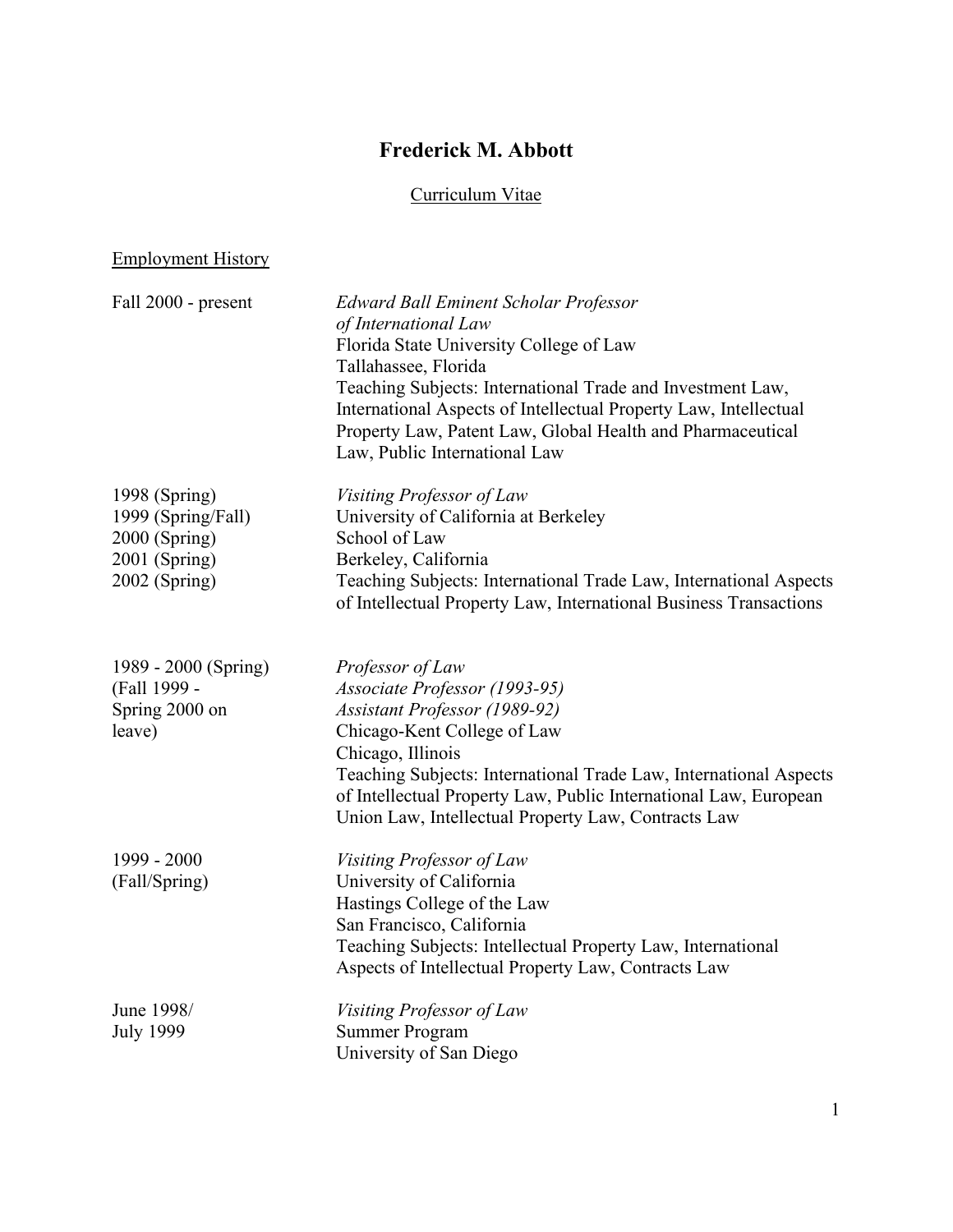# **Frederick M. Abbott**

# Curriculum Vitae

# Employment History

| Fall 2000 - present            | <b>Edward Ball Eminent Scholar Professor</b><br>of International Law<br>Florida State University College of Law<br>Tallahassee, Florida<br>Teaching Subjects: International Trade and Investment Law,<br>International Aspects of Intellectual Property Law, Intellectual<br>Property Law, Patent Law, Global Health and Pharmaceutical<br>Law, Public International Law |
|--------------------------------|--------------------------------------------------------------------------------------------------------------------------------------------------------------------------------------------------------------------------------------------------------------------------------------------------------------------------------------------------------------------------|
| 1998 (Spring)                  | Visiting Professor of Law                                                                                                                                                                                                                                                                                                                                                |
| 1999 (Spring/Fall)             | University of California at Berkeley                                                                                                                                                                                                                                                                                                                                     |
| 2000 (Spring)                  | School of Law                                                                                                                                                                                                                                                                                                                                                            |
| 2001 (Spring)<br>2002 (Spring) | Berkeley, California<br>Teaching Subjects: International Trade Law, International Aspects                                                                                                                                                                                                                                                                                |
|                                | of Intellectual Property Law, International Business Transactions                                                                                                                                                                                                                                                                                                        |
| 1989 - 2000 (Spring)           | Professor of Law                                                                                                                                                                                                                                                                                                                                                         |
| (Fall 1999 -<br>Spring 2000 on | Associate Professor (1993-95)<br><b>Assistant Professor (1989-92)</b>                                                                                                                                                                                                                                                                                                    |
| leave)                         | Chicago-Kent College of Law                                                                                                                                                                                                                                                                                                                                              |
|                                | Chicago, Illinois                                                                                                                                                                                                                                                                                                                                                        |
|                                | Teaching Subjects: International Trade Law, International Aspects<br>of Intellectual Property Law, Public International Law, European<br>Union Law, Intellectual Property Law, Contracts Law                                                                                                                                                                             |
| 1999 - 2000                    | Visiting Professor of Law                                                                                                                                                                                                                                                                                                                                                |
| (Fall/Spring)                  | University of California                                                                                                                                                                                                                                                                                                                                                 |
|                                | Hastings College of the Law                                                                                                                                                                                                                                                                                                                                              |
|                                | San Francisco, California                                                                                                                                                                                                                                                                                                                                                |
|                                | Teaching Subjects: Intellectual Property Law, International<br>Aspects of Intellectual Property Law, Contracts Law                                                                                                                                                                                                                                                       |
| June 1998/                     | Visiting Professor of Law                                                                                                                                                                                                                                                                                                                                                |
| <b>July 1999</b>               | <b>Summer Program</b>                                                                                                                                                                                                                                                                                                                                                    |
|                                | University of San Diego                                                                                                                                                                                                                                                                                                                                                  |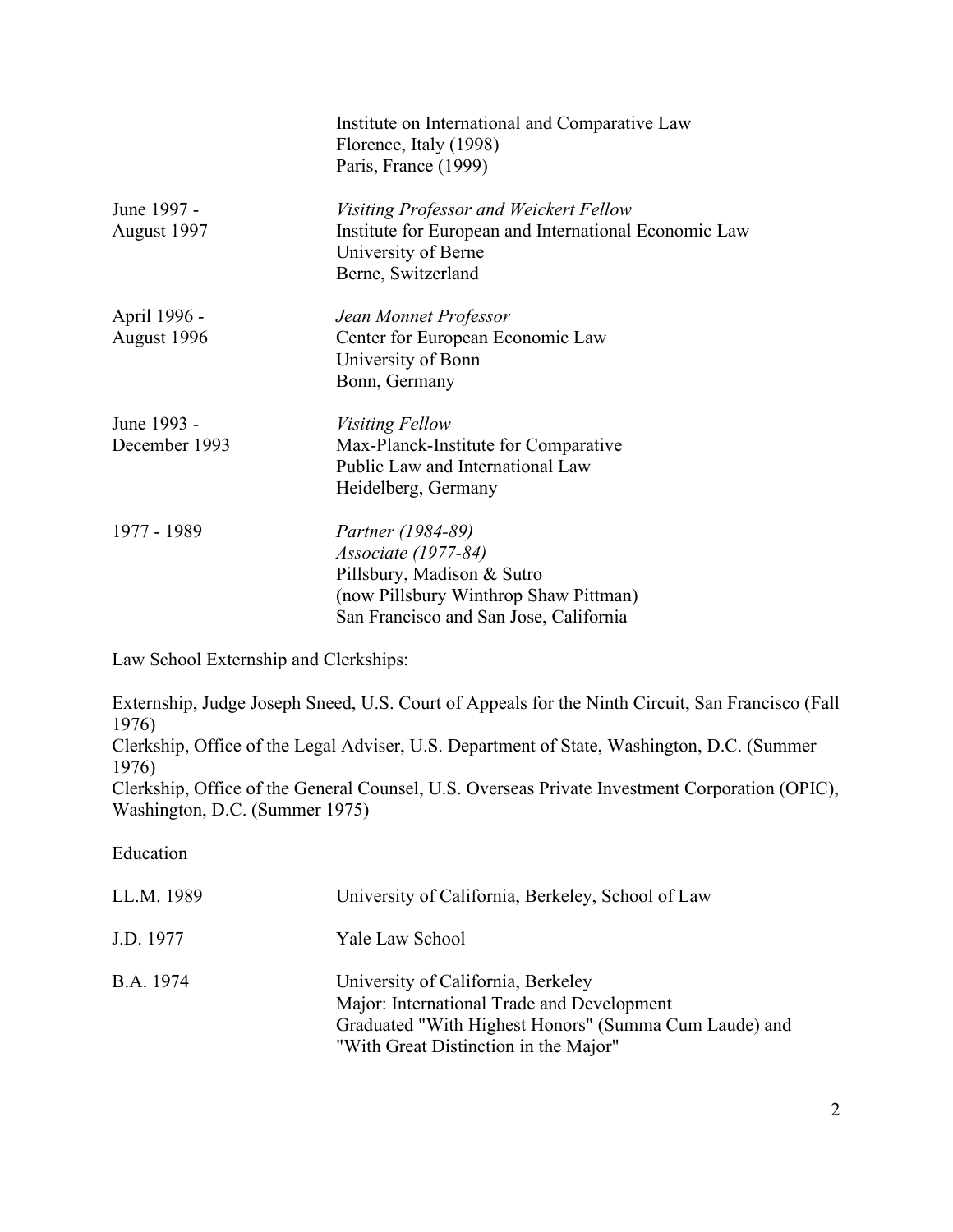|                              | Institute on International and Comparative Law<br>Florence, Italy (1998)<br>Paris, France (1999)                                                                        |
|------------------------------|-------------------------------------------------------------------------------------------------------------------------------------------------------------------------|
| June 1997 -<br>August 1997   | Visiting Professor and Weickert Fellow<br>Institute for European and International Economic Law<br>University of Berne<br>Berne, Switzerland                            |
| April 1996 -<br>August 1996  | Jean Monnet Professor<br>Center for European Economic Law<br>University of Bonn<br>Bonn, Germany                                                                        |
| June 1993 -<br>December 1993 | <i>Visiting Fellow</i><br>Max-Planck-Institute for Comparative<br>Public Law and International Law<br>Heidelberg, Germany                                               |
| 1977 - 1989                  | <i>Partner (1984-89)</i><br><i>Associate (1977-84)</i><br>Pillsbury, Madison & Sutro<br>(now Pillsbury Winthrop Shaw Pittman)<br>San Francisco and San Jose, California |

Law School Externship and Clerkships:

Externship, Judge Joseph Sneed, U.S. Court of Appeals for the Ninth Circuit, San Francisco (Fall 1976)

Clerkship, Office of the Legal Adviser, U.S. Department of State, Washington, D.C. (Summer 1976)

Clerkship, Office of the General Counsel, U.S. Overseas Private Investment Corporation (OPIC), Washington, D.C. (Summer 1975)

# **Education**

| LL.M. 1989 | University of California, Berkeley, School of Law                                                                                                                                  |
|------------|------------------------------------------------------------------------------------------------------------------------------------------------------------------------------------|
| J.D. 1977  | Yale Law School                                                                                                                                                                    |
| B.A. 1974  | University of California, Berkeley<br>Major: International Trade and Development<br>Graduated "With Highest Honors" (Summa Cum Laude) and<br>"With Great Distinction in the Major" |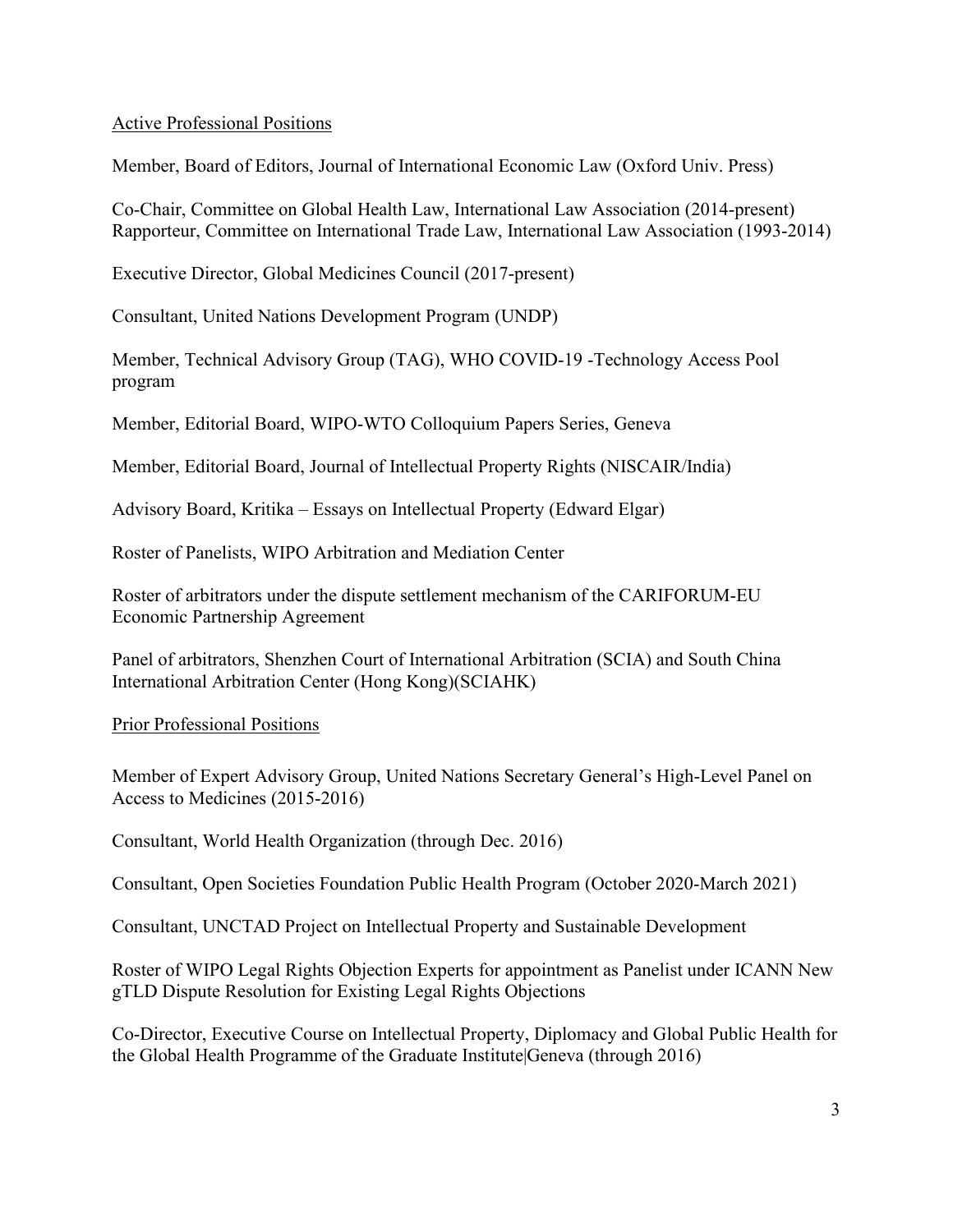# Active Professional Positions

Member, Board of Editors, Journal of International Economic Law (Oxford Univ. Press)

Co-Chair, Committee on Global Health Law, International Law Association (2014-present) Rapporteur, Committee on International Trade Law, International Law Association (1993-2014)

Executive Director, Global Medicines Council (2017-present)

Consultant, United Nations Development Program (UNDP)

Member, Technical Advisory Group (TAG), WHO COVID-19 -Technology Access Pool program

Member, Editorial Board, WIPO-WTO Colloquium Papers Series, Geneva

Member, Editorial Board, Journal of Intellectual Property Rights (NISCAIR/India)

Advisory Board, Kritika – Essays on Intellectual Property (Edward Elgar)

Roster of Panelists, WIPO Arbitration and Mediation Center

Roster of arbitrators under the dispute settlement mechanism of the CARIFORUM-EU Economic Partnership Agreement

Panel of arbitrators, Shenzhen Court of International Arbitration (SCIA) and South China International Arbitration Center (Hong Kong)(SCIAHK)

Prior Professional Positions

Member of Expert Advisory Group, United Nations Secretary General's High-Level Panel on Access to Medicines (2015-2016)

Consultant, World Health Organization (through Dec. 2016)

Consultant, Open Societies Foundation Public Health Program (October 2020-March 2021)

Consultant, UNCTAD Project on Intellectual Property and Sustainable Development

Roster of WIPO Legal Rights Objection Experts for appointment as Panelist under ICANN New gTLD Dispute Resolution for Existing Legal Rights Objections

Co-Director, Executive Course on Intellectual Property, Diplomacy and Global Public Health for the Global Health Programme of the Graduate Institute|Geneva (through 2016)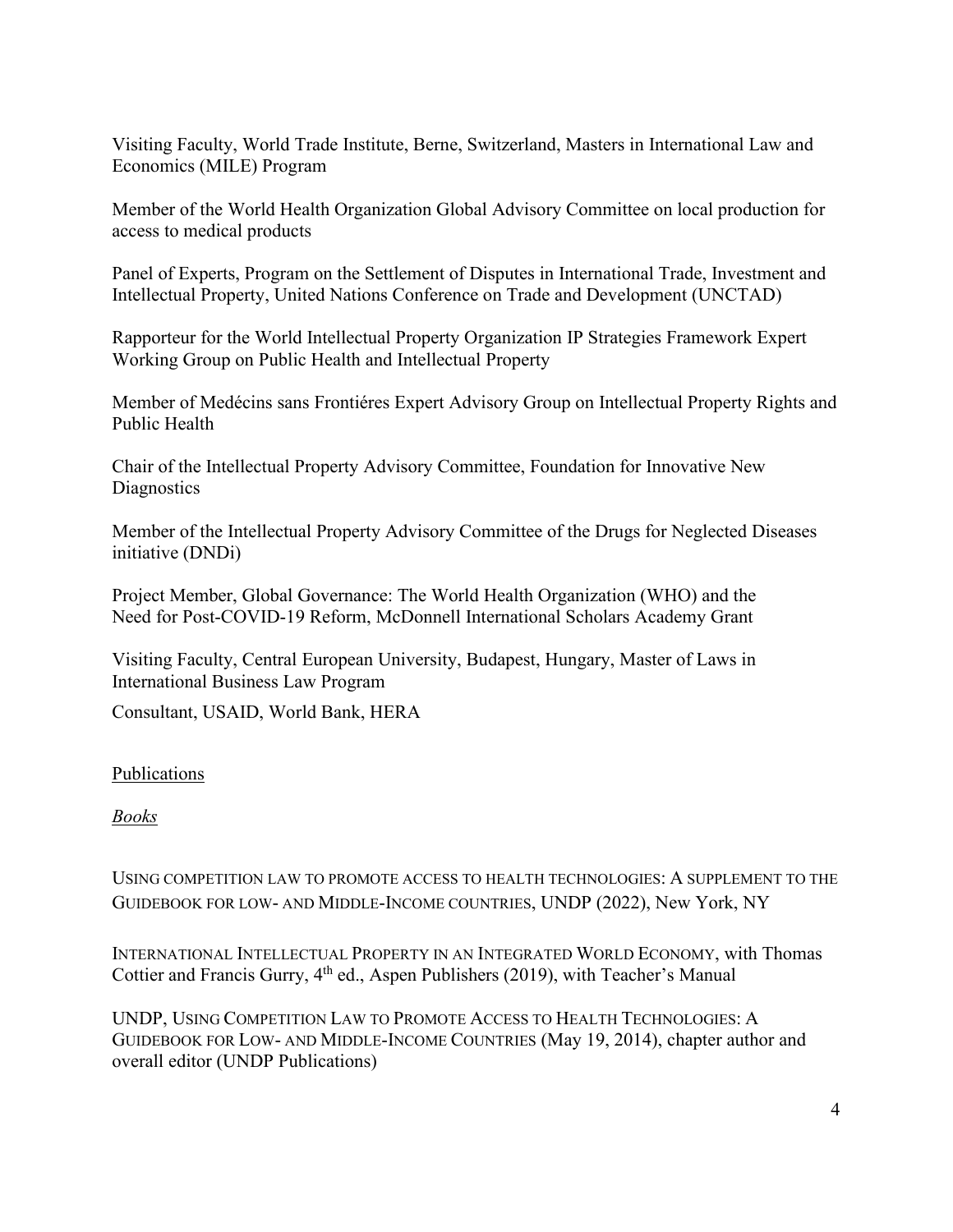Visiting Faculty, World Trade Institute, Berne, Switzerland, Masters in International Law and Economics (MILE) Program

Member of the World Health Organization Global Advisory Committee on local production for access to medical products

Panel of Experts, Program on the Settlement of Disputes in International Trade, Investment and Intellectual Property, United Nations Conference on Trade and Development (UNCTAD)

Rapporteur for the World Intellectual Property Organization IP Strategies Framework Expert Working Group on Public Health and Intellectual Property

Member of Medécins sans Frontiéres Expert Advisory Group on Intellectual Property Rights and Public Health

Chair of the Intellectual Property Advisory Committee, Foundation for Innovative New **Diagnostics** 

Member of the Intellectual Property Advisory Committee of the Drugs for Neglected Diseases initiative (DNDi)

Project Member, Global Governance: The World Health Organization (WHO) and the Need for Post-COVID-19 Reform, McDonnell International Scholars Academy Grant

Visiting Faculty, Central European University, Budapest, Hungary, Master of Laws in International Business Law Program

Consultant, USAID, World Bank, HERA

# Publications

# *Books*

USING COMPETITION LAW TO PROMOTE ACCESS TO HEALTH TECHNOLOGIES: A SUPPLEMENT TO THE GUIDEBOOK FOR LOW- AND MIDDLE-INCOME COUNTRIES, UNDP (2022), New York, NY

INTERNATIONAL INTELLECTUAL PROPERTY IN AN INTEGRATED WORLD ECONOMY, with Thomas Cottier and Francis Gurry,  $4<sup>th</sup>$  ed., Aspen Publishers (2019), with Teacher's Manual

UNDP, USING COMPETITION LAW TO PROMOTE ACCESS TO HEALTH TECHNOLOGIES: A GUIDEBOOK FOR LOW- AND MIDDLE-INCOME COUNTRIES (May 19, 2014), chapter author and overall editor (UNDP Publications)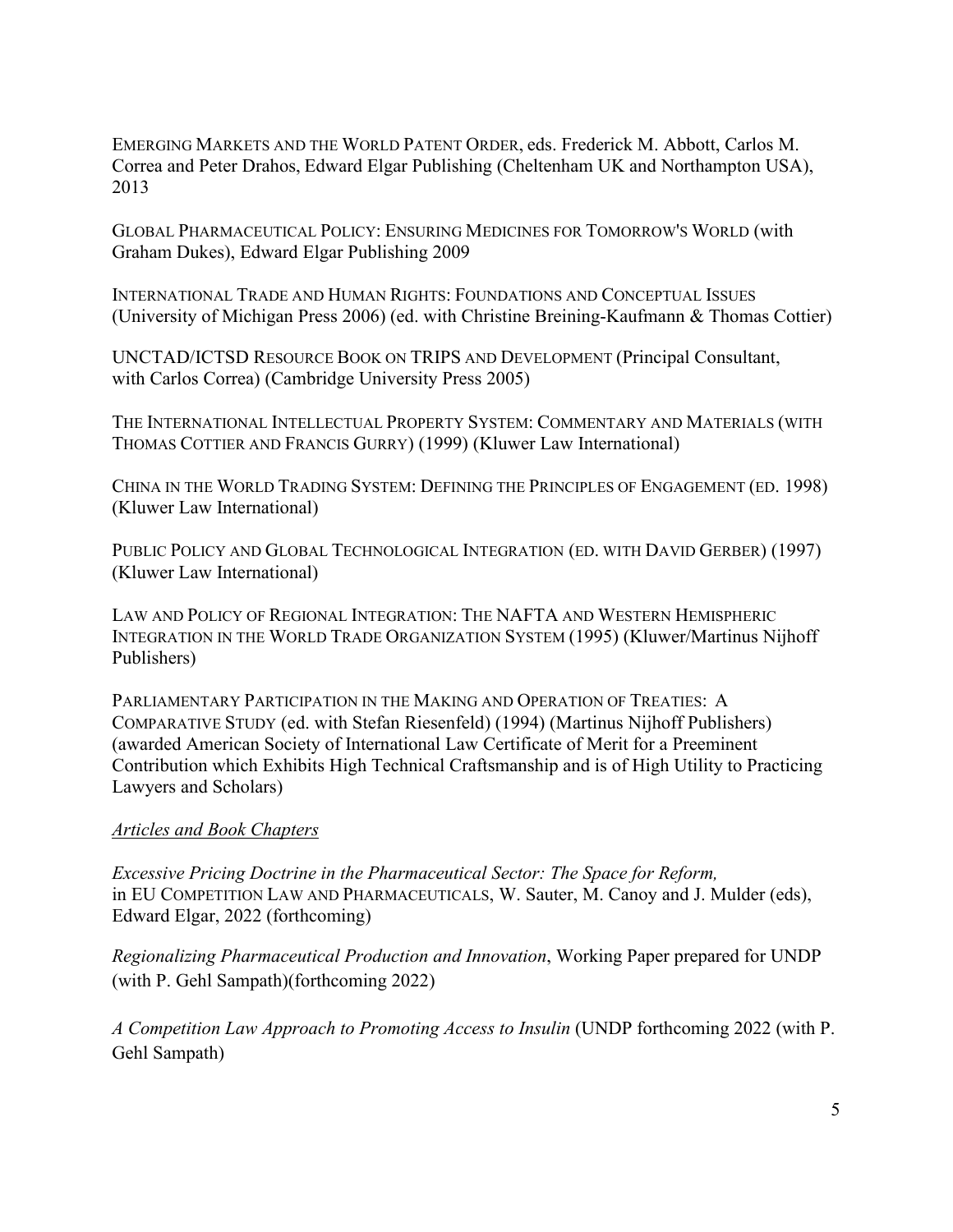EMERGING MARKETS AND THE WORLD PATENT ORDER, eds. Frederick M. Abbott, Carlos M. Correa and Peter Drahos, Edward Elgar Publishing (Cheltenham UK and Northampton USA), 2013

GLOBAL PHARMACEUTICAL POLICY: ENSURING MEDICINES FOR TOMORROW'S WORLD (with Graham Dukes), Edward Elgar Publishing 2009

INTERNATIONAL TRADE AND HUMAN RIGHTS: FOUNDATIONS AND CONCEPTUAL ISSUES (University of Michigan Press 2006) (ed. with Christine Breining-Kaufmann & Thomas Cottier)

UNCTAD/ICTSD RESOURCE BOOK ON TRIPS AND DEVELOPMENT (Principal Consultant, with Carlos Correa) (Cambridge University Press 2005)

THE INTERNATIONAL INTELLECTUAL PROPERTY SYSTEM: COMMENTARY AND MATERIALS (WITH THOMAS COTTIER AND FRANCIS GURRY) (1999) (Kluwer Law International)

CHINA IN THE WORLD TRADING SYSTEM: DEFINING THE PRINCIPLES OF ENGAGEMENT (ED. 1998) (Kluwer Law International)

PUBLIC POLICY AND GLOBAL TECHNOLOGICAL INTEGRATION (ED. WITH DAVID GERBER) (1997) (Kluwer Law International)

LAW AND POLICY OF REGIONAL INTEGRATION: THE NAFTA AND WESTERN HEMISPHERIC INTEGRATION IN THE WORLD TRADE ORGANIZATION SYSTEM (1995) (Kluwer/Martinus Nijhoff Publishers)

PARLIAMENTARY PARTICIPATION IN THE MAKING AND OPERATION OF TREATIES: A COMPARATIVE STUDY (ed. with Stefan Riesenfeld) (1994) (Martinus Nijhoff Publishers) (awarded American Society of International Law Certificate of Merit for a Preeminent Contribution which Exhibits High Technical Craftsmanship and is of High Utility to Practicing Lawyers and Scholars)

# *Articles and Book Chapters*

*Excessive Pricing Doctrine in the Pharmaceutical Sector: The Space for Reform,* in EU COMPETITION LAW AND PHARMACEUTICALS, W. Sauter, M. Canoy and J. Mulder (eds), Edward Elgar, 2022 (forthcoming)

*Regionalizing Pharmaceutical Production and Innovation*, Working Paper prepared for UNDP (with P. Gehl Sampath)(forthcoming 2022)

*A Competition Law Approach to Promoting Access to Insulin* (UNDP forthcoming 2022 (with P. Gehl Sampath)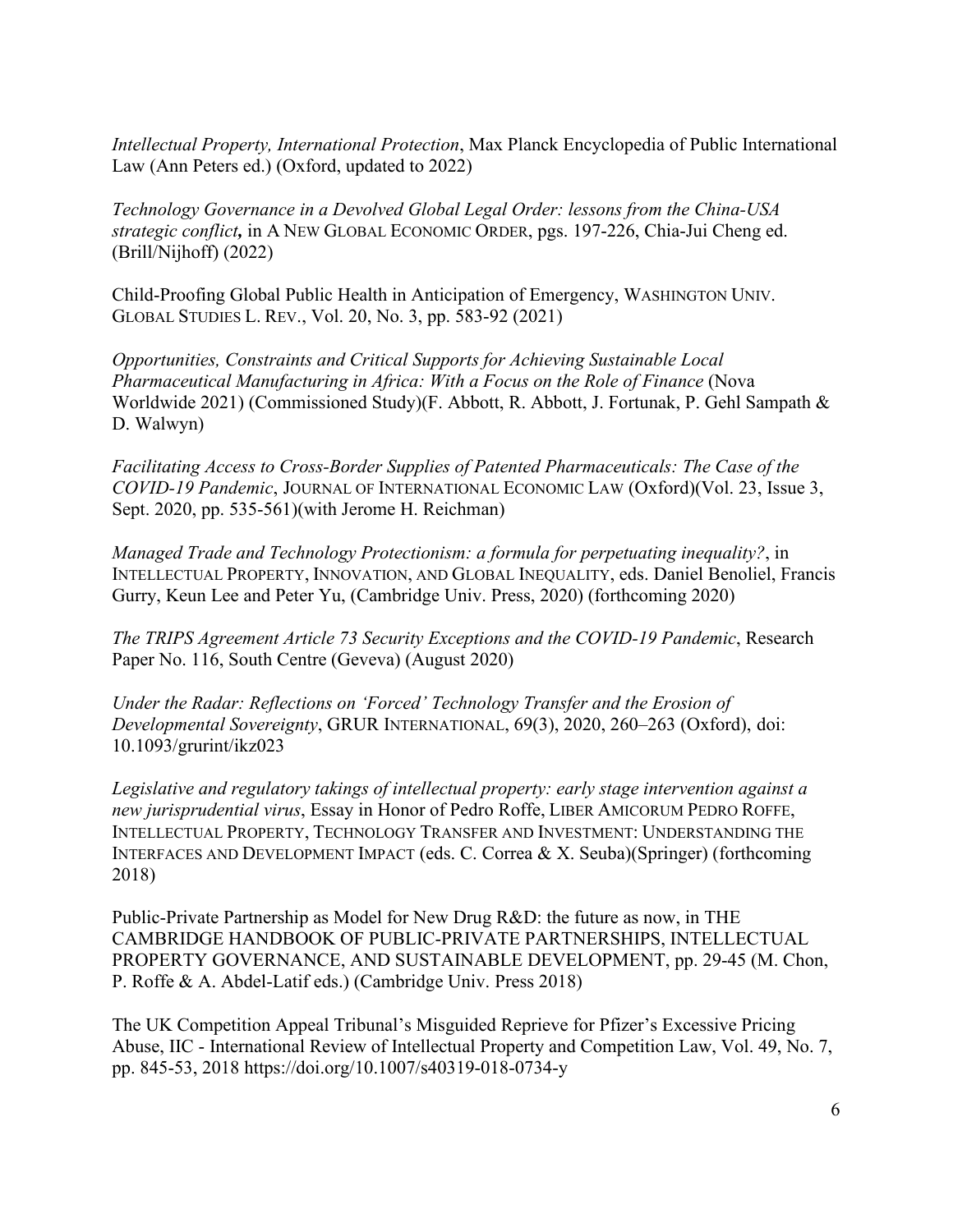*Intellectual Property, International Protection*, Max Planck Encyclopedia of Public International Law (Ann Peters ed.) (Oxford, updated to 2022)

*Technology Governance in a Devolved Global Legal Order: lessons from the China-USA strategic conflict,* in A NEW GLOBAL ECONOMIC ORDER, pgs. 197-226, Chia-Jui Cheng ed. (Brill/Nijhoff) (2022)

Child-Proofing Global Public Health in Anticipation of Emergency, WASHINGTON UNIV. GLOBAL STUDIES L. REV., Vol. 20, No. 3, pp. 583-92 (2021)

*Opportunities, Constraints and Critical Supports for Achieving Sustainable Local Pharmaceutical Manufacturing in Africa: With a Focus on the Role of Finance* (Nova Worldwide 2021) (Commissioned Study)(F. Abbott, R. Abbott, J. Fortunak, P. Gehl Sampath & D. Walwyn)

*Facilitating Access to Cross-Border Supplies of Patented Pharmaceuticals: The Case of the COVID-19 Pandemic*, JOURNAL OF INTERNATIONAL ECONOMIC LAW (Oxford)(Vol. 23, Issue 3, Sept. 2020, pp. 535-561)(with Jerome H. Reichman)

*Managed Trade and Technology Protectionism: a formula for perpetuating inequality?*, in INTELLECTUAL PROPERTY, INNOVATION, AND GLOBAL INEQUALITY, eds. Daniel Benoliel, Francis Gurry, Keun Lee and Peter Yu, (Cambridge Univ. Press, 2020) (forthcoming 2020)

*The TRIPS Agreement Article 73 Security Exceptions and the COVID-19 Pandemic*, Research Paper No. 116, South Centre (Geveva) (August 2020)

*Under the Radar: Reflections on 'Forced' Technology Transfer and the Erosion of Developmental Sovereignty*, GRUR INTERNATIONAL, 69(3), 2020, 260–263 (Oxford), doi: 10.1093/grurint/ikz023

*Legislative and regulatory takings of intellectual property: early stage intervention against a new jurisprudential virus*, Essay in Honor of Pedro Roffe, LIBER AMICORUM PEDRO ROFFE, INTELLECTUAL PROPERTY, TECHNOLOGY TRANSFER AND INVESTMENT: UNDERSTANDING THE INTERFACES AND DEVELOPMENT IMPACT (eds. C. Correa & X. Seuba)(Springer) (forthcoming 2018)

Public-Private Partnership as Model for New Drug R&D: the future as now, in THE CAMBRIDGE HANDBOOK OF PUBLIC-PRIVATE PARTNERSHIPS, INTELLECTUAL PROPERTY GOVERNANCE, AND SUSTAINABLE DEVELOPMENT, pp. 29-45 (M. Chon, P. Roffe & A. Abdel-Latif eds.) (Cambridge Univ. Press 2018)

The UK Competition Appeal Tribunal's Misguided Reprieve for Pfizer's Excessive Pricing Abuse, IIC - International Review of Intellectual Property and Competition Law, Vol. 49, No. 7, pp. 845-53, 2018 https://doi.org/10.1007/s40319-018-0734-y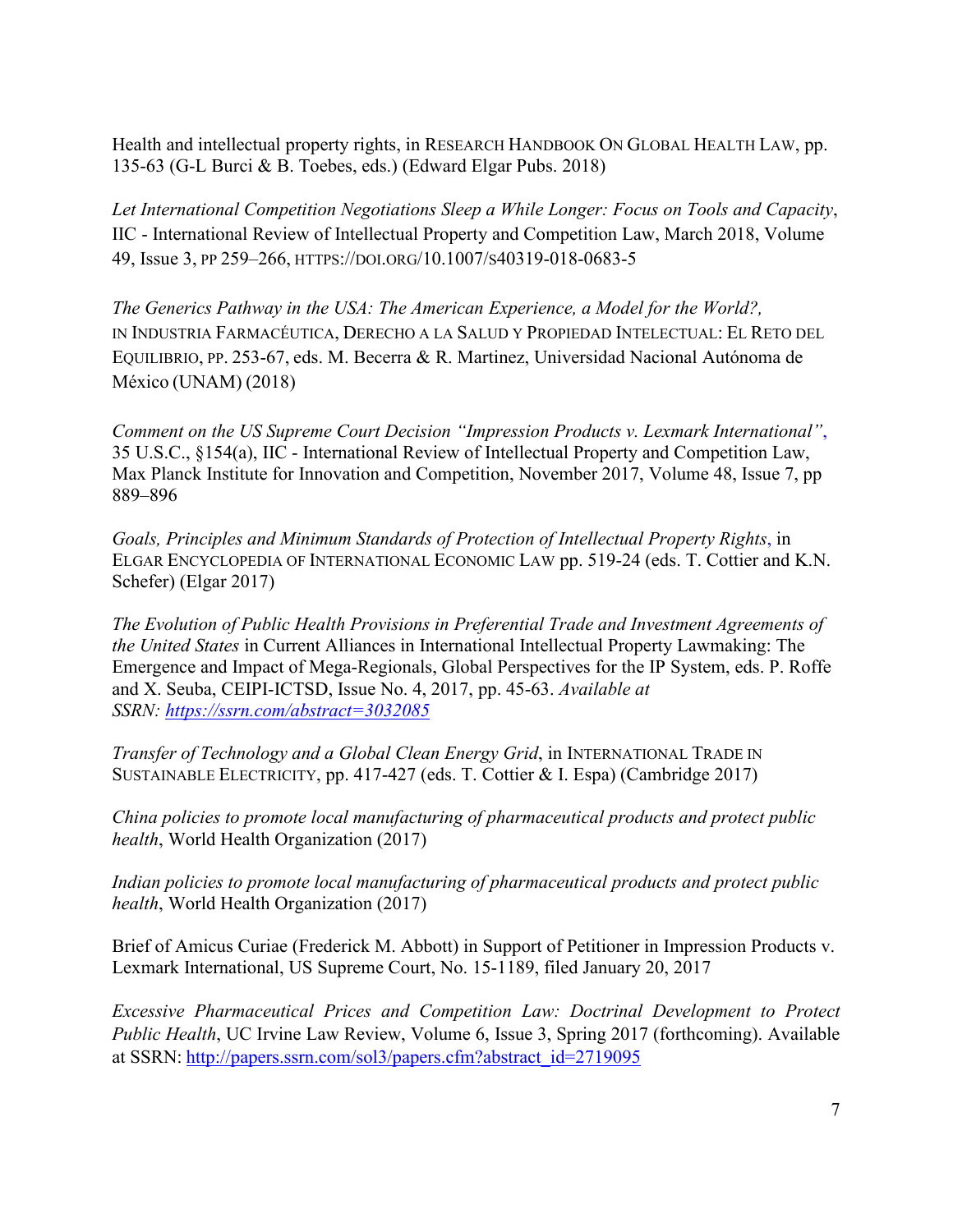Health and intellectual property rights, in RESEARCH HANDBOOK ON GLOBAL HEALTH LAW, pp. 135-63 (G-L Burci & B. Toebes, eds.) (Edward Elgar Pubs. 2018)

*Let International Competition Negotiations Sleep a While Longer: Focus on Tools and Capacity*, IIC - International Review of Intellectual Property and Competition Law, March 2018, Volume 49, Issue 3, PP 259–266, HTTPS://DOI.ORG/10.1007/S40319-018-0683-5

*The Generics Pathway in the USA: The American Experience, a Model for the World?,* IN INDUSTRIA FARMACÉUTICA, DERECHO A LA SALUD Y PROPIEDAD INTELECTUAL: EL RETO DEL EQUILIBRIO, PP. 253-67, eds. M. Becerra & R. Martinez, Universidad Nacional Autónoma de México (UNAM) (2018)

*Comment on the US Supreme Court Decision "Impression Products v. Lexmark International"*, 35 U.S.C., §154(a), IIC - International Review of Intellectual Property and Competition Law, Max Planck Institute for Innovation and Competition, November 2017, Volume 48, Issue 7, pp 889–896

*Goals, Principles and Minimum Standards of Protection of Intellectual Property Rights*, in ELGAR ENCYCLOPEDIA OF INTERNATIONAL ECONOMIC LAW pp. 519-24 (eds. T. Cottier and K.N. Schefer) (Elgar 2017)

*The Evolution of Public Health Provisions in Preferential Trade and Investment Agreements of the United States* in Current Alliances in International Intellectual Property Lawmaking: The Emergence and Impact of Mega-Regionals, Global Perspectives for the IP System, eds. P. Roffe and X. Seuba, CEIPI-ICTSD, Issue No. 4, 2017, pp. 45-63. *Available at SSRN: <https://ssrn.com/abstract=3032085>*

*Transfer of Technology and a Global Clean Energy Grid*, in INTERNATIONAL TRADE IN SUSTAINABLE ELECTRICITY, pp. 417-427 (eds. T. Cottier & I. Espa) (Cambridge 2017)

*China policies to promote local manufacturing of pharmaceutical products and protect public health*, World Health Organization (2017)

*Indian policies to promote local manufacturing of pharmaceutical products and protect public health*, World Health Organization (2017)

Brief of Amicus Curiae (Frederick M. Abbott) in Support of Petitioner in Impression Products v. Lexmark International, US Supreme Court, No. 15-1189, filed January 20, 2017

*Excessive Pharmaceutical Prices and Competition Law: Doctrinal Development to Protect Public Health*, UC Irvine Law Review, Volume 6, Issue 3, Spring 2017 (forthcoming). Available at SSRN: [http://papers.ssrn.com/sol3/papers.cfm?abstract\\_id=2719095](http://papers.ssrn.com/sol3/papers.cfm?abstract_id=2719095)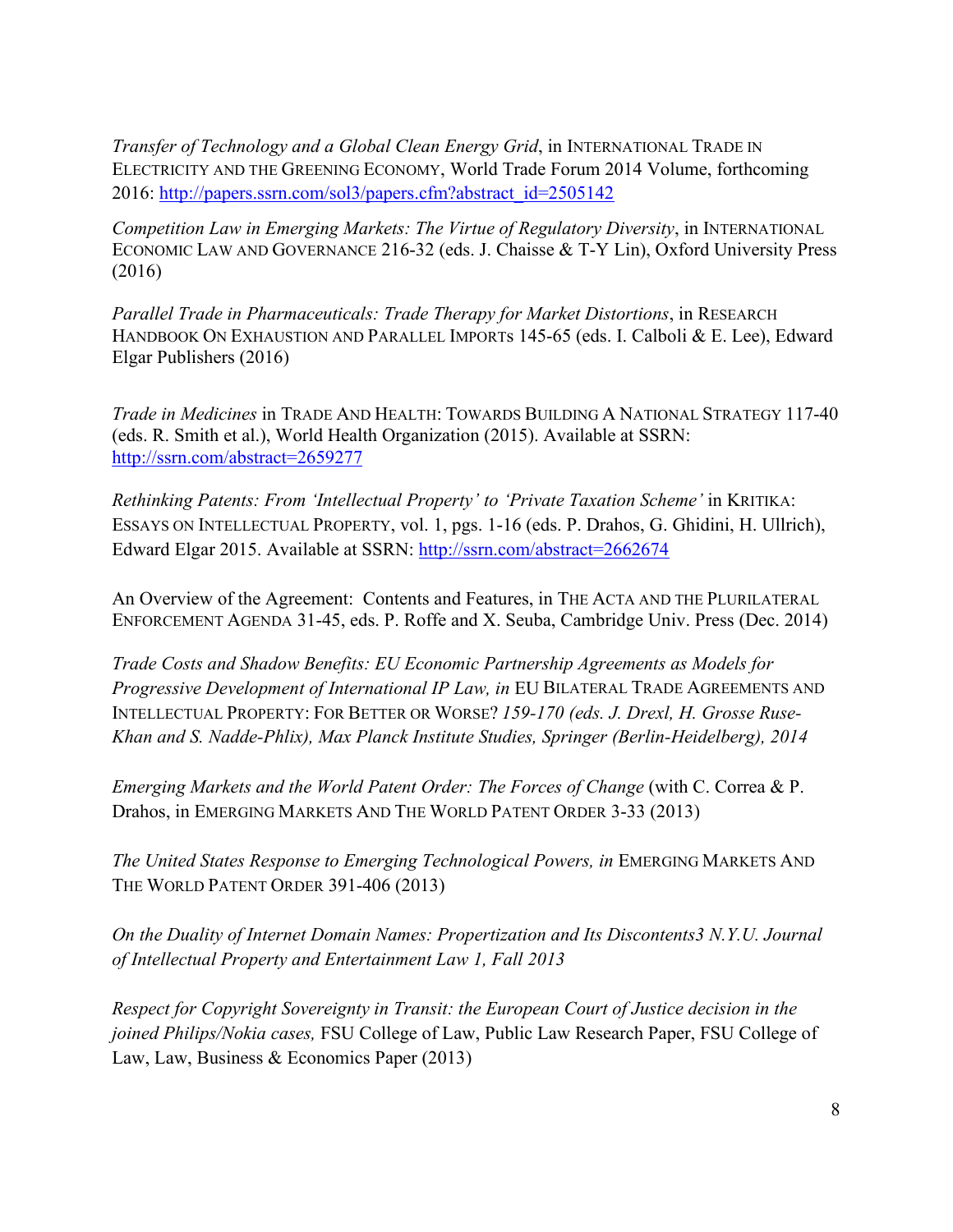*Transfer of Technology and a Global Clean Energy Grid*, in INTERNATIONAL TRADE IN ELECTRICITY AND THE GREENING ECONOMY, World Trade Forum 2014 Volume, forthcoming 2016: [http://papers.ssrn.com/sol3/papers.cfm?abstract\\_id=2505142](http://papers.ssrn.com/sol3/papers.cfm?abstract_id=2505142)

*Competition Law in Emerging Markets: The Virtue of Regulatory Diversity*, in INTERNATIONAL ECONOMIC LAW AND GOVERNANCE 216-32 (eds. J. Chaisse & T-Y Lin), Oxford University Press (2016)

*Parallel Trade in Pharmaceuticals: Trade Therapy for Market Distortions*, in RESEARCH HANDBOOK ON EXHAUSTION AND PARALLEL IMPORTS 145-65 (eds. I. Calboli & E. Lee), Edward Elgar Publishers (2016)

*Trade in Medicines* in TRADE AND HEALTH: TOWARDS BUILDING A NATIONAL STRATEGY 117-40 (eds. R. Smith et al.), World Health Organization (2015). Available at SSRN: <http://ssrn.com/abstract=2659277>

*Rethinking Patents: From 'Intellectual Property' to 'Private Taxation Scheme'* in KRITIKA: ESSAYS ON INTELLECTUAL PROPERTY, vol. 1, pgs. 1-16 (eds. P. Drahos, G. Ghidini, H. Ullrich), Edward Elgar 2015. Available at SSRN:<http://ssrn.com/abstract=2662674>

An Overview of the Agreement: Contents and Features, in THE ACTA AND THE PLURILATERAL ENFORCEMENT AGENDA 31-45, eds. P. Roffe and X. Seuba, Cambridge Univ. Press (Dec. 2014)

*Trade Costs and Shadow Benefits: EU Economic Partnership Agreements as Models for Progressive Development of International IP Law, in* EU BILATERAL TRADE AGREEMENTS AND INTELLECTUAL PROPERTY: FOR BETTER OR WORSE? *159-170 (eds. J. Drexl, H. Grosse Ruse-Khan and S. Nadde-Phlix), Max Planck Institute Studies, Springer (Berlin-Heidelberg), 2014*

*Emerging Markets and the World Patent Order: The Forces of Change (with C. Correa & P.* Drahos, in EMERGING MARKETS AND THE WORLD PATENT ORDER 3-33 (2013)

*The United States Response to Emerging Technological Powers, in EMERGING MARKETS AND* THE WORLD PATENT ORDER 391-406 (2013)

*On the Duality of Internet Domain Names: Propertization and Its Discontents3 N.Y.U. Journal of Intellectual Property and Entertainment Law 1, Fall 2013*

*Respect for Copyright Sovereignty in Transit: the European Court of Justice decision in the joined Philips/Nokia cases,* FSU College of Law, Public Law Research Paper, FSU College of Law, Law, Business & Economics Paper (2013)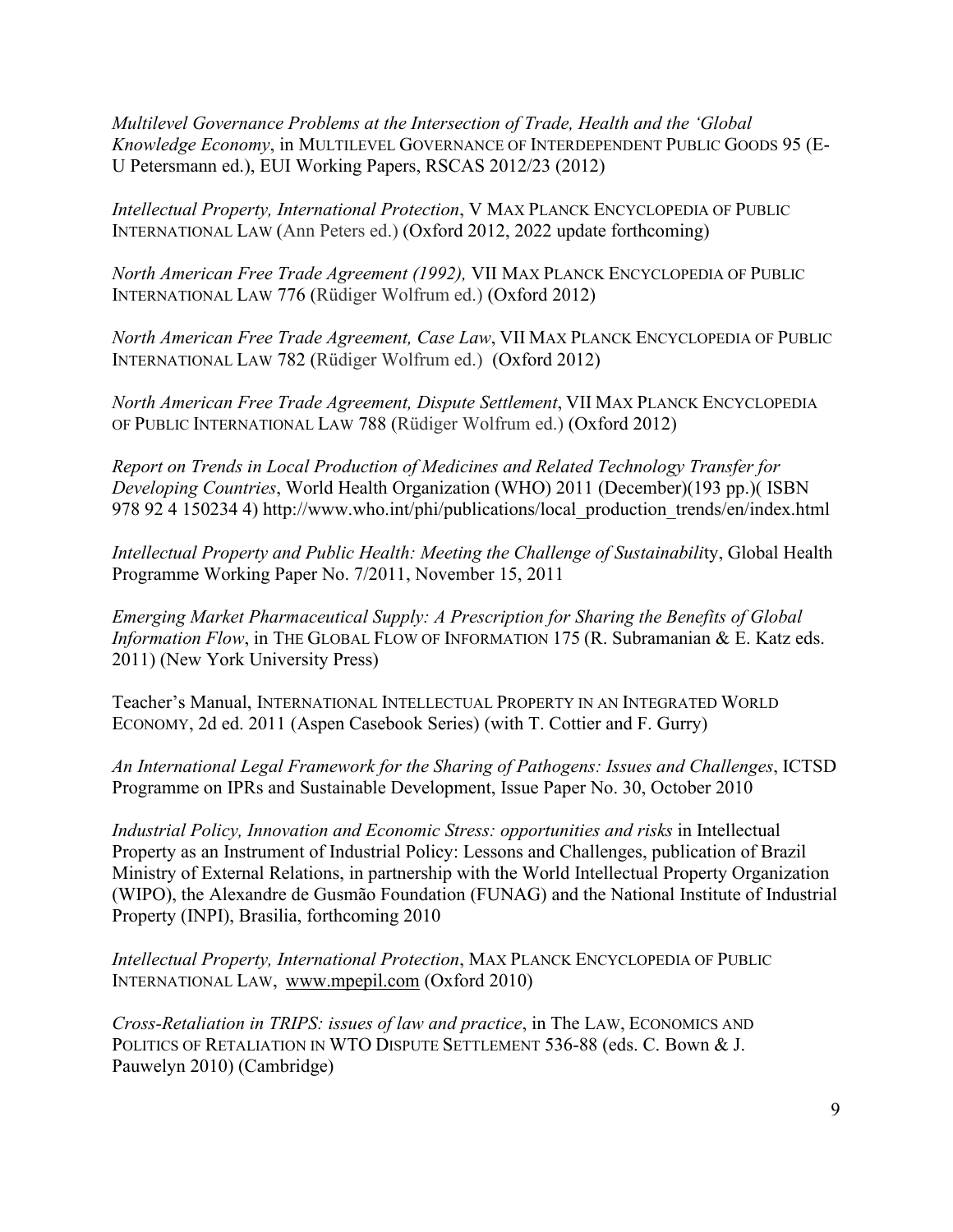*Multilevel Governance Problems at the Intersection of Trade, Health and the 'Global Knowledge Economy*, in MULTILEVEL GOVERNANCE OF INTERDEPENDENT PUBLIC GOODS 95 (E-U Petersmann ed.), EUI Working Papers, RSCAS 2012/23 (2012)

*Intellectual Property, International Protection*, V MAX PLANCK ENCYCLOPEDIA OF PUBLIC INTERNATIONAL LAW (Ann Peters ed.) (Oxford 2012, 2022 update forthcoming)

*North American Free Trade Agreement (1992),* VII MAX PLANCK ENCYCLOPEDIA OF PUBLIC INTERNATIONAL LAW 776 (Rüdiger Wolfrum ed.) (Oxford 2012)

*North American Free Trade Agreement, Case Law*, VII MAX PLANCK ENCYCLOPEDIA OF PUBLIC INTERNATIONAL LAW 782 (Rüdiger Wolfrum ed.) (Oxford 2012)

*North American Free Trade Agreement, Dispute Settlement*, VII MAX PLANCK ENCYCLOPEDIA OF PUBLIC INTERNATIONAL LAW 788 (Rüdiger Wolfrum ed.) (Oxford 2012)

*Report on Trends in Local Production of Medicines and Related Technology Transfer for Developing Countries*, World Health Organization (WHO) 2011 (December)(193 pp.)( ISBN 978 92 4 150234 4) http://www.who.int/phi/publications/local\_production\_trends/en/index.html

*Intellectual Property and Public Health: Meeting the Challenge of Sustainabili*ty, Global Health Programme Working Paper No. 7/2011, November 15, 2011

*Emerging Market Pharmaceutical Supply: A Prescription for Sharing the Benefits of Global Information Flow*, in THE GLOBAL FLOW OF INFORMATION 175 (R. Subramanian & E. Katz eds. 2011) (New York University Press)

Teacher's Manual, INTERNATIONAL INTELLECTUAL PROPERTY IN AN INTEGRATED WORLD ECONOMY, 2d ed. 2011 (Aspen Casebook Series) (with T. Cottier and F. Gurry)

*An International Legal Framework for the Sharing of Pathogens: Issues and Challenges*, ICTSD Programme on IPRs and Sustainable Development, Issue Paper No. 30, October 2010

*Industrial Policy, Innovation and Economic Stress: opportunities and risks* in Intellectual Property as an Instrument of Industrial Policy: Lessons and Challenges, publication of Brazil Ministry of External Relations, in partnership with the World Intellectual Property Organization (WIPO), the Alexandre de Gusmão Foundation (FUNAG) and the National Institute of Industrial Property (INPI), Brasilia, forthcoming 2010

*Intellectual Property, International Protection*, MAX PLANCK ENCYCLOPEDIA OF PUBLIC INTERNATIONAL LAW, [www.mpepil.com](http://www.mpepil.com/) (Oxford 2010)

*Cross-Retaliation in TRIPS: issues of law and practice*, in The LAW, ECONOMICS AND POLITICS OF RETALIATION IN WTO DISPUTE SETTLEMENT 536-88 (eds. C. Bown & J. Pauwelyn 2010) (Cambridge)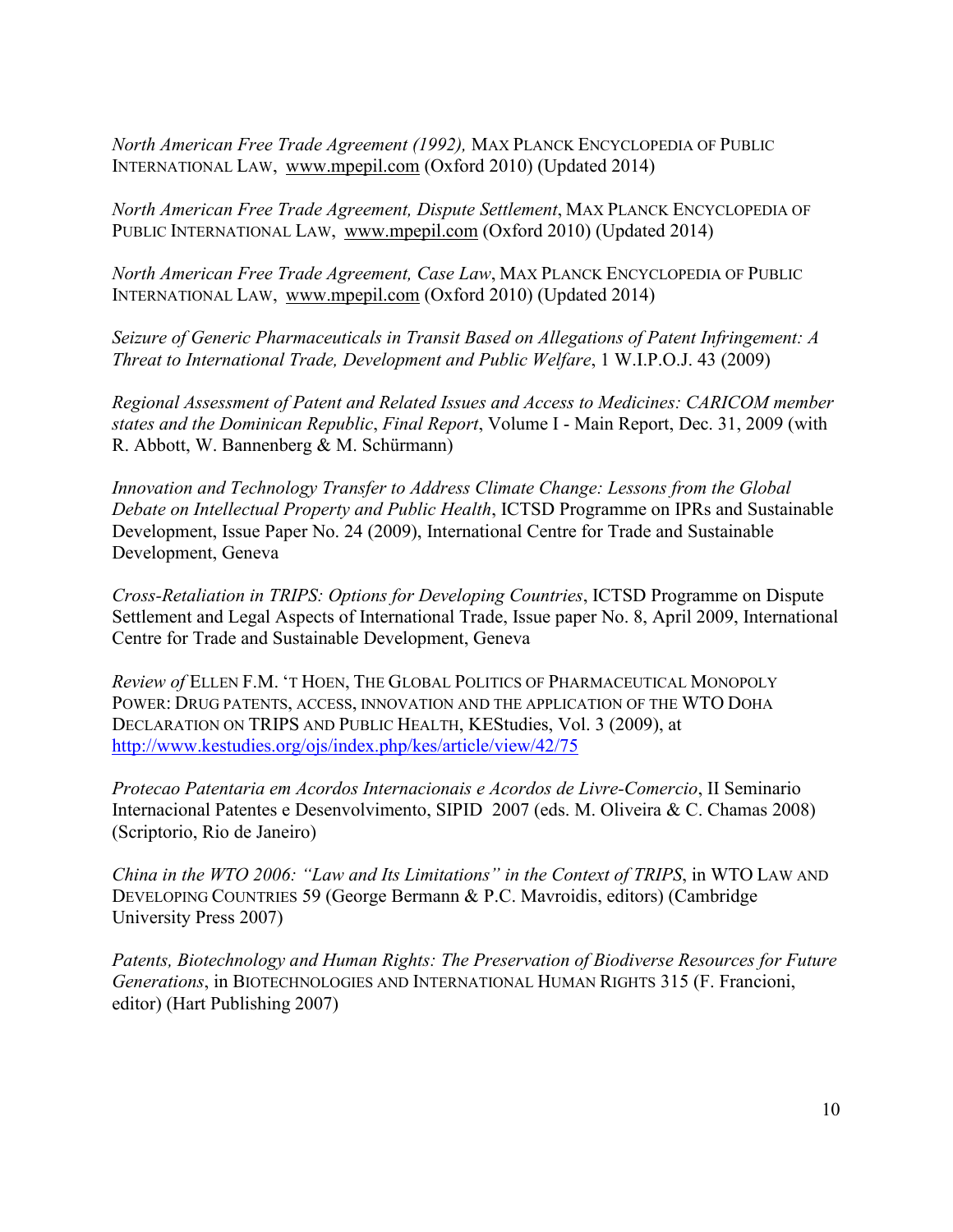*North American Free Trade Agreement (1992),* MAX PLANCK ENCYCLOPEDIA OF PUBLIC INTERNATIONAL LAW, [www.mpepil.com](http://www.mpepil.com/) (Oxford 2010) (Updated 2014)

*North American Free Trade Agreement, Dispute Settlement*, MAX PLANCK ENCYCLOPEDIA OF PUBLIC INTERNATIONAL LAW, [www.mpepil.com](http://www.mpepil.com/) (Oxford 2010) (Updated 2014)

*North American Free Trade Agreement, Case Law*, MAX PLANCK ENCYCLOPEDIA OF PUBLIC INTERNATIONAL LAW, [www.mpepil.com](http://www.mpepil.com/) (Oxford 2010) (Updated 2014)

*Seizure of Generic Pharmaceuticals in Transit Based on Allegations of Patent Infringement: A Threat to International Trade, Development and Public Welfare*, 1 W.I.P.O.J. 43 (2009)

*Regional Assessment of Patent and Related Issues and Access to Medicines: CARICOM member states and the Dominican Republic*, *Final Report*, Volume I - Main Report, Dec. 31, 2009 (with R. Abbott, W. Bannenberg & M. Schürmann)

*Innovation and Technology Transfer to Address Climate Change: Lessons from the Global Debate on Intellectual Property and Public Health*, ICTSD Programme on IPRs and Sustainable Development, Issue Paper No. 24 (2009), International Centre for Trade and Sustainable Development, Geneva

*Cross-Retaliation in TRIPS: Options for Developing Countries*, ICTSD Programme on Dispute Settlement and Legal Aspects of International Trade, Issue paper No. 8, April 2009, International Centre for Trade and Sustainable Development, Geneva

*Review of* ELLEN F.M. 'T HOEN, THE GLOBAL POLITICS OF PHARMACEUTICAL MONOPOLY POWER: DRUG PATENTS, ACCESS, INNOVATION AND THE APPLICATION OF THE WTO DOHA DECLARATION ON TRIPS AND PUBLIC HEALTH, KEStudies, Vol. 3 (2009), at <http://www.kestudies.org/ojs/index.php/kes/article/view/42/75>

*Protecao Patentaria em Acordos Internacionais e Acordos de Livre-Comercio*, II Seminario Internacional Patentes e Desenvolvimento, SIPID 2007 (eds. M. Oliveira & C. Chamas 2008) (Scriptorio, Rio de Janeiro)

*China in the WTO 2006: "Law and Its Limitations" in the Context of TRIPS*, in WTO LAW AND DEVELOPING COUNTRIES 59 (George Bermann & P.C. Mavroidis, editors) (Cambridge University Press 2007)

*Patents, Biotechnology and Human Rights: The Preservation of Biodiverse Resources for Future Generations*, in BIOTECHNOLOGIES AND INTERNATIONAL HUMAN RIGHTS 315 (F. Francioni, editor) (Hart Publishing 2007)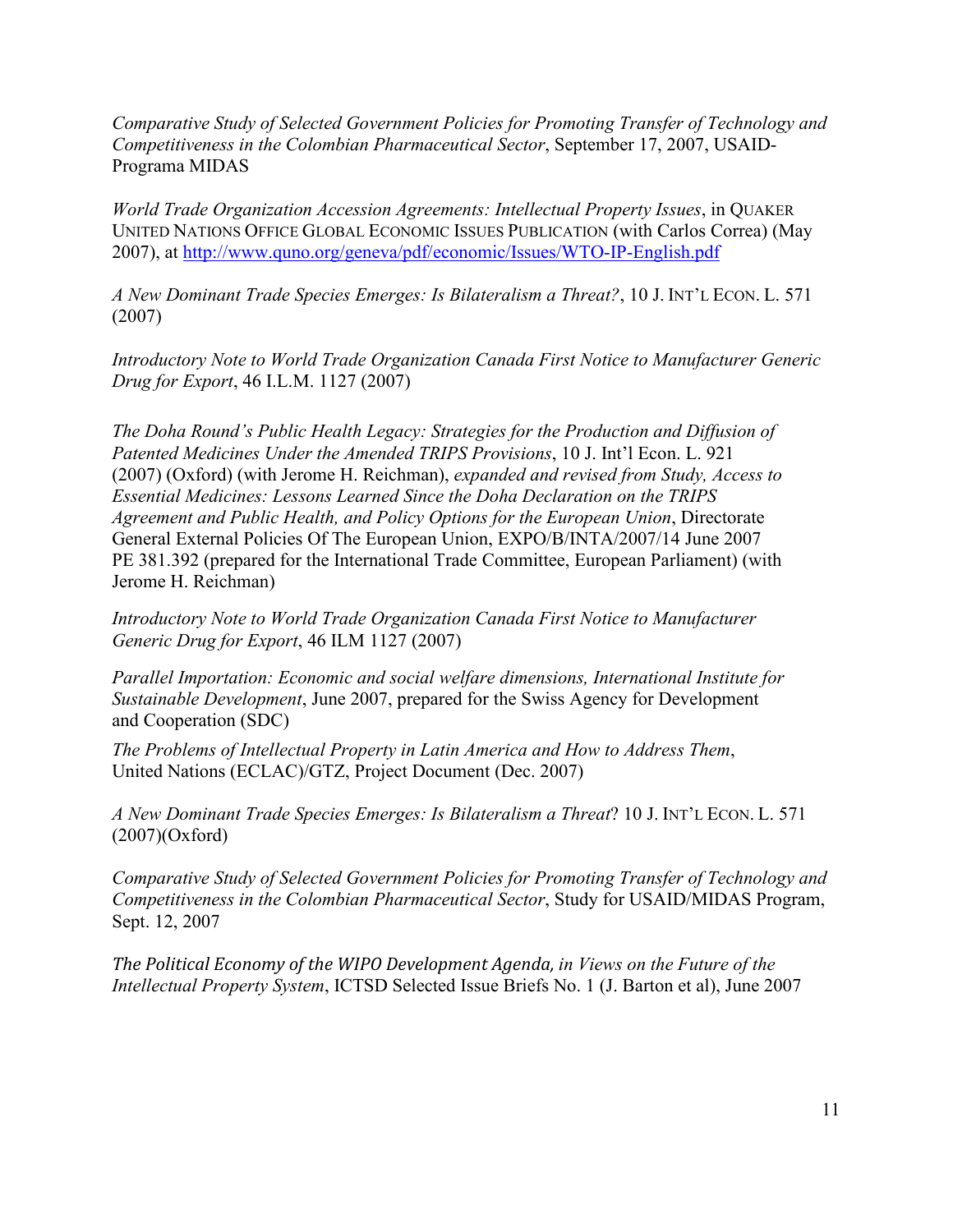*Comparative Study of Selected Government Policies for Promoting Transfer of Technology and Competitiveness in the Colombian Pharmaceutical Sector*, September 17, 2007, USAID-Programa MIDAS

*World Trade Organization Accession Agreements: Intellectual Property Issues*, in QUAKER UNITED NATIONS OFFICE GLOBAL ECONOMIC ISSUES PUBLICATION (with Carlos Correa) (May 2007), at<http://www.quno.org/geneva/pdf/economic/Issues/WTO-IP-English.pdf>

*A New Dominant Trade Species Emerges: Is Bilateralism a Threat?*, 10 J. INT'L ECON. L. 571 (2007)

*Introductory Note to World Trade Organization Canada First Notice to Manufacturer Generic Drug for Export*, 46 I.L.M. 1127 (2007)

*The Doha Round's Public Health Legacy: Strategies for the Production and Diffusion of Patented Medicines Under the Amended TRIPS Provisions*, 10 J. Int'l Econ. L. 921 (2007) (Oxford) (with Jerome H. Reichman), *expanded and revised from Study, Access to Essential Medicines: Lessons Learned Since the Doha Declaration on the TRIPS Agreement and Public Health, and Policy Options for the European Union*, Directorate General External Policies Of The European Union, EXPO/B/INTA/2007/14 June 2007 PE 381.392 (prepared for the International Trade Committee, European Parliament) (with Jerome H. Reichman)

*Introductory Note to World Trade Organization Canada First Notice to Manufacturer Generic Drug for Export*, 46 ILM 1127 (2007)

*Parallel Importation: Economic and social welfare dimensions, International Institute for Sustainable Development*, June 2007, prepared for the Swiss Agency for Development and Cooperation (SDC)

*The Problems of Intellectual Property in Latin America and How to Address Them*, United Nations (ECLAC)/GTZ, Project Document (Dec. 2007)

*A New Dominant Trade Species Emerges: Is Bilateralism a Threat*? 10 J. INT'L ECON. L. 571 (2007)(Oxford)

*Comparative Study of Selected Government Policies for Promoting Transfer of Technology and Competitiveness in the Colombian Pharmaceutical Sector*, Study for USAID/MIDAS Program, Sept. 12, 2007

*The Political Economy of the WIPO Development Agenda, in Views on the Future of the Intellectual Property System*, ICTSD Selected Issue Briefs No. 1 (J. Barton et al), June 2007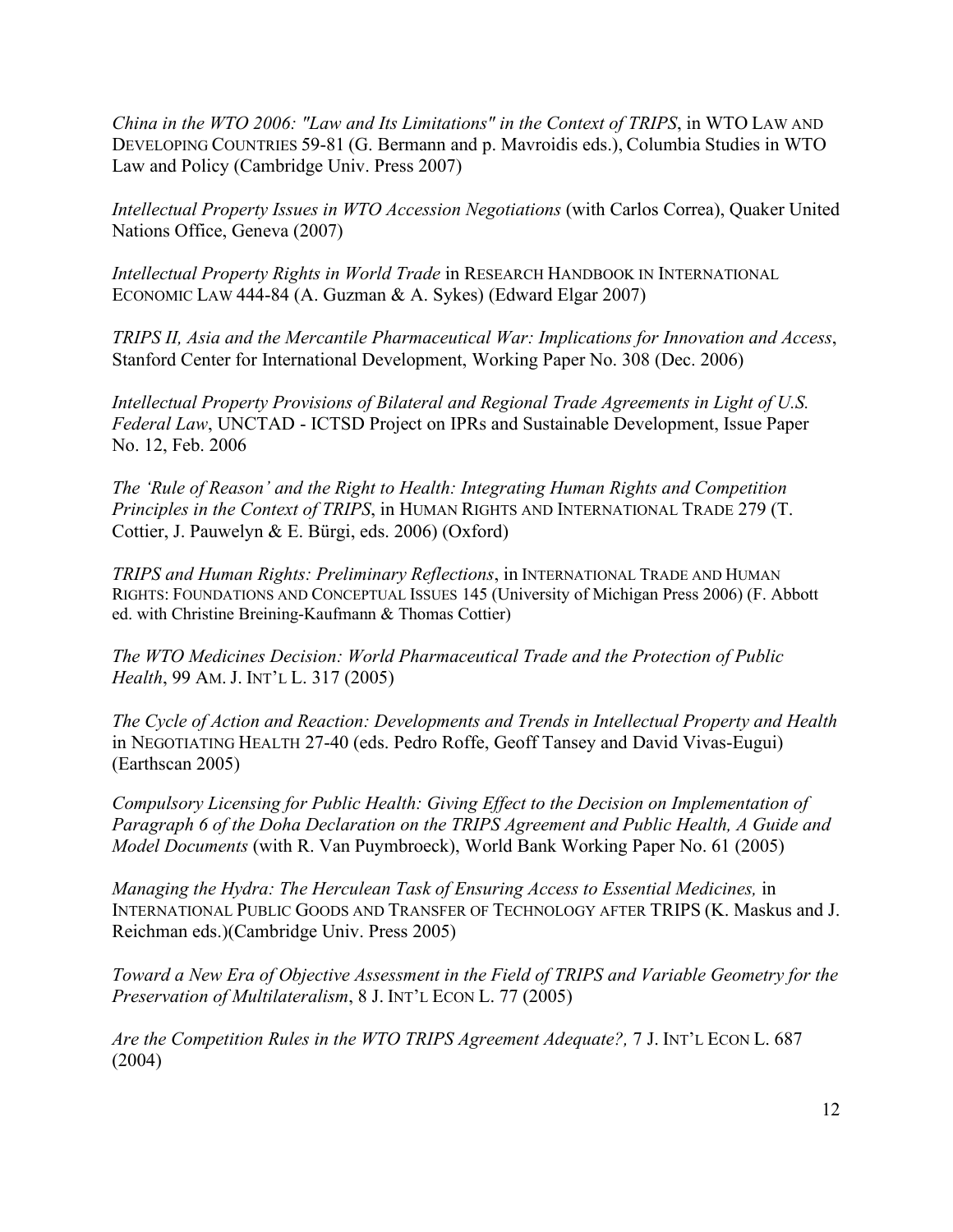*China in the WTO 2006: "Law and Its Limitations" in the Context of TRIPS*, in WTO LAW AND DEVELOPING COUNTRIES 59-81 (G. Bermann and p. Mavroidis eds.), Columbia Studies in WTO Law and Policy (Cambridge Univ. Press 2007)

*Intellectual Property Issues in WTO Accession Negotiations* (with Carlos Correa), Quaker United Nations Office, Geneva (2007)

*Intellectual Property Rights in World Trade* in RESEARCH HANDBOOK IN INTERNATIONAL ECONOMIC LAW 444-84 (A. Guzman & A. Sykes) (Edward Elgar 2007)

*TRIPS II, Asia and the Mercantile Pharmaceutical War: Implications for Innovation and Access*, Stanford Center for International Development, Working Paper No. 308 (Dec. 2006)

*Intellectual Property Provisions of Bilateral and Regional Trade Agreements in Light of U.S. Federal Law*, UNCTAD - ICTSD Project on IPRs and Sustainable Development, Issue Paper No. 12, Feb. 2006

*The 'Rule of Reason' and the Right to Health: Integrating Human Rights and Competition Principles in the Context of TRIPS*, in HUMAN RIGHTS AND INTERNATIONAL TRADE 279 (T. Cottier, J. Pauwelyn & E. Bürgi, eds. 2006) (Oxford)

*TRIPS and Human Rights: Preliminary Reflections*, in INTERNATIONAL TRADE AND HUMAN RIGHTS: FOUNDATIONS AND CONCEPTUAL ISSUES 145 (University of Michigan Press 2006) (F. Abbott ed. with Christine Breining-Kaufmann & Thomas Cottier)

*The WTO Medicines Decision: World Pharmaceutical Trade and the Protection of Public Health*, 99 AM. J. INT'L L. 317 (2005)

*The Cycle of Action and Reaction: Developments and Trends in Intellectual Property and Health* in NEGOTIATING HEALTH 27-40 (eds. Pedro Roffe, Geoff Tansey and David Vivas-Eugui) (Earthscan 2005)

*Compulsory Licensing for Public Health: Giving Effect to the Decision on Implementation of Paragraph 6 of the Doha Declaration on the TRIPS Agreement and Public Health, A Guide and Model Documents* (with R. Van Puymbroeck), World Bank Working Paper No. 61 (2005)

*Managing the Hydra: The Herculean Task of Ensuring Access to Essential Medicines, in* INTERNATIONAL PUBLIC GOODS AND TRANSFER OF TECHNOLOGY AFTER TRIPS (K. Maskus and J. Reichman eds.)(Cambridge Univ. Press 2005)

*Toward a New Era of Objective Assessment in the Field of TRIPS and Variable Geometry for the Preservation of Multilateralism*, 8 J. INT'L ECON L. 77 (2005)

*Are the Competition Rules in the WTO TRIPS Agreement Adequate?,* 7 J. INT'L ECON L. 687 (2004)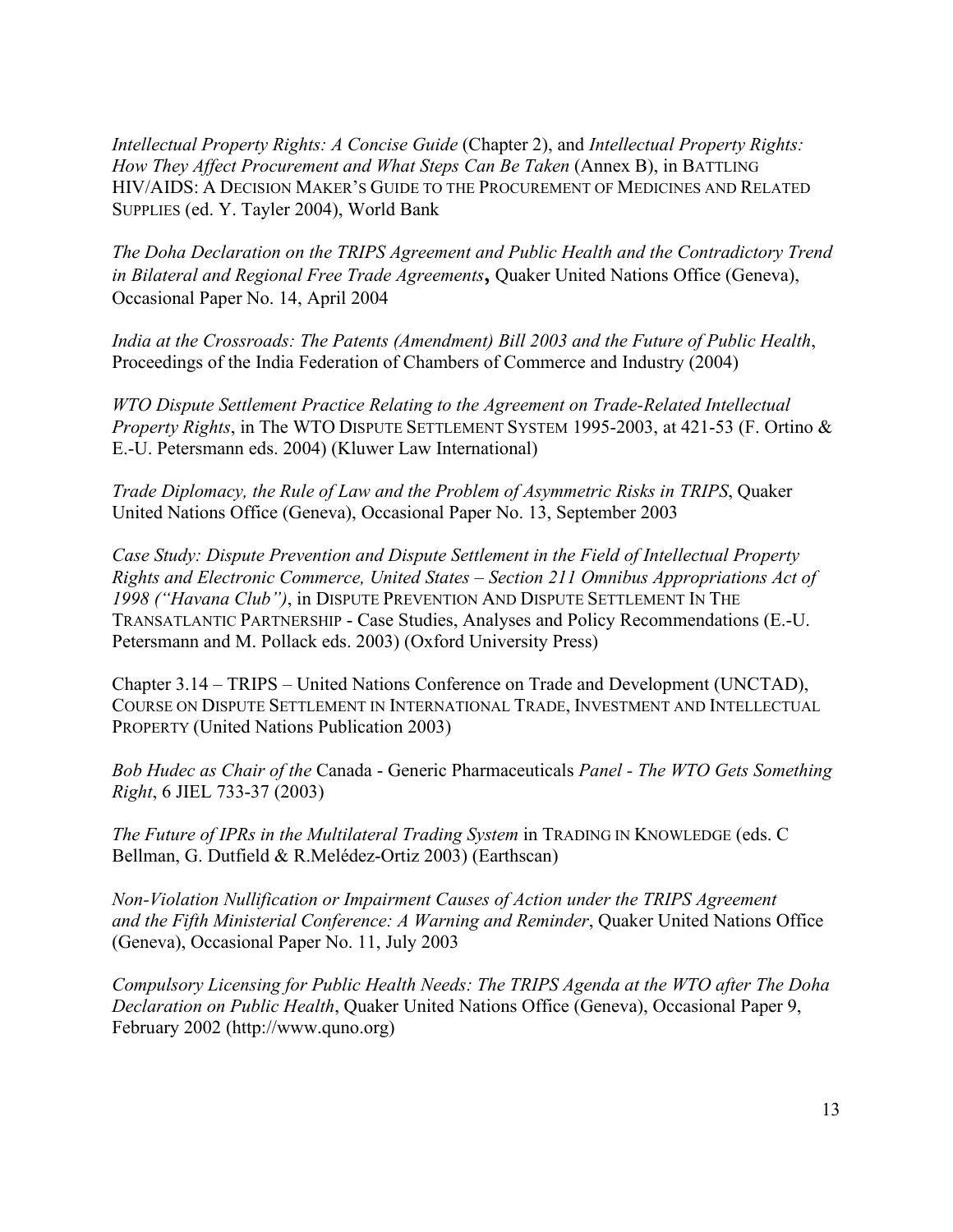*Intellectual Property Rights: A Concise Guide* (Chapter 2), and *Intellectual Property Rights: How They Affect Procurement and What Steps Can Be Taken* (Annex B), in BATTLING HIV/AIDS: A DECISION MAKER'S GUIDE TO THE PROCUREMENT OF MEDICINES AND RELATED SUPPLIES (ed. Y. Tayler 2004), World Bank

*The Doha Declaration on the TRIPS Agreement and Public Health and the Contradictory Trend in Bilateral and Regional Free Trade Agreements***,** Quaker United Nations Office (Geneva), Occasional Paper No. 14, April 2004

*India at the Crossroads: The Patents (Amendment) Bill 2003 and the Future of Public Health*, Proceedings of the India Federation of Chambers of Commerce and Industry (2004)

*WTO Dispute Settlement Practice Relating to the Agreement on Trade-Related Intellectual Property Rights*, in The WTO DISPUTE SETTLEMENT SYSTEM 1995-2003, at 421-53 (F. Ortino & E.-U. Petersmann eds. 2004) (Kluwer Law International)

*Trade Diplomacy, the Rule of Law and the Problem of Asymmetric Risks in TRIPS*, Quaker United Nations Office (Geneva), Occasional Paper No. 13, September 2003

*Case Study: Dispute Prevention and Dispute Settlement in the Field of Intellectual Property Rights and Electronic Commerce, United States – Section 211 Omnibus Appropriations Act of 1998 ("Havana Club")*, in DISPUTE PREVENTION AND DISPUTE SETTLEMENT IN THE TRANSATLANTIC PARTNERSHIP - Case Studies, Analyses and Policy Recommendations (E.-U. Petersmann and M. Pollack eds. 2003) (Oxford University Press)

Chapter 3.14 – TRIPS – United Nations Conference on Trade and Development (UNCTAD), COURSE ON DISPUTE SETTLEMENT IN INTERNATIONAL TRADE, INVESTMENT AND INTELLECTUAL PROPERTY (United Nations Publication 2003)

*Bob Hudec as Chair of the* Canada - Generic Pharmaceuticals *Panel - The WTO Gets Something Right*, 6 JIEL 733-37 (2003)

*The Future of IPRs in the Multilateral Trading System* in TRADING IN KNOWLEDGE (eds. C Bellman, G. Dutfield & R.Melédez-Ortiz 2003) (Earthscan)

*Non-Violation Nullification or Impairment Causes of Action under the TRIPS Agreement and the Fifth Ministerial Conference: A Warning and Reminder*, Quaker United Nations Office (Geneva), Occasional Paper No. 11, July 2003

*Compulsory Licensing for Public Health Needs: The TRIPS Agenda at the WTO after The Doha Declaration on Public Health*, Quaker United Nations Office (Geneva), Occasional Paper 9, February 2002 (http://www.quno.org)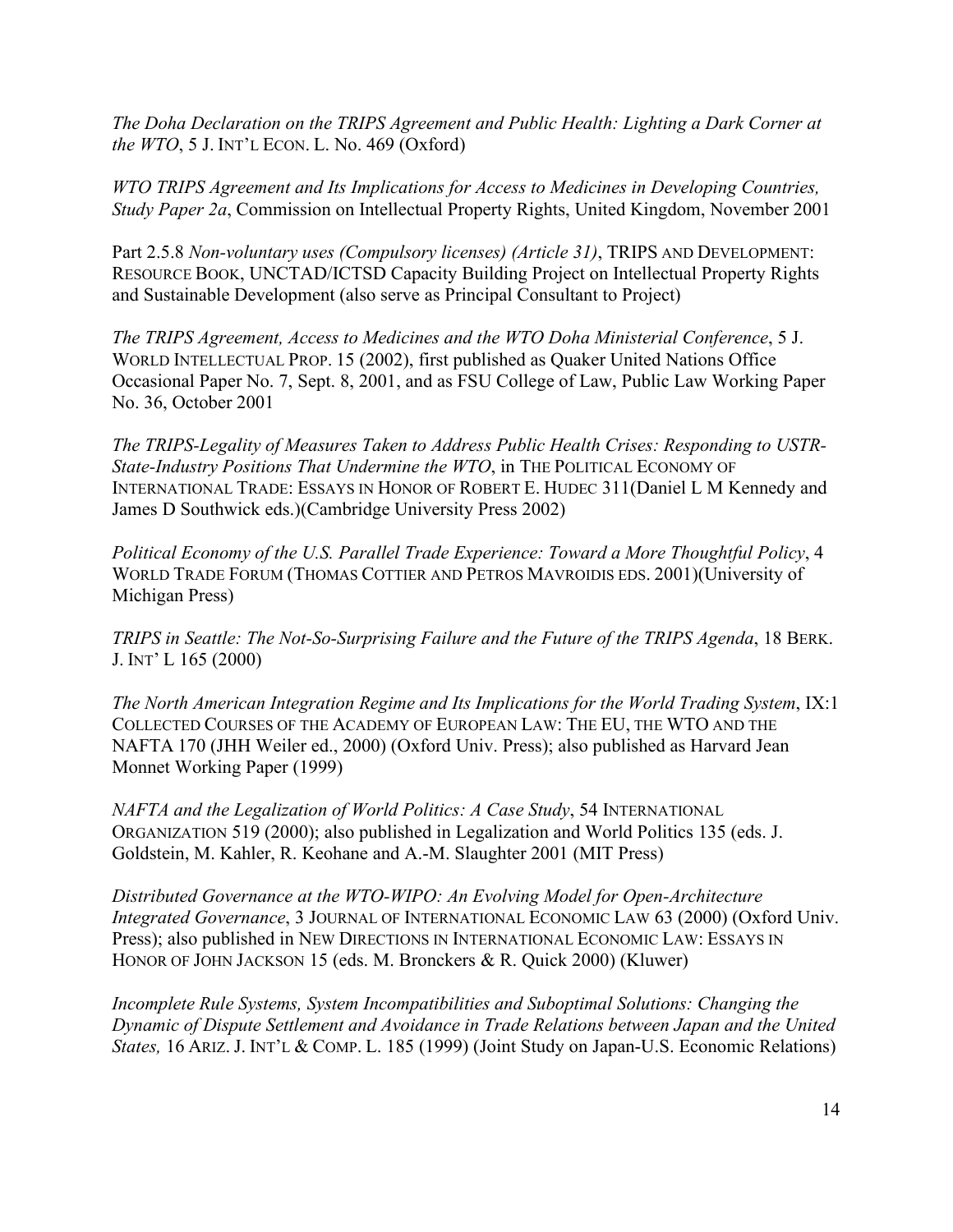*The Doha Declaration on the TRIPS Agreement and Public Health: Lighting a Dark Corner at the WTO*, 5 J. INT'L ECON. L. No. 469 (Oxford)

*WTO TRIPS Agreement and Its Implications for Access to Medicines in Developing Countries, Study Paper 2a*, Commission on Intellectual Property Rights, United Kingdom, November 2001

Part 2.5.8 *Non-voluntary uses (Compulsory licenses) (Article 31)*, TRIPS AND DEVELOPMENT: RESOURCE BOOK, UNCTAD/ICTSD Capacity Building Project on Intellectual Property Rights and Sustainable Development (also serve as Principal Consultant to Project)

*The TRIPS Agreement, Access to Medicines and the WTO Doha Ministerial Conference*, 5 J. WORLD INTELLECTUAL PROP. 15 (2002), first published as Quaker United Nations Office Occasional Paper No. 7, Sept. 8, 2001, and as FSU College of Law, Public Law Working Paper No. 36, October 2001

*The TRIPS-Legality of Measures Taken to Address Public Health Crises: Responding to USTR-State-Industry Positions That Undermine the WTO*, in THE POLITICAL ECONOMY OF INTERNATIONAL TRADE: ESSAYS IN HONOR OF ROBERT E. HUDEC 311(Daniel L M Kennedy and James D Southwick eds.)(Cambridge University Press 2002)

*Political Economy of the U.S. Parallel Trade Experience: Toward a More Thoughtful Policy*, 4 WORLD TRADE FORUM (THOMAS COTTIER AND PETROS MAVROIDIS EDS. 2001)(University of Michigan Press)

*TRIPS in Seattle: The Not-So-Surprising Failure and the Future of the TRIPS Agenda*, 18 BERK. J. INT' L 165 (2000)

*The North American Integration Regime and Its Implications for the World Trading System*, IX:1 COLLECTED COURSES OF THE ACADEMY OF EUROPEAN LAW: THE EU, THE WTO AND THE NAFTA 170 (JHH Weiler ed., 2000) (Oxford Univ. Press); also published as Harvard Jean Monnet Working Paper (1999)

*NAFTA and the Legalization of World Politics: A Case Study*, 54 INTERNATIONAL ORGANIZATION 519 (2000); also published in Legalization and World Politics 135 (eds. J. Goldstein, M. Kahler, R. Keohane and A.-M. Slaughter 2001 (MIT Press)

*Distributed Governance at the WTO-WIPO: An Evolving Model for Open-Architecture Integrated Governance*, 3 JOURNAL OF INTERNATIONAL ECONOMIC LAW 63 (2000) (Oxford Univ. Press); also published in NEW DIRECTIONS IN INTERNATIONAL ECONOMIC LAW: ESSAYS IN HONOR OF JOHN JACKSON 15 (eds. M. Bronckers & R. Quick 2000) (Kluwer)

*Incomplete Rule Systems, System Incompatibilities and Suboptimal Solutions: Changing the Dynamic of Dispute Settlement and Avoidance in Trade Relations between Japan and the United States,* 16 ARIZ. J. INT'L & COMP. L. 185 (1999) (Joint Study on Japan-U.S. Economic Relations)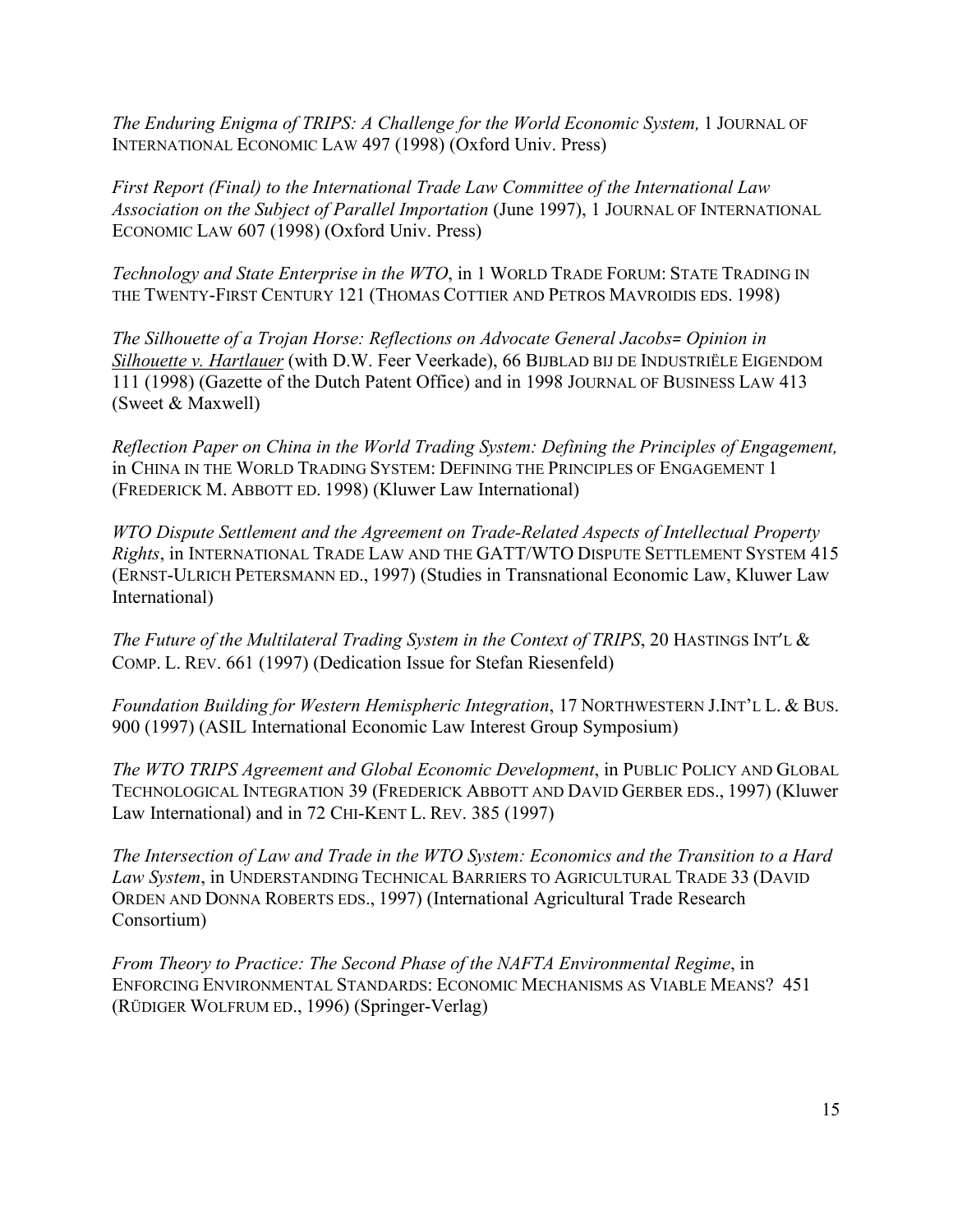*The Enduring Enigma of TRIPS: A Challenge for the World Economic System,* 1 JOURNAL OF INTERNATIONAL ECONOMIC LAW 497 (1998) (Oxford Univ. Press)

*First Report (Final) to the International Trade Law Committee of the International Law Association on the Subject of Parallel Importation* (June 1997), 1 JOURNAL OF INTERNATIONAL ECONOMIC LAW 607 (1998) (Oxford Univ. Press)

*Technology and State Enterprise in the WTO*, in 1 WORLD TRADE FORUM: STATE TRADING IN THE TWENTY-FIRST CENTURY 121 (THOMAS COTTIER AND PETROS MAVROIDIS EDS. 1998)

*The Silhouette of a Trojan Horse: Reflections on Advocate General Jacobs= Opinion in Silhouette v. Hartlauer* (with D.W. Feer Veerkade), 66 BIJBLAD BIJ DE INDUSTRIËLE EIGENDOM 111 (1998) (Gazette of the Dutch Patent Office) and in 1998 JOURNAL OF BUSINESS LAW 413 (Sweet & Maxwell)

*Reflection Paper on China in the World Trading System: Defining the Principles of Engagement,* in CHINA IN THE WORLD TRADING SYSTEM: DEFINING THE PRINCIPLES OF ENGAGEMENT 1 (FREDERICK M. ABBOTT ED. 1998) (Kluwer Law International)

*WTO Dispute Settlement and the Agreement on Trade-Related Aspects of Intellectual Property Rights*, in INTERNATIONAL TRADE LAW AND THE GATT/WTO DISPUTE SETTLEMENT SYSTEM 415 (ERNST-ULRICH PETERSMANN ED., 1997) (Studies in Transnational Economic Law, Kluwer Law International)

*The Future of the Multilateral Trading System in the Context of TRIPS*, 20 HASTINGS INT'L & COMP. L. REV. 661 (1997) (Dedication Issue for Stefan Riesenfeld)

*Foundation Building for Western Hemispheric Integration*, 17 NORTHWESTERN J.INT'L L. & BUS. 900 (1997) (ASIL International Economic Law Interest Group Symposium)

*The WTO TRIPS Agreement and Global Economic Development*, in PUBLIC POLICY AND GLOBAL TECHNOLOGICAL INTEGRATION 39 (FREDERICK ABBOTT AND DAVID GERBER EDS., 1997) (Kluwer Law International) and in 72 CHI-KENT L. REV. 385 (1997)

*The Intersection of Law and Trade in the WTO System: Economics and the Transition to a Hard Law System*, in UNDERSTANDING TECHNICAL BARRIERS TO AGRICULTURAL TRADE 33 (DAVID ORDEN AND DONNA ROBERTS EDS., 1997) (International Agricultural Trade Research Consortium)

*From Theory to Practice: The Second Phase of the NAFTA Environmental Regime*, in ENFORCING ENVIRONMENTAL STANDARDS: ECONOMIC MECHANISMS AS VIABLE MEANS? 451 (RÜDIGER WOLFRUM ED., 1996) (Springer-Verlag)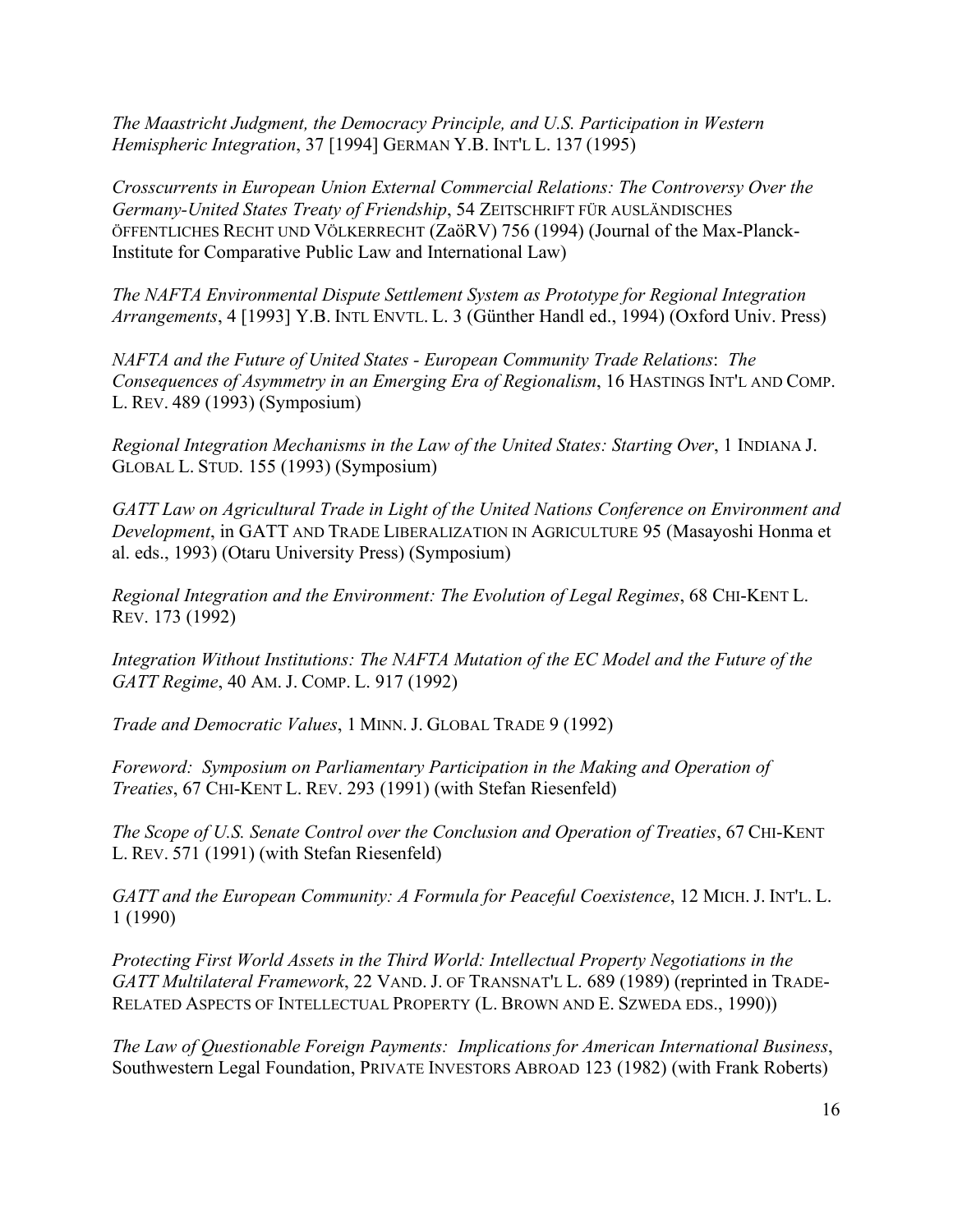*The Maastricht Judgment, the Democracy Principle, and U.S. Participation in Western Hemispheric Integration*, 37 [1994] GERMAN Y.B. INT'L L. 137 (1995)

*Crosscurrents in European Union External Commercial Relations: The Controversy Over the Germany-United States Treaty of Friendship*, 54 ZEITSCHRIFT FÜR AUSLÄNDISCHES ÖFFENTLICHES RECHT UND VÖLKERRECHT (ZaöRV) 756 (1994) (Journal of the Max-Planck-Institute for Comparative Public Law and International Law)

*The NAFTA Environmental Dispute Settlement System as Prototype for Regional Integration Arrangements*, 4 [1993] Y.B. INTL ENVTL. L. 3 (Günther Handl ed., 1994) (Oxford Univ. Press)

*NAFTA and the Future of United States - European Community Trade Relations*: *The Consequences of Asymmetry in an Emerging Era of Regionalism*, 16 HASTINGS INT'L AND COMP. L. REV. 489 (1993) (Symposium)

*Regional Integration Mechanisms in the Law of the United States: Starting Over*, 1 INDIANA J. GLOBAL L. STUD. 155 (1993) (Symposium)

*GATT Law on Agricultural Trade in Light of the United Nations Conference on Environment and Development*, in GATT AND TRADE LIBERALIZATION IN AGRICULTURE 95 (Masayoshi Honma et al. eds., 1993) (Otaru University Press) (Symposium)

*Regional Integration and the Environment: The Evolution of Legal Regimes*, 68 CHI-KENT L. REV. 173 (1992)

*Integration Without Institutions: The NAFTA Mutation of the EC Model and the Future of the GATT Regime*, 40 AM. J. COMP. L. 917 (1992)

*Trade and Democratic Values*, 1 MINN. J. GLOBAL TRADE 9 (1992)

*Foreword: Symposium on Parliamentary Participation in the Making and Operation of Treaties*, 67 CHI-KENT L. REV. 293 (1991) (with Stefan Riesenfeld)

*The Scope of U.S. Senate Control over the Conclusion and Operation of Treaties*, 67 CHI-KENT L. REV. 571 (1991) (with Stefan Riesenfeld)

*GATT and the European Community: A Formula for Peaceful Coexistence*, 12 MICH. J. INT'L. L. 1 (1990)

*Protecting First World Assets in the Third World: Intellectual Property Negotiations in the GATT Multilateral Framework*, 22 VAND. J. OF TRANSNAT'L L. 689 (1989) (reprinted in TRADE-RELATED ASPECTS OF INTELLECTUAL PROPERTY (L. BROWN AND E. SZWEDA EDS., 1990))

*The Law of Questionable Foreign Payments: Implications for American International Business*, Southwestern Legal Foundation, PRIVATE INVESTORS ABROAD 123 (1982) (with Frank Roberts)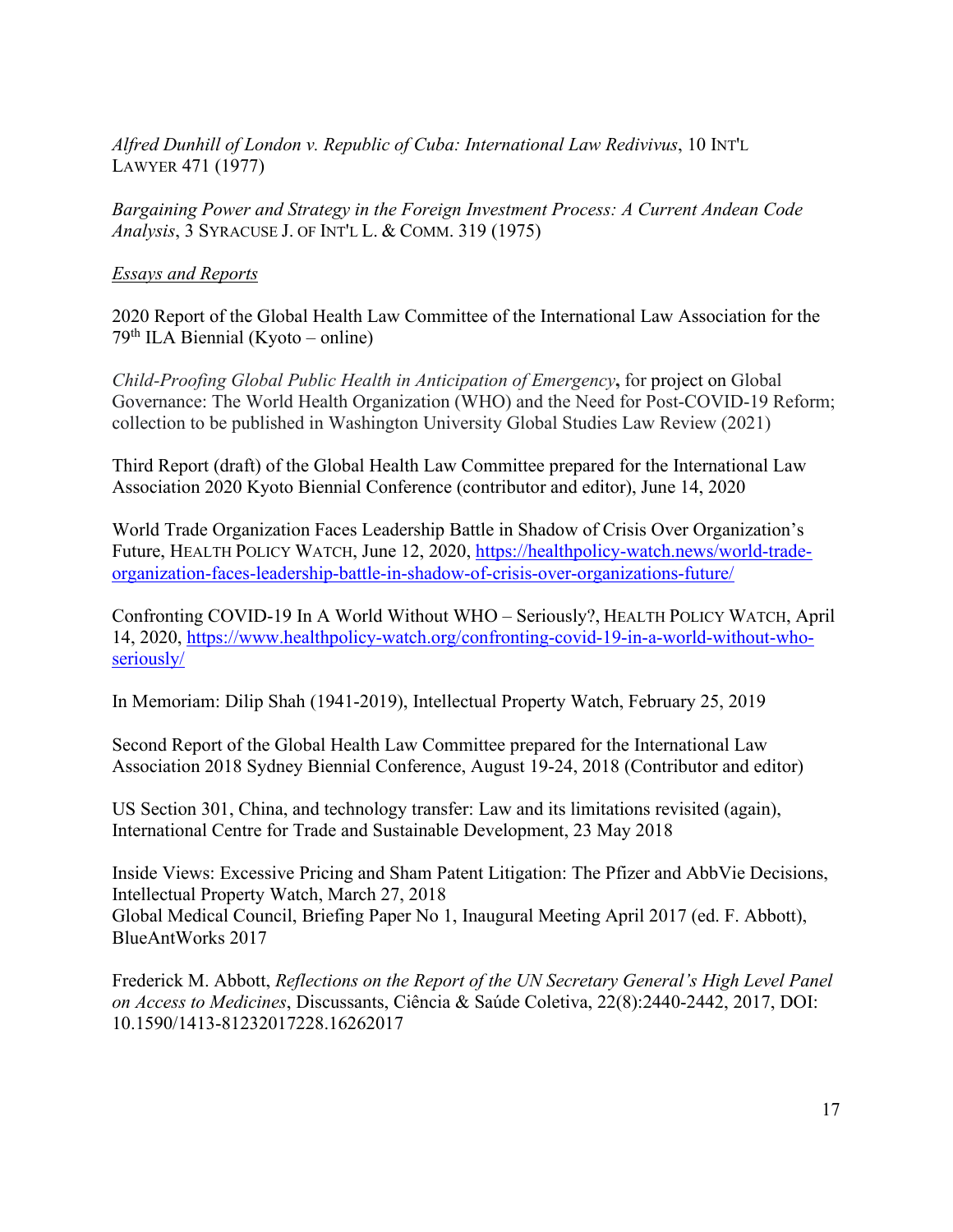*Alfred Dunhill of London v. Republic of Cuba: International Law Redivivus*, 10 INT'L LAWYER 471 (1977)

*Bargaining Power and Strategy in the Foreign Investment Process: A Current Andean Code Analysis*, 3 SYRACUSE J. OF INT'L L. & COMM. 319 (1975)

# *Essays and Reports*

2020 Report of the Global Health Law Committee of the International Law Association for the  $79<sup>th</sup> ILA Biennial (Kvoto - online)$ 

*Child-Proofing Global Public Health in Anticipation of Emergency***,** for project on Global Governance: The World Health Organization (WHO) and the Need for Post-COVID-19 Reform; collection to be published in Washington University Global Studies Law Review (2021)

Third Report (draft) of the Global Health Law Committee prepared for the International Law Association 2020 Kyoto Biennial Conference (contributor and editor), June 14, 2020

World Trade Organization Faces Leadership Battle in Shadow of Crisis Over Organization's Future, HEALTH POLICY WATCH, June 12, 2020, [https://healthpolicy-watch.news/world-trade](https://healthpolicy-watch.news/world-trade-organization-faces-leadership-battle-in-shadow-of-crisis-over-organizations-future/)[organization-faces-leadership-battle-in-shadow-of-crisis-over-organizations-future/](https://healthpolicy-watch.news/world-trade-organization-faces-leadership-battle-in-shadow-of-crisis-over-organizations-future/)

Confronting COVID-19 In A World Without WHO – Seriously?, HEALTH POLICY WATCH, April 14, 2020, [https://www.healthpolicy-watch.org/confronting-covid-19-in-a-world-without-who](https://www.healthpolicy-watch.org/confronting-covid-19-in-a-world-without-who-seriously/)[seriously/](https://www.healthpolicy-watch.org/confronting-covid-19-in-a-world-without-who-seriously/)

In Memoriam: Dilip Shah (1941-2019), Intellectual Property Watch, February 25, 2019

Second Report of the Global Health Law Committee prepared for the International Law Association 2018 Sydney Biennial Conference, August 19-24, 2018 (Contributor and editor)

US Section 301, China, and technology transfer: Law and its limitations revisited (again), International Centre for Trade and Sustainable Development, 23 May 2018

Inside Views: Excessive Pricing and Sham Patent Litigation: The Pfizer and AbbVie Decisions, Intellectual Property Watch, March 27, 2018 Global Medical Council, Briefing Paper No 1, Inaugural Meeting April 2017 (ed. F. Abbott), BlueAntWorks 2017

Frederick M. Abbott, *Reflections on the Report of the UN Secretary General's High Level Panel on Access to Medicines*, Discussants, Ciência & Saúde Coletiva, 22(8):2440-2442, 2017, DOI: 10.1590/1413-81232017228.16262017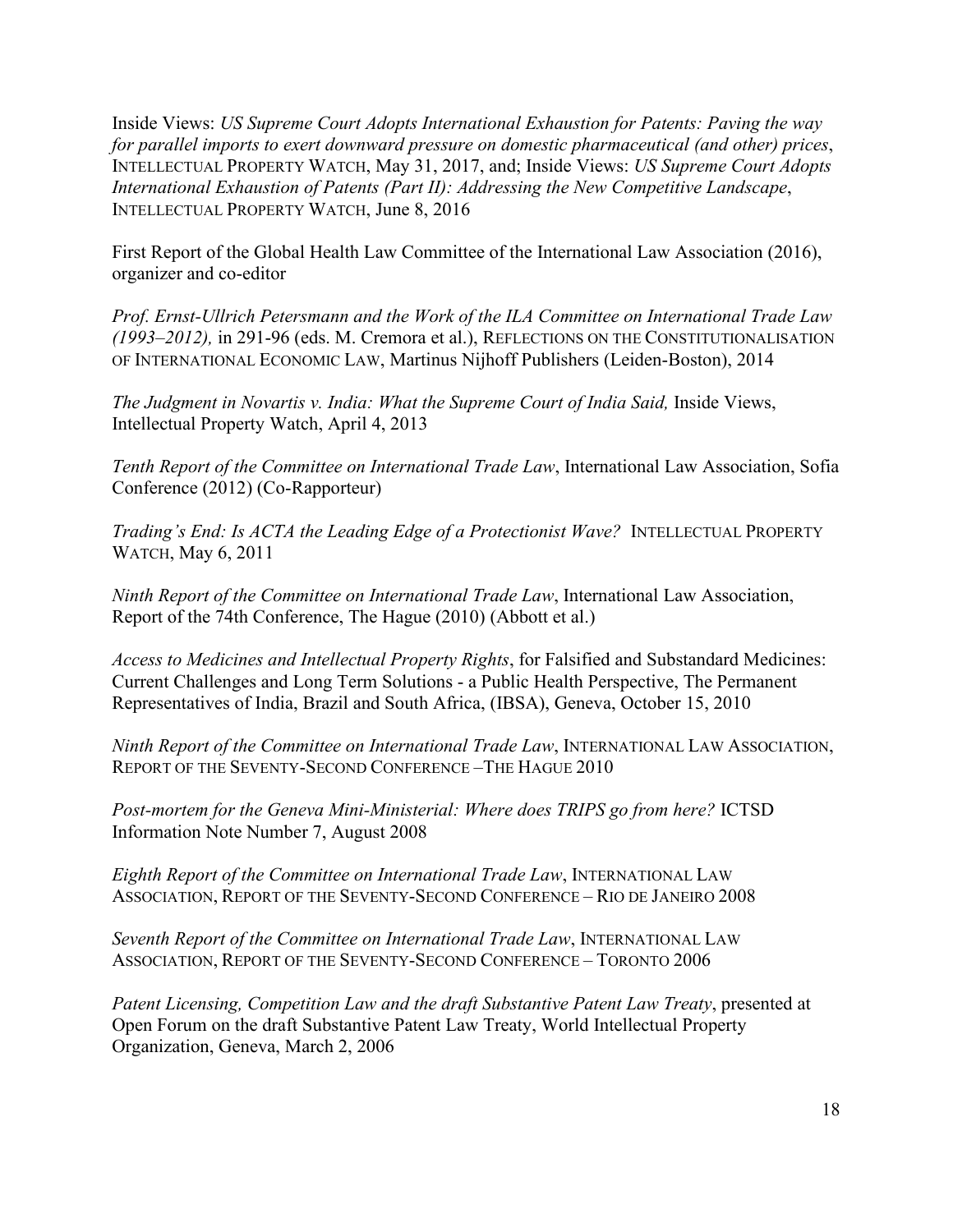Inside Views: *US Supreme Court Adopts International Exhaustion for Patents: Paving the way for parallel imports to exert downward pressure on domestic pharmaceutical (and other) prices*, INTELLECTUAL PROPERTY WATCH, May 31, 2017, and; Inside Views: *US Supreme Court Adopts International Exhaustion of Patents (Part II): Addressing the New Competitive Landscape*, INTELLECTUAL PROPERTY WATCH, June 8, 2016

First Report of the Global Health Law Committee of the International Law Association (2016), organizer and co-editor

*Prof. Ernst-Ullrich Petersmann and the Work of the ILA Committee on International Trade Law (1993–2012),* in 291-96 (eds. M. Cremora et al.), REFLECTIONS ON THE CONSTITUTIONALISATION OF INTERNATIONAL ECONOMIC LAW, Martinus Nijhoff Publishers (Leiden-Boston), 2014

*The Judgment in Novartis v. India: What the Supreme Court of India Said, Inside Views,* Intellectual Property Watch, April 4, 2013

*Tenth Report of the Committee on International Trade Law*, International Law Association, Sofia Conference (2012) (Co-Rapporteur)

*Trading's End: Is ACTA the Leading Edge of a Protectionist Wave?* INTELLECTUAL PROPERTY WATCH, May 6, 2011

*Ninth Report of the Committee on International Trade Law*, International Law Association, Report of the 74th Conference, The Hague (2010) (Abbott et al.)

*Access to Medicines and Intellectual Property Rights*, for Falsified and Substandard Medicines: Current Challenges and Long Term Solutions - a Public Health Perspective, The Permanent Representatives of India, Brazil and South Africa, (IBSA), Geneva, October 15, 2010

*Ninth Report of the Committee on International Trade Law*, INTERNATIONAL LAW ASSOCIATION, REPORT OF THE SEVENTY-SECOND CONFERENCE –THE HAGUE 2010

*Post-mortem for the Geneva Mini-Ministerial: Where does TRIPS go from here?* ICTSD Information Note Number 7, August 2008

*Eighth Report of the Committee on International Trade Law*, INTERNATIONAL LAW ASSOCIATION, REPORT OF THE SEVENTY-SECOND CONFERENCE – RIO DE JANEIRO 2008

*Seventh Report of the Committee on International Trade Law*, INTERNATIONAL LAW ASSOCIATION, REPORT OF THE SEVENTY-SECOND CONFERENCE – TORONTO 2006

*Patent Licensing, Competition Law and the draft Substantive Patent Law Treaty*, presented at Open Forum on the draft Substantive Patent Law Treaty, World Intellectual Property Organization, Geneva, March 2, 2006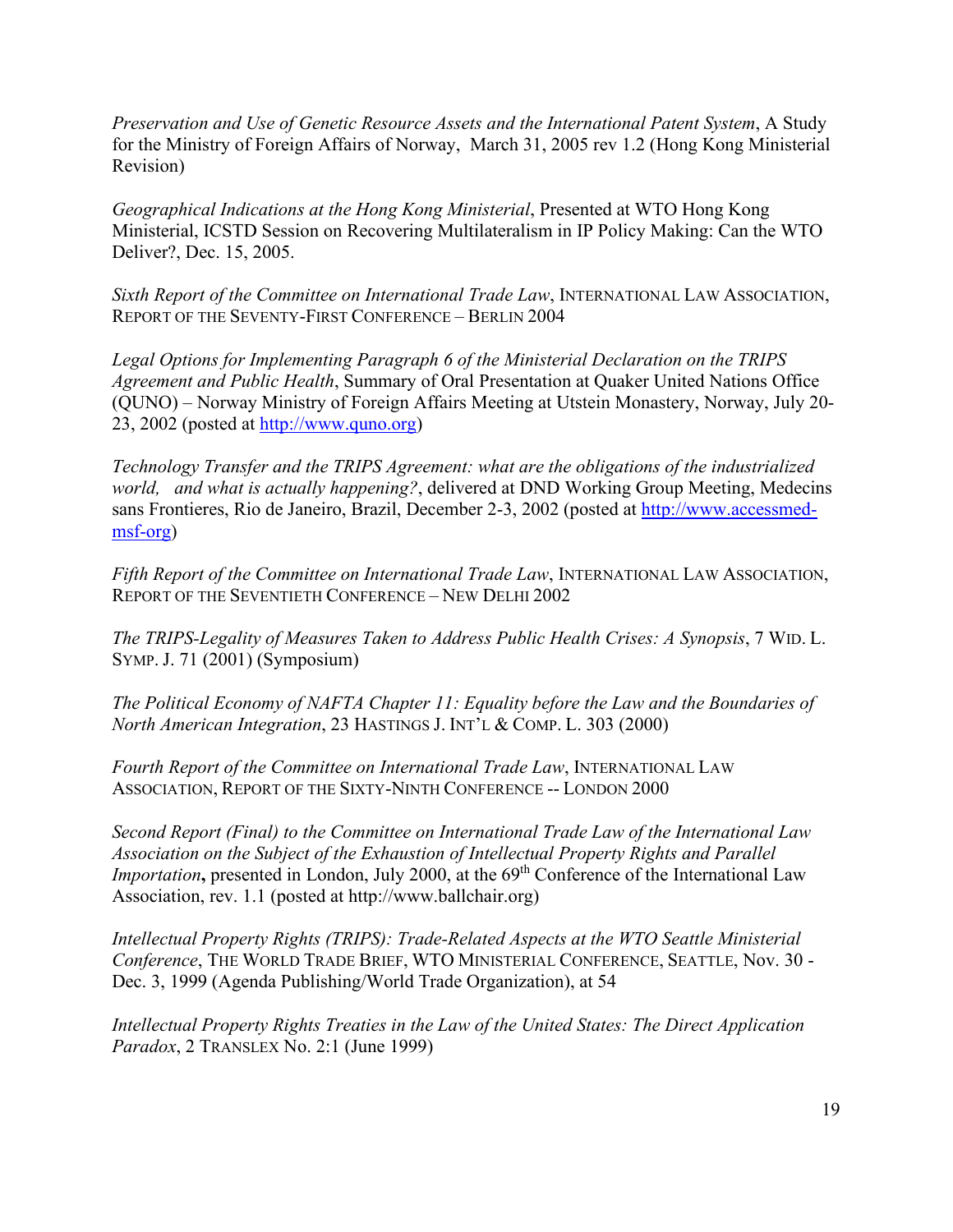*Preservation and Use of Genetic Resource Assets and the International Patent System*, A Study for the Ministry of Foreign Affairs of Norway, March 31, 2005 rev 1.2 (Hong Kong Ministerial Revision)

*Geographical Indications at the Hong Kong Ministerial*, Presented at WTO Hong Kong Ministerial, ICSTD Session on Recovering Multilateralism in IP Policy Making: Can the WTO Deliver?, Dec. 15, 2005.

*Sixth Report of the Committee on International Trade Law*, INTERNATIONAL LAW ASSOCIATION, REPORT OF THE SEVENTY-FIRST CONFERENCE – BERLIN 2004

*Legal Options for Implementing Paragraph 6 of the Ministerial Declaration on the TRIPS Agreement and Public Health*, Summary of Oral Presentation at Quaker United Nations Office (QUNO) – Norway Ministry of Foreign Affairs Meeting at Utstein Monastery, Norway, July 20- 23, 2002 (posted at [http://www.quno.org\)](http://www.quno.org/)

*Technology Transfer and the TRIPS Agreement: what are the obligations of the industrialized world, and what is actually happening?*, delivered at DND Working Group Meeting, Medecins sans Frontieres, Rio de Janeiro, Brazil, December 2-3, 2002 (posted at [http://www.accessmed](http://www.accessmed-msf-org/)[msf-org\)](http://www.accessmed-msf-org/)

*Fifth Report of the Committee on International Trade Law*, INTERNATIONAL LAW ASSOCIATION, REPORT OF THE SEVENTIETH CONFERENCE – NEW DELHI 2002

*The TRIPS-Legality of Measures Taken to Address Public Health Crises: A Synopsis*, 7 WID. L. SYMP. J. 71 (2001) (Symposium)

*The Political Economy of NAFTA Chapter 11: Equality before the Law and the Boundaries of North American Integration*, 23 HASTINGS J. INT'L & COMP. L. 303 (2000)

*Fourth Report of the Committee on International Trade Law*, INTERNATIONAL LAW ASSOCIATION, REPORT OF THE SIXTY-NINTH CONFERENCE -- LONDON 2000

*Second Report (Final) to the Committee on International Trade Law of the International Law Association on the Subject of the Exhaustion of Intellectual Property Rights and Parallel Importation*, presented in London, July 2000, at the 69<sup>th</sup> Conference of the International Law Association, rev. 1.1 (posted at http://www.ballchair.org)

*Intellectual Property Rights (TRIPS): Trade-Related Aspects at the WTO Seattle Ministerial Conference*, THE WORLD TRADE BRIEF, WTO MINISTERIAL CONFERENCE, SEATTLE, Nov. 30 - Dec. 3, 1999 (Agenda Publishing/World Trade Organization), at 54

*Intellectual Property Rights Treaties in the Law of the United States: The Direct Application Paradox*, 2 TRANSLEX No. 2:1 (June 1999)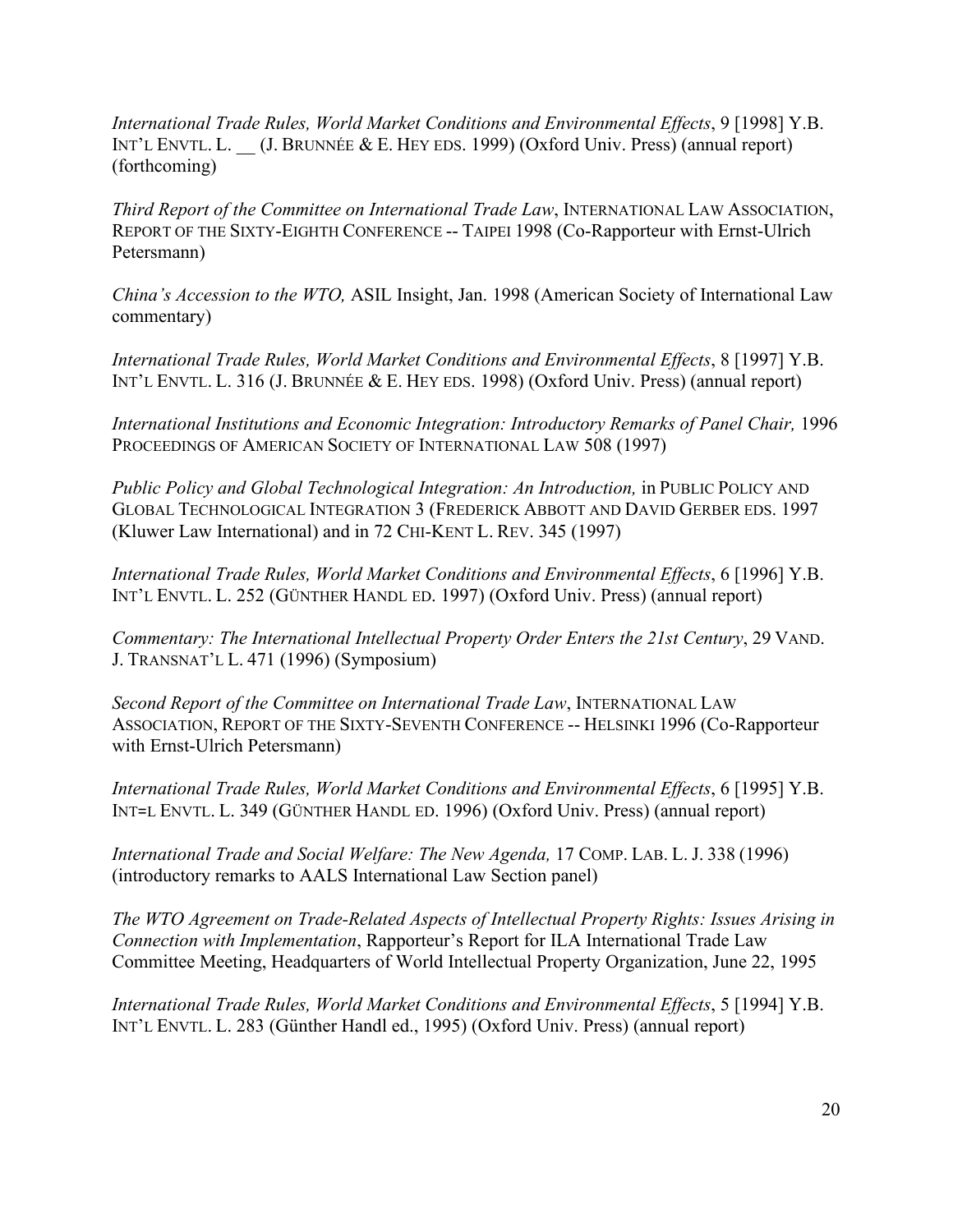*International Trade Rules, World Market Conditions and Environmental Effects*, 9 [1998] Y.B. INT'L ENVTL. L. (J. BRUNNÉE & E. HEY EDS. 1999) (Oxford Univ. Press) (annual report) (forthcoming)

*Third Report of the Committee on International Trade Law*, INTERNATIONAL LAW ASSOCIATION, REPORT OF THE SIXTY-EIGHTH CONFERENCE -- TAIPEI 1998 (Co-Rapporteur with Ernst-Ulrich Petersmann)

*China's Accession to the WTO,* ASIL Insight, Jan. 1998 (American Society of International Law commentary)

*International Trade Rules, World Market Conditions and Environmental Effects*, 8 [1997] Y.B. INT'L ENVTL. L. 316 (J. BRUNNÉE & E. HEY EDS. 1998) (Oxford Univ. Press) (annual report)

International Institutions and Economic Integration: Introductory Remarks of Panel Chair, 1996 PROCEEDINGS OF AMERICAN SOCIETY OF INTERNATIONAL LAW 508 (1997)

*Public Policy and Global Technological Integration: An Introduction,* in PUBLIC POLICY AND GLOBAL TECHNOLOGICAL INTEGRATION 3 (FREDERICK ABBOTT AND DAVID GERBER EDS. 1997 (Kluwer Law International) and in 72 CHI-KENT L. REV. 345 (1997)

*International Trade Rules, World Market Conditions and Environmental Effects*, 6 [1996] Y.B. INT'L ENVTL. L. 252 (GÜNTHER HANDL ED. 1997) (Oxford Univ. Press) (annual report)

*Commentary: The International Intellectual Property Order Enters the 21st Century*, 29 VAND. J. TRANSNAT'L L. 471 (1996) (Symposium)

*Second Report of the Committee on International Trade Law*, INTERNATIONAL LAW ASSOCIATION, REPORT OF THE SIXTY-SEVENTH CONFERENCE -- HELSINKI 1996 (Co-Rapporteur with Ernst-Ulrich Petersmann)

*International Trade Rules, World Market Conditions and Environmental Effects*, 6 [1995] Y.B. INT=L ENVTL. L. 349 (GÜNTHER HANDL ED. 1996) (Oxford Univ. Press) (annual report)

*International Trade and Social Welfare: The New Agenda,* 17 COMP. LAB. L. J. 338 (1996) (introductory remarks to AALS International Law Section panel)

*The WTO Agreement on Trade-Related Aspects of Intellectual Property Rights: Issues Arising in Connection with Implementation*, Rapporteur's Report for ILA International Trade Law Committee Meeting, Headquarters of World Intellectual Property Organization, June 22, 1995

*International Trade Rules, World Market Conditions and Environmental Effects*, 5 [1994] Y.B. INT'L ENVTL. L. 283 (Günther Handl ed., 1995) (Oxford Univ. Press) (annual report)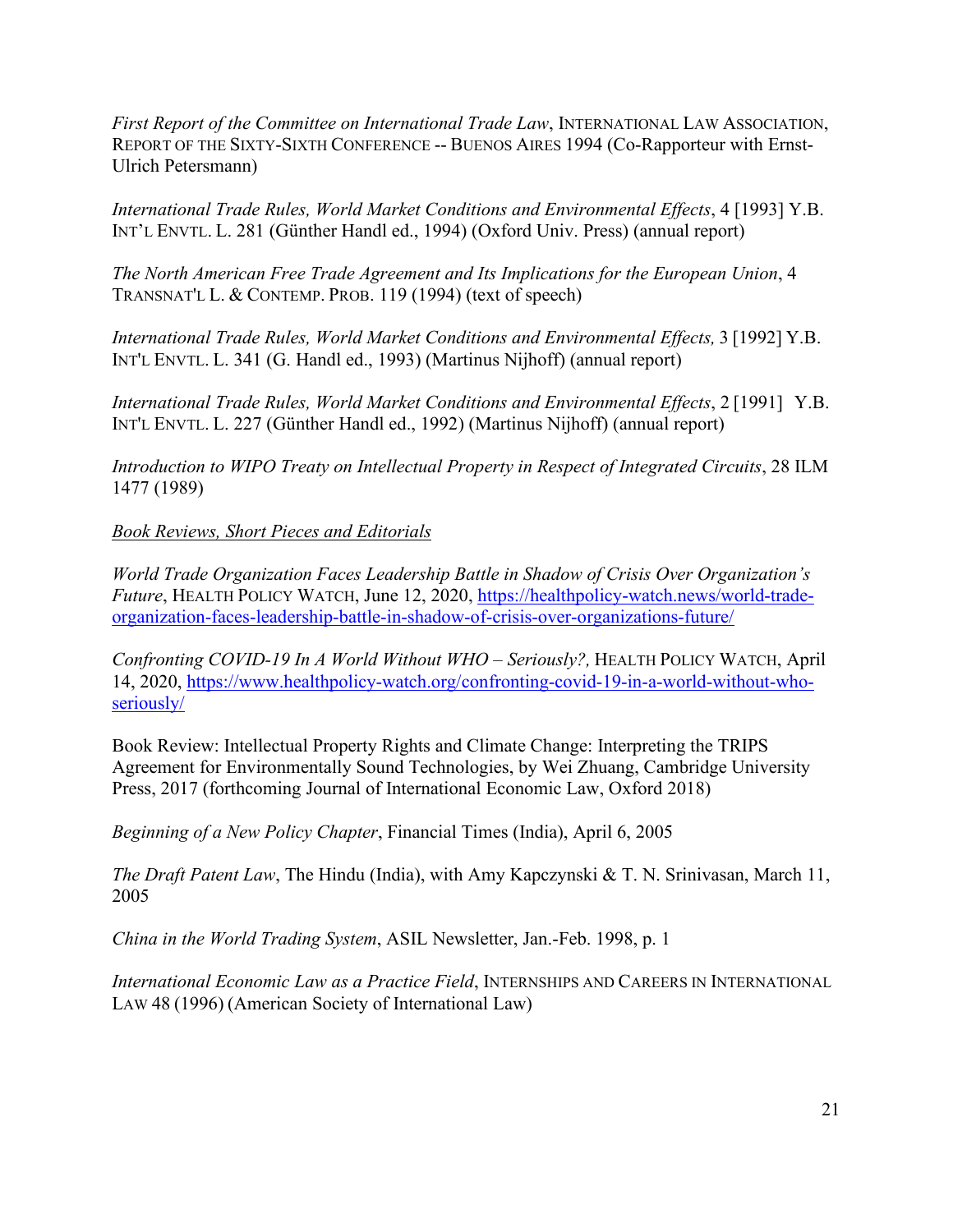*First Report of the Committee on International Trade Law*, INTERNATIONAL LAW ASSOCIATION, REPORT OF THE SIXTY-SIXTH CONFERENCE -- BUENOS AIRES 1994 (Co-Rapporteur with Ernst-Ulrich Petersmann)

*International Trade Rules, World Market Conditions and Environmental Effects*, 4 [1993] Y.B. INT'L ENVTL. L. 281 (Günther Handl ed., 1994) (Oxford Univ. Press) (annual report)

*The North American Free Trade Agreement and Its Implications for the European Union*, 4 TRANSNAT'L L. & CONTEMP. PROB. 119 (1994) (text of speech)

*International Trade Rules, World Market Conditions and Environmental Effects,* 3 [1992] Y.B. INT'L ENVTL. L. 341 (G. Handl ed., 1993) (Martinus Nijhoff) (annual report)

*International Trade Rules, World Market Conditions and Environmental Effects*, 2 [1991] Y.B. INT'L ENVTL. L. 227 (Günther Handl ed., 1992) (Martinus Nijhoff) (annual report)

*Introduction to WIPO Treaty on Intellectual Property in Respect of Integrated Circuits*, 28 ILM 1477 (1989)

# *Book Reviews, Short Pieces and Editorials*

*World Trade Organization Faces Leadership Battle in Shadow of Crisis Over Organization's Future*, HEALTH POLICY WATCH, June 12, 2020, [https://healthpolicy-watch.news/world-trade](https://healthpolicy-watch.news/world-trade-organization-faces-leadership-battle-in-shadow-of-crisis-over-organizations-future/)[organization-faces-leadership-battle-in-shadow-of-crisis-over-organizations-future/](https://healthpolicy-watch.news/world-trade-organization-faces-leadership-battle-in-shadow-of-crisis-over-organizations-future/)

*Confronting COVID-19 In A World Without WHO – Seriously?,* HEALTH POLICY WATCH, April 14, 2020, [https://www.healthpolicy-watch.org/confronting-covid-19-in-a-world-without-who](https://www.healthpolicy-watch.org/confronting-covid-19-in-a-world-without-who-seriously/)[seriously/](https://www.healthpolicy-watch.org/confronting-covid-19-in-a-world-without-who-seriously/)

Book Review: Intellectual Property Rights and Climate Change: Interpreting the TRIPS Agreement for Environmentally Sound Technologies, by Wei Zhuang, Cambridge University Press, 2017 (forthcoming Journal of International Economic Law, Oxford 2018)

*Beginning of a New Policy Chapter*, Financial Times (India), April 6, 2005

*The Draft Patent Law*, The Hindu (India), with Amy Kapczynski & T. N. Srinivasan, March 11, 2005

*China in the World Trading System*, ASIL Newsletter, Jan.-Feb. 1998, p. 1

*International Economic Law as a Practice Field*, INTERNSHIPS AND CAREERS IN INTERNATIONAL LAW 48 (1996) (American Society of International Law)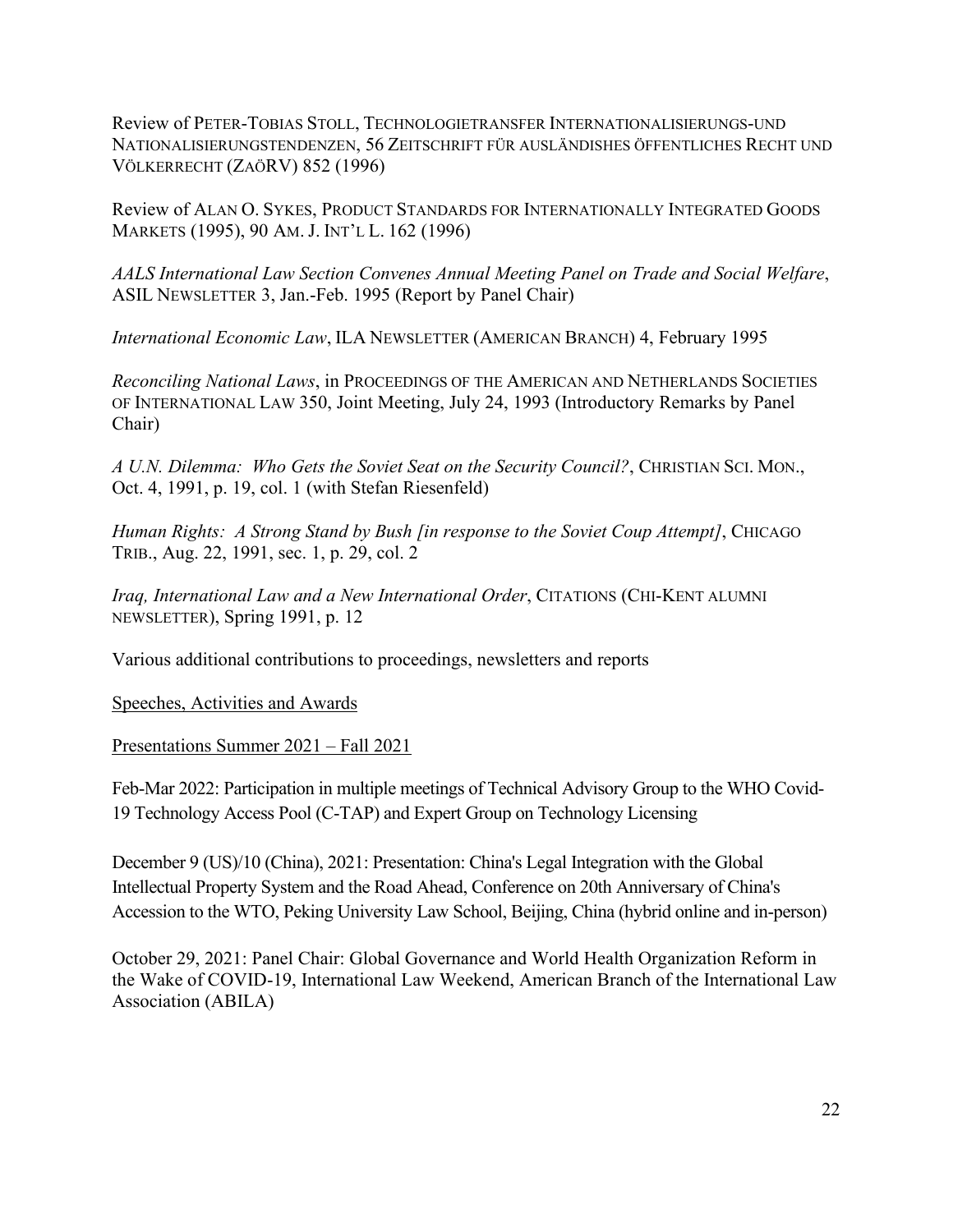Review of PETER-TOBIAS STOLL, TECHNOLOGIETRANSFER INTERNATIONALISIERUNGS-UND NATIONALISIERUNGSTENDENZEN, 56 ZEITSCHRIFT FÜR AUSLÄNDISHES ÖFFENTLICHES RECHT UND VÖLKERRECHT (ZAÖRV) 852 (1996)

Review of ALAN O. SYKES, PRODUCT STANDARDS FOR INTERNATIONALLY INTEGRATED GOODS MARKETS (1995), 90 AM. J. INT'L L. 162 (1996)

*AALS International Law Section Convenes Annual Meeting Panel on Trade and Social Welfare*, ASIL NEWSLETTER 3, Jan.-Feb. 1995 (Report by Panel Chair)

*International Economic Law*, ILA NEWSLETTER (AMERICAN BRANCH) 4, February 1995

*Reconciling National Laws*, in PROCEEDINGS OF THE AMERICAN AND NETHERLANDS SOCIETIES OF INTERNATIONAL LAW 350, Joint Meeting, July 24, 1993 (Introductory Remarks by Panel Chair)

*A U.N. Dilemma: Who Gets the Soviet Seat on the Security Council?*, CHRISTIAN SCI. MON., Oct. 4, 1991, p. 19, col. 1 (with Stefan Riesenfeld)

*Human Rights: A Strong Stand by Bush [in response to the Soviet Coup Attempt]*, CHICAGO TRIB., Aug. 22, 1991, sec. 1, p. 29, col. 2

*Iraq, International Law and a New International Order*, CITATIONS (CHI-KENT ALUMNI NEWSLETTER), Spring 1991, p. 12

Various additional contributions to proceedings, newsletters and reports

Speeches, Activities and Awards

Presentations Summer 2021 – Fall 2021

Feb-Mar 2022: Participation in multiple meetings of Technical Advisory Group to the WHO Covid-19 Technology Access Pool (C-TAP) and Expert Group on Technology Licensing

December 9 (US)/10 (China), 2021: Presentation: China's Legal Integration with the Global Intellectual Property System and the Road Ahead, Conference on 20th Anniversary of China's Accession to the WTO, Peking University Law School, Beijing, China (hybrid online and in-person)

October 29, 2021: Panel Chair: Global Governance and World Health Organization Reform in the Wake of COVID-19, International Law Weekend, American Branch of the International Law Association (ABILA)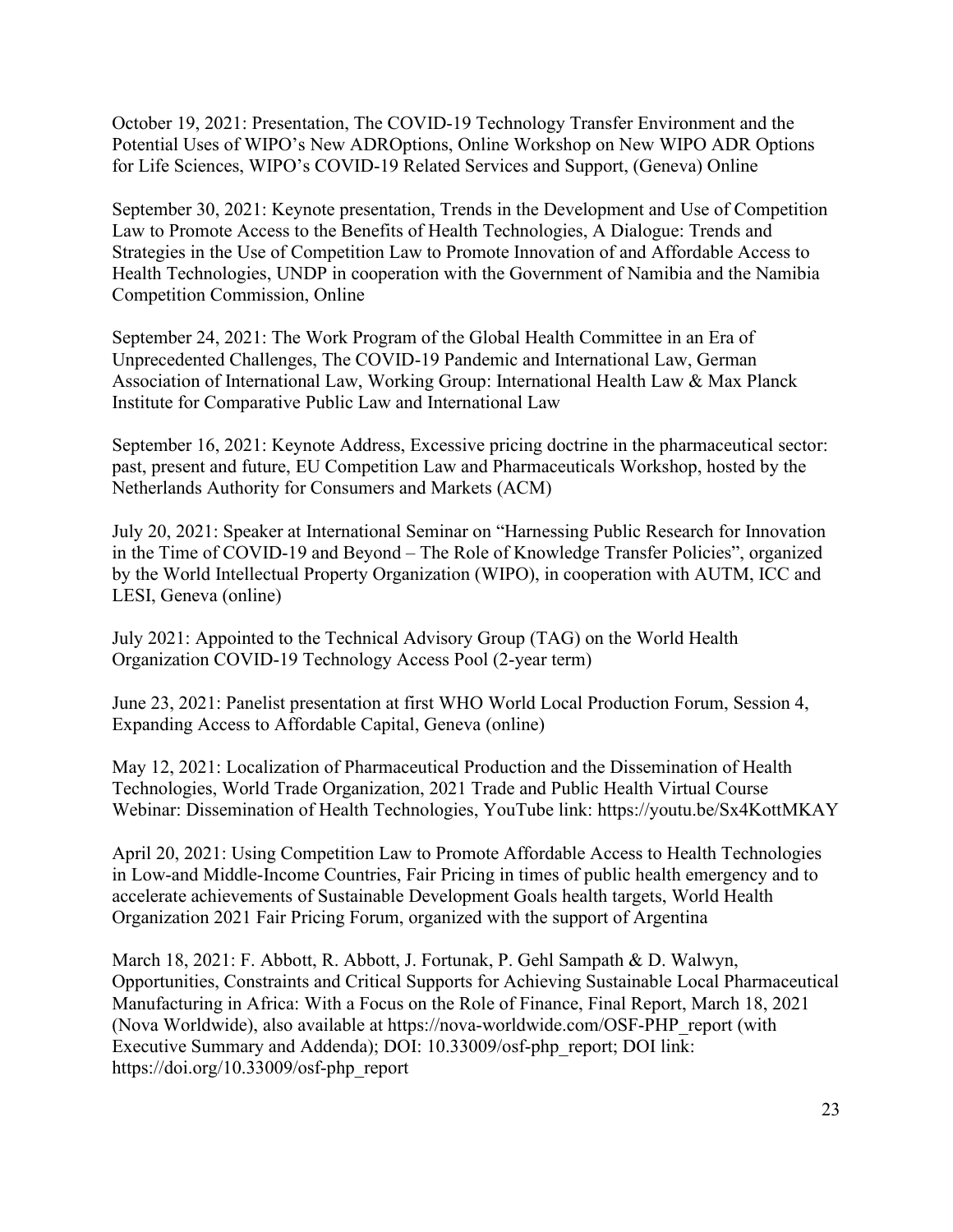October 19, 2021: Presentation, The COVID-19 Technology Transfer Environment and the Potential Uses of WIPO's New ADROptions, Online Workshop on New WIPO ADR Options for Life Sciences, WIPO's COVID-19 Related Services and Support, (Geneva) Online

September 30, 2021: Keynote presentation, Trends in the Development and Use of Competition Law to Promote Access to the Benefits of Health Technologies, A Dialogue: Trends and Strategies in the Use of Competition Law to Promote Innovation of and Affordable Access to Health Technologies, UNDP in cooperation with the Government of Namibia and the Namibia Competition Commission, Online

September 24, 2021: The Work Program of the Global Health Committee in an Era of Unprecedented Challenges, The COVID-19 Pandemic and International Law, German Association of International Law, Working Group: International Health Law & Max Planck Institute for Comparative Public Law and International Law

September 16, 2021: Keynote Address, Excessive pricing doctrine in the pharmaceutical sector: past, present and future, EU Competition Law and Pharmaceuticals Workshop, hosted by the Netherlands Authority for Consumers and Markets (ACM)

July 20, 2021: Speaker at International Seminar on "Harnessing Public Research for Innovation in the Time of COVID-19 and Beyond – The Role of Knowledge Transfer Policies", organized by the World Intellectual Property Organization (WIPO), in cooperation with AUTM, ICC and LESI, Geneva (online)

July 2021: Appointed to the Technical Advisory Group (TAG) on the World Health Organization COVID-19 Technology Access Pool (2-year term)

June 23, 2021: Panelist presentation at first WHO World Local Production Forum, Session 4, Expanding Access to Affordable Capital, Geneva (online)

May 12, 2021: Localization of Pharmaceutical Production and the Dissemination of Health Technologies, World Trade Organization, 2021 Trade and Public Health Virtual Course Webinar: Dissemination of Health Technologies, YouTube link: https://youtu.be/Sx4KottMKAY

April 20, 2021: Using Competition Law to Promote Affordable Access to Health Technologies in Low-and Middle-Income Countries, Fair Pricing in times of public health emergency and to accelerate achievements of Sustainable Development Goals health targets, World Health Organization 2021 Fair Pricing Forum, organized with the support of Argentina

March 18, 2021: F. Abbott, R. Abbott, J. Fortunak, P. Gehl Sampath & D. Walwyn, Opportunities, Constraints and Critical Supports for Achieving Sustainable Local Pharmaceutical Manufacturing in Africa: With a Focus on the Role of Finance, Final Report, March 18, 2021 (Nova Worldwide), also available at https://nova-worldwide.com/OSF-PHP\_report (with Executive Summary and Addenda); DOI: 10.33009/osf-php\_report; DOI link: https://doi.org/10.33009/osf-php\_report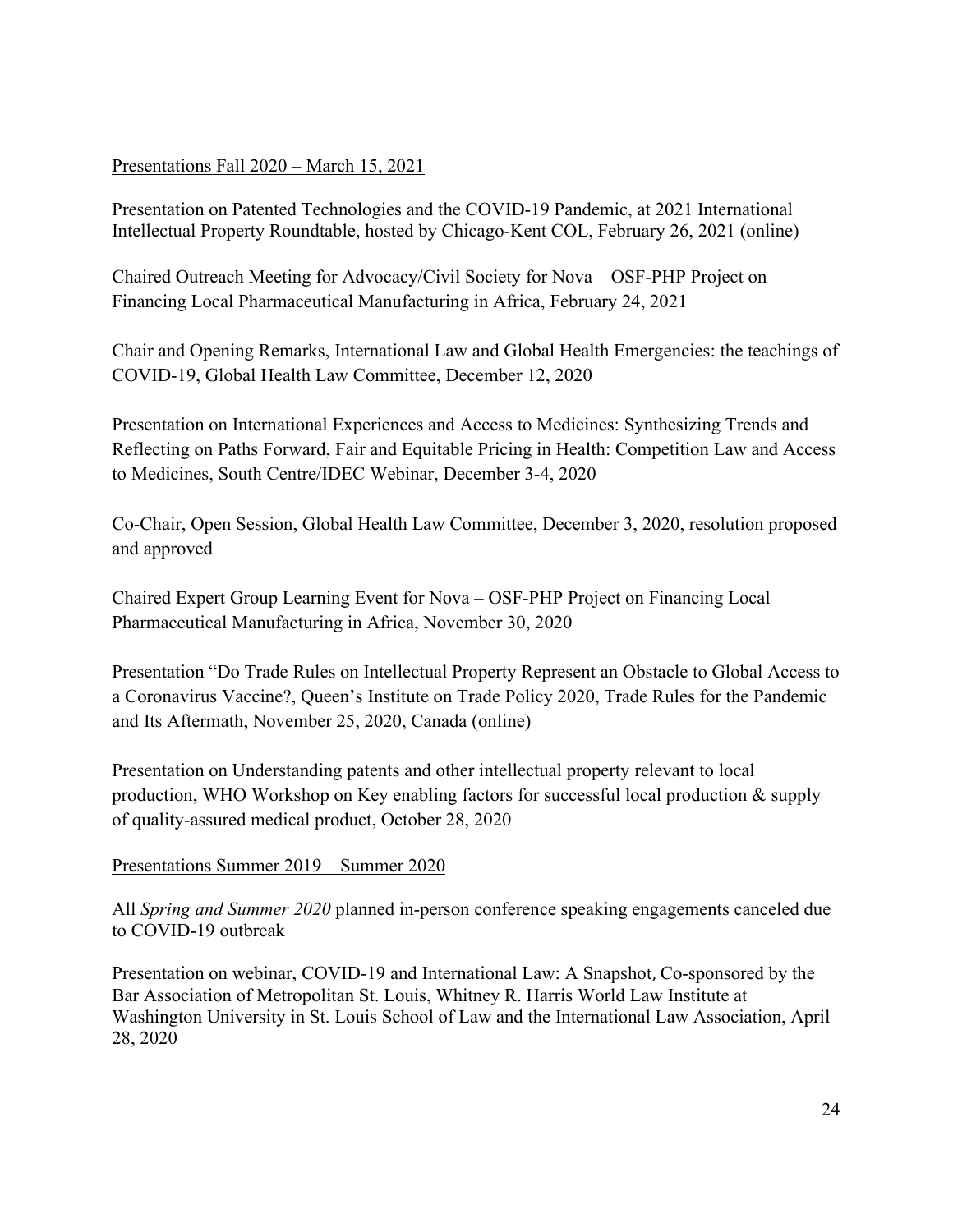# Presentations Fall 2020 – March 15, 2021

Presentation on Patented Technologies and the COVID-19 Pandemic, at 2021 International Intellectual Property Roundtable, hosted by Chicago-Kent COL, February 26, 2021 (online)

Chaired Outreach Meeting for Advocacy/Civil Society for Nova – OSF-PHP Project on Financing Local Pharmaceutical Manufacturing in Africa, February 24, 2021

Chair and Opening Remarks, International Law and Global Health Emergencies: the teachings of COVID-19, Global Health Law Committee, December 12, 2020

Presentation on International Experiences and Access to Medicines: Synthesizing Trends and Reflecting on Paths Forward, Fair and Equitable Pricing in Health: Competition Law and Access to Medicines, South Centre/IDEC Webinar, December 3-4, 2020

Co-Chair, Open Session, Global Health Law Committee, December 3, 2020, resolution proposed and approved

Chaired Expert Group Learning Event for Nova – OSF-PHP Project on Financing Local Pharmaceutical Manufacturing in Africa, November 30, 2020

Presentation "Do Trade Rules on Intellectual Property Represent an Obstacle to Global Access to a Coronavirus Vaccine?, Queen's Institute on Trade Policy 2020, Trade Rules for the Pandemic and Its Aftermath, November 25, 2020, Canada (online)

Presentation on Understanding patents and other intellectual property relevant to local production, WHO Workshop on Key enabling factors for successful local production & supply of quality-assured medical product, October 28, 2020

# Presentations Summer 2019 – Summer 2020

All *Spring and Summer 2020* planned in-person conference speaking engagements canceled due to COVID-19 outbreak

Presentation on webinar, COVID-19 and International Law: A Snapshot, Co-sponsored by the Bar Association of Metropolitan St. Louis, Whitney R. Harris World Law Institute at Washington University in St. Louis School of Law and the International Law Association, April 28, 2020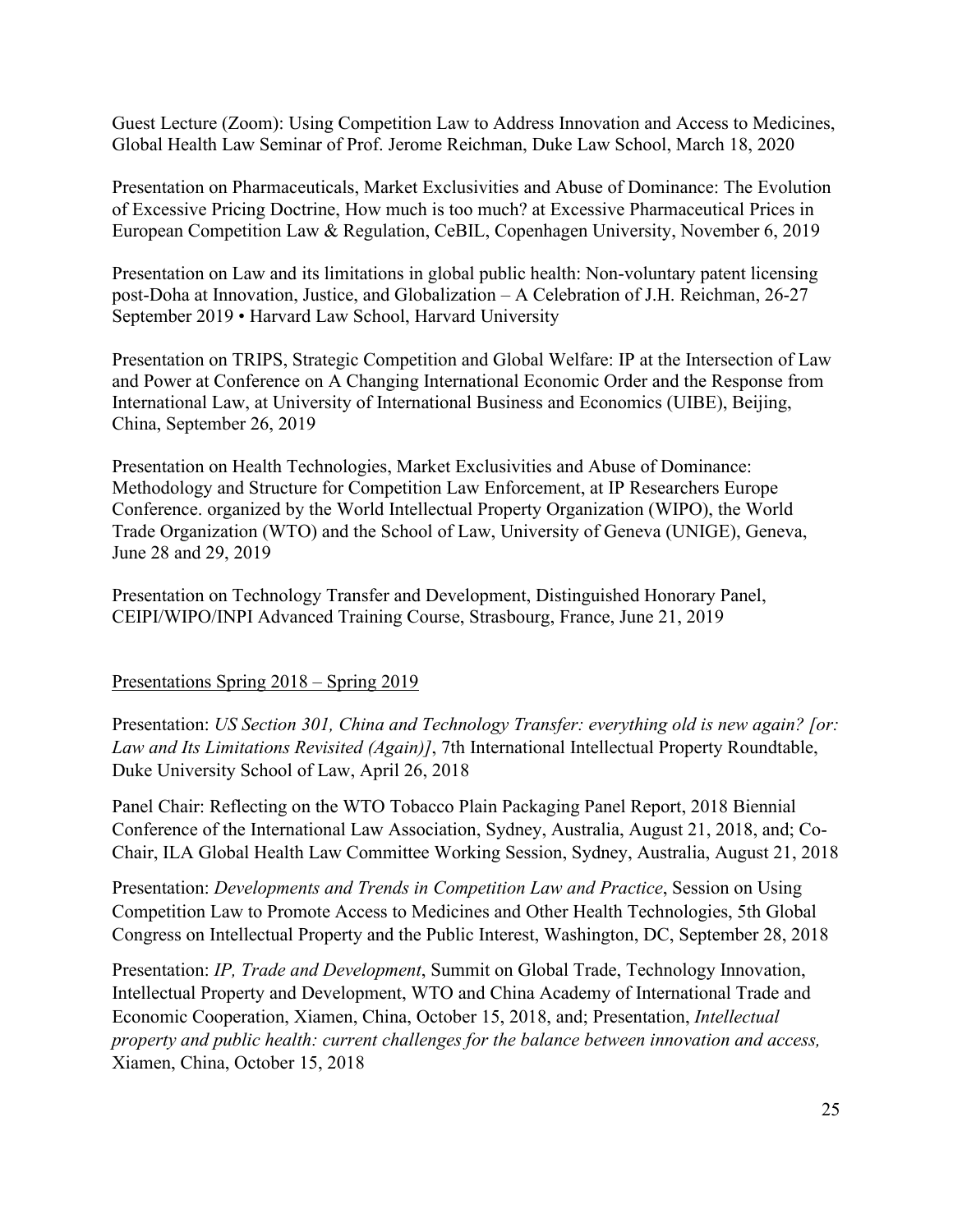Guest Lecture (Zoom): Using Competition Law to Address Innovation and Access to Medicines, Global Health Law Seminar of Prof. Jerome Reichman, Duke Law School, March 18, 2020

Presentation on Pharmaceuticals, Market Exclusivities and Abuse of Dominance: The Evolution of Excessive Pricing Doctrine, How much is too much? at Excessive Pharmaceutical Prices in European Competition Law & Regulation, CeBIL, Copenhagen University, November 6, 2019

Presentation on Law and its limitations in global public health: Non-voluntary patent licensing post-Doha at Innovation, Justice, and Globalization – A Celebration of J.H. Reichman, 26-27 September 2019 • Harvard Law School, Harvard University

Presentation on TRIPS, Strategic Competition and Global Welfare: IP at the Intersection of Law and Power at Conference on A Changing International Economic Order and the Response from International Law, at University of International Business and Economics (UIBE), Beijing, China, September 26, 2019

Presentation on Health Technologies, Market Exclusivities and Abuse of Dominance: Methodology and Structure for Competition Law Enforcement, at IP Researchers Europe Conference. organized by the World Intellectual Property Organization (WIPO), the World Trade Organization (WTO) and the School of Law, University of Geneva (UNIGE), Geneva, June 28 and 29, 2019

Presentation on Technology Transfer and Development, Distinguished Honorary Panel, CEIPI/WIPO/INPI Advanced Training Course, Strasbourg, France, June 21, 2019

#### Presentations Spring 2018 – Spring 2019

Presentation: *US Section 301, China and Technology Transfer: everything old is new again? [or: Law and Its Limitations Revisited (Again)]*, 7th International Intellectual Property Roundtable, Duke University School of Law, April 26, 2018

Panel Chair: Reflecting on the WTO Tobacco Plain Packaging Panel Report, 2018 Biennial Conference of the International Law Association, Sydney, Australia, August 21, 2018, and; Co-Chair, ILA Global Health Law Committee Working Session, Sydney, Australia, August 21, 2018

Presentation: *Developments and Trends in Competition Law and Practice*, Session on Using Competition Law to Promote Access to Medicines and Other Health Technologies, 5th Global Congress on Intellectual Property and the Public Interest, Washington, DC, September 28, 2018

Presentation: *IP, Trade and Development*, Summit on Global Trade, Technology Innovation, Intellectual Property and Development, WTO and China Academy of International Trade and Economic Cooperation, Xiamen, China, October 15, 2018, and; Presentation, *Intellectual property and public health: current challenges for the balance between innovation and access,*  Xiamen, China, October 15, 2018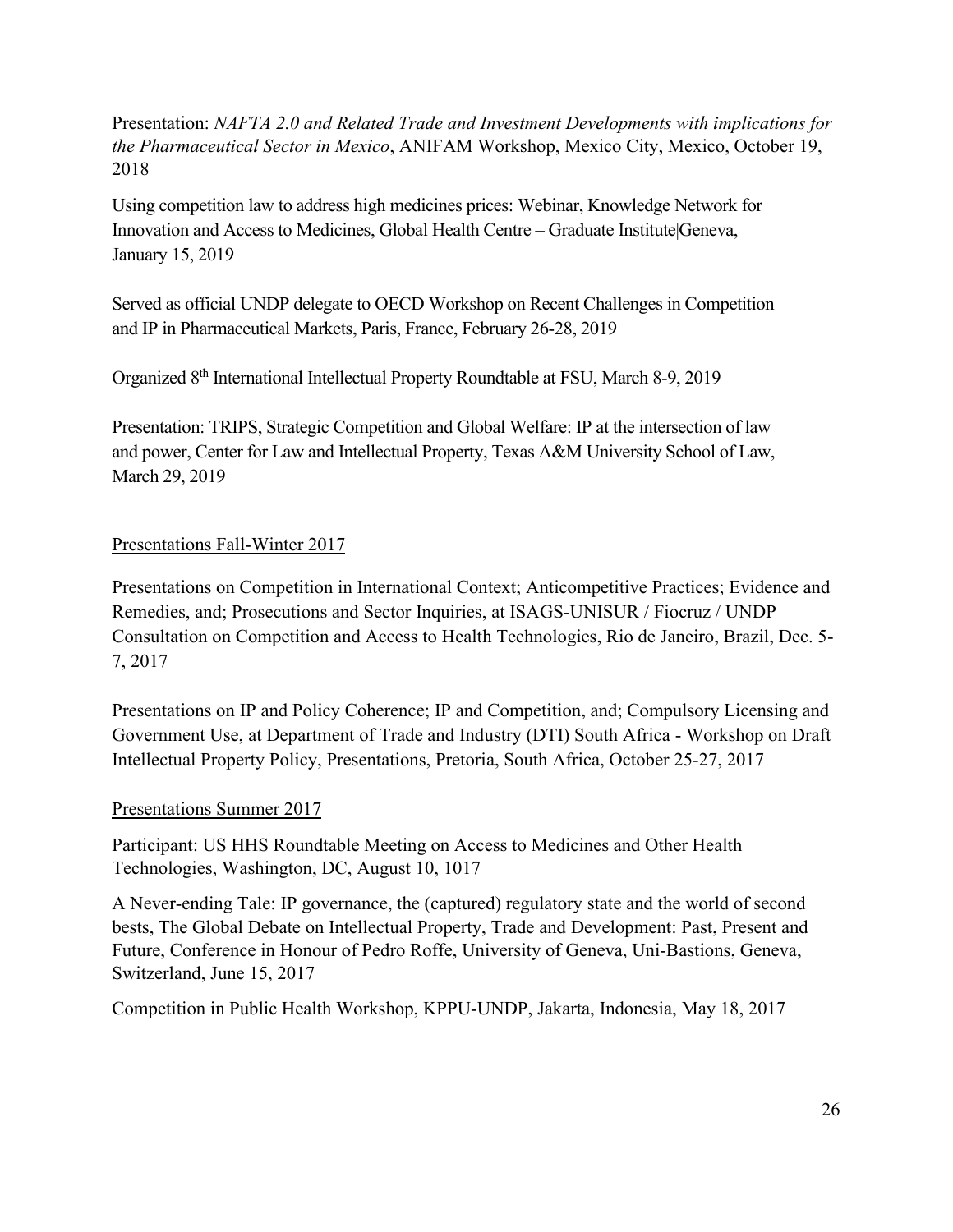Presentation: *NAFTA 2.0 and Related Trade and Investment Developments with implications for the Pharmaceutical Sector in Mexico*, ANIFAM Workshop, Mexico City, Mexico, October 19, 2018

Using competition law to address high medicines prices: Webinar, Knowledge Network for Innovation and Access to Medicines, Global Health Centre – Graduate Institute|Geneva, January 15, 2019

Served as official UNDP delegate to OECD Workshop on Recent Challenges in Competition and IP in Pharmaceutical Markets, Paris, France, February 26-28, 2019

Organized 8th International Intellectual Property Roundtable at FSU, March 8-9, 2019

Presentation: TRIPS, Strategic Competition and Global Welfare: IP at the intersection of law and power, Center for Law and Intellectual Property, Texas A&M University School of Law, March 29, 2019

# Presentations Fall-Winter 2017

Presentations on Competition in International Context; Anticompetitive Practices; Evidence and Remedies, and; Prosecutions and Sector Inquiries, at ISAGS-UNISUR / Fiocruz / UNDP Consultation on Competition and Access to Health Technologies, Rio de Janeiro, Brazil, Dec. 5- 7, 2017

Presentations on IP and Policy Coherence; IP and Competition, and; Compulsory Licensing and Government Use, at Department of Trade and Industry (DTI) South Africa - Workshop on Draft Intellectual Property Policy, Presentations, Pretoria, South Africa, October 25-27, 2017

# Presentations Summer 2017

Participant: US HHS Roundtable Meeting on Access to Medicines and Other Health Technologies, Washington, DC, August 10, 1017

A Never-ending Tale: IP governance, the (captured) regulatory state and the world of second bests, The Global Debate on Intellectual Property, Trade and Development: Past, Present and Future, Conference in Honour of Pedro Roffe, University of Geneva, Uni-Bastions, Geneva, Switzerland, June 15, 2017

Competition in Public Health Workshop, KPPU-UNDP, Jakarta, Indonesia, May 18, 2017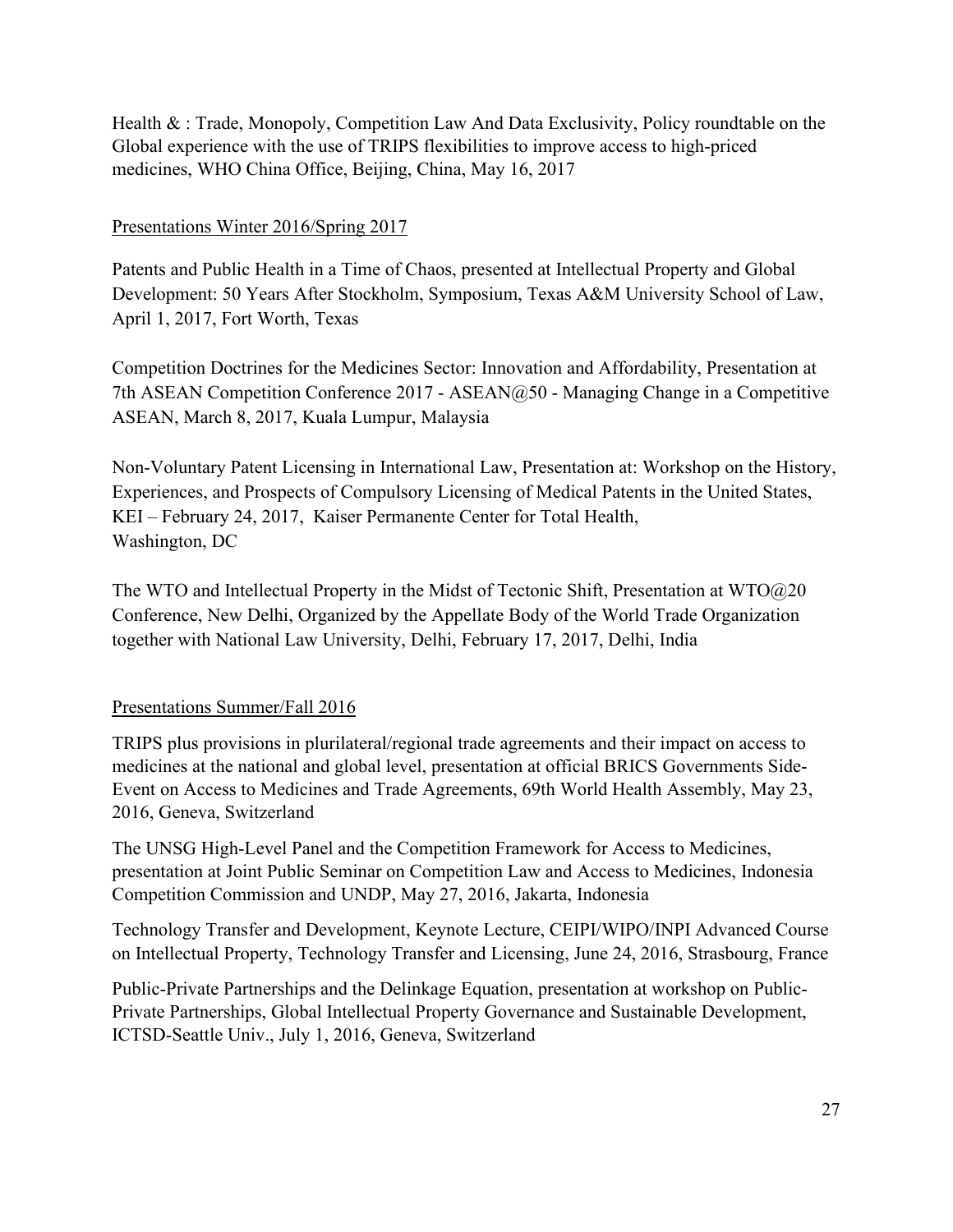Health & : Trade, Monopoly, Competition Law And Data Exclusivity, Policy roundtable on the Global experience with the use of TRIPS flexibilities to improve access to high-priced medicines, WHO China Office, Beijing, China, May 16, 2017

# Presentations Winter 2016/Spring 2017

Patents and Public Health in a Time of Chaos, presented at Intellectual Property and Global Development: 50 Years After Stockholm, Symposium, Texas A&M University School of Law, April 1, 2017, Fort Worth, Texas

Competition Doctrines for the Medicines Sector: Innovation and Affordability, Presentation at 7th ASEAN Competition Conference 2017 - ASEAN@50 - Managing Change in a Competitive ASEAN, March 8, 2017, Kuala Lumpur, Malaysia

Non-Voluntary Patent Licensing in International Law, Presentation at: Workshop on the History, Experiences, and Prospects of Compulsory Licensing of Medical Patents in the United States, KEI – February 24, 2017, Kaiser Permanente Center for Total Health, Washington, DC

The WTO and Intellectual Property in the Midst of Tectonic Shift, Presentation at WTO@20 Conference, New Delhi, Organized by the Appellate Body of the World Trade Organization together with National Law University, Delhi, February 17, 2017, Delhi, India

# Presentations Summer/Fall 2016

TRIPS plus provisions in plurilateral/regional trade agreements and their impact on access to medicines at the national and global level, presentation at official BRICS Governments Side-Event on Access to Medicines and Trade Agreements, 69th World Health Assembly, May 23, 2016, Geneva, Switzerland

The UNSG High-Level Panel and the Competition Framework for Access to Medicines, presentation at Joint Public Seminar on Competition Law and Access to Medicines, Indonesia Competition Commission and UNDP, May 27, 2016, Jakarta, Indonesia

Technology Transfer and Development, Keynote Lecture, CEIPI/WIPO/INPI Advanced Course on Intellectual Property, Technology Transfer and Licensing, June 24, 2016, Strasbourg, France

Public-Private Partnerships and the Delinkage Equation, presentation at workshop on Public-Private Partnerships, Global Intellectual Property Governance and Sustainable Development, ICTSD-Seattle Univ., July 1, 2016, Geneva, Switzerland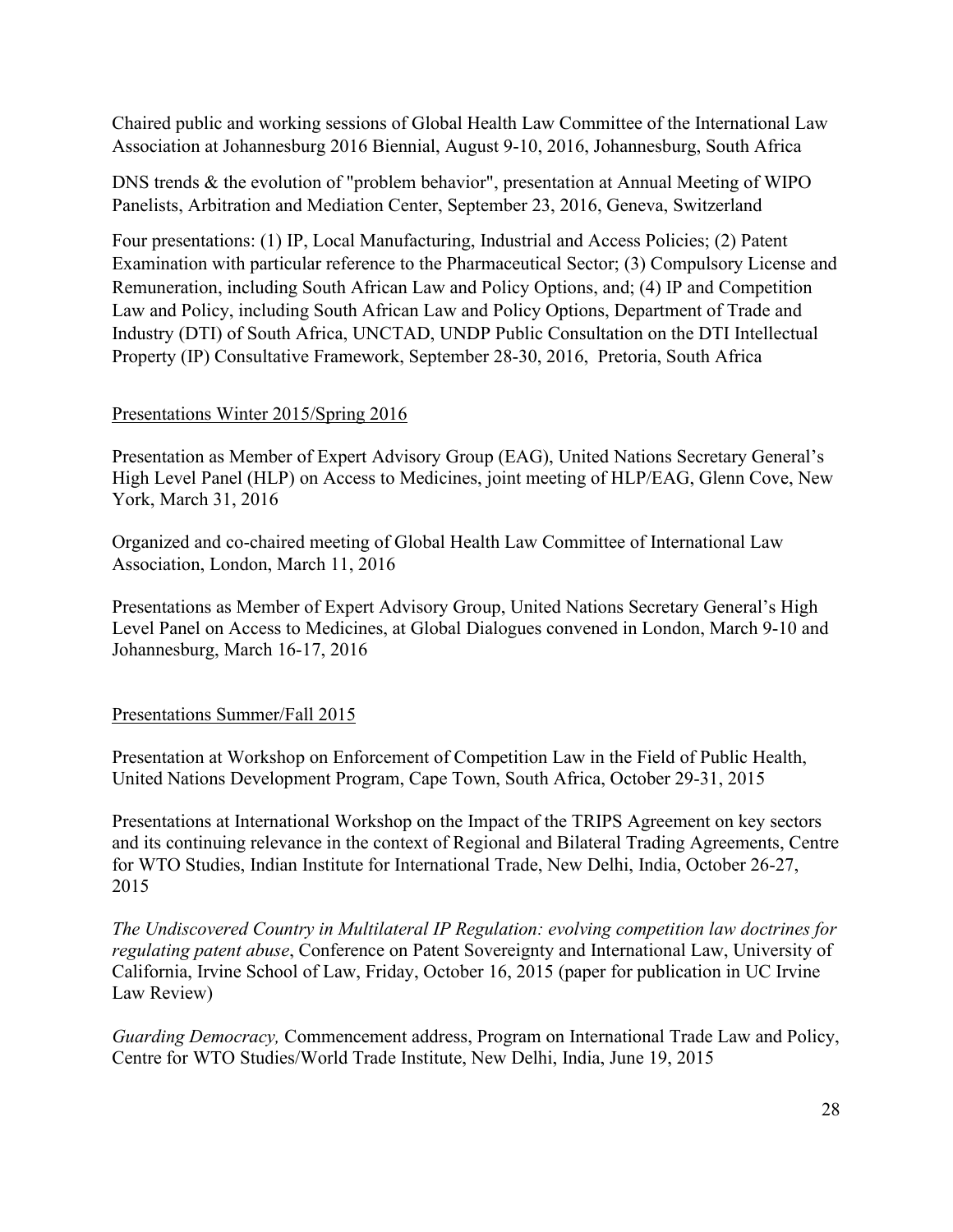Chaired public and working sessions of Global Health Law Committee of the International Law Association at Johannesburg 2016 Biennial, August 9-10, 2016, Johannesburg, South Africa

DNS trends & the evolution of "problem behavior", presentation at Annual Meeting of WIPO Panelists, Arbitration and Mediation Center, September 23, 2016, Geneva, Switzerland

Four presentations: (1) IP, Local Manufacturing, Industrial and Access Policies; (2) Patent Examination with particular reference to the Pharmaceutical Sector; (3) Compulsory License and Remuneration, including South African Law and Policy Options, and; (4) IP and Competition Law and Policy, including South African Law and Policy Options, Department of Trade and Industry (DTI) of South Africa, UNCTAD, UNDP Public Consultation on the DTI Intellectual Property (IP) Consultative Framework, September 28-30, 2016, Pretoria, South Africa

# Presentations Winter 2015/Spring 2016

Presentation as Member of Expert Advisory Group (EAG), United Nations Secretary General's High Level Panel (HLP) on Access to Medicines, joint meeting of HLP/EAG, Glenn Cove, New York, March 31, 2016

Organized and co-chaired meeting of Global Health Law Committee of International Law Association, London, March 11, 2016

Presentations as Member of Expert Advisory Group, United Nations Secretary General's High Level Panel on Access to Medicines, at Global Dialogues convened in London, March 9-10 and Johannesburg, March 16-17, 2016

# Presentations Summer/Fall 2015

Presentation at Workshop on Enforcement of Competition Law in the Field of Public Health, United Nations Development Program, Cape Town, South Africa, October 29-31, 2015

Presentations at International Workshop on the Impact of the TRIPS Agreement on key sectors and its continuing relevance in the context of Regional and Bilateral Trading Agreements, Centre for WTO Studies, Indian Institute for International Trade, New Delhi, India, October 26-27, 2015

*The Undiscovered Country in Multilateral IP Regulation: evolving competition law doctrines for regulating patent abuse*, Conference on Patent Sovereignty and International Law, University of California, Irvine School of Law, Friday, October 16, 2015 (paper for publication in UC Irvine Law Review)

*Guarding Democracy,* Commencement address, Program on International Trade Law and Policy, Centre for WTO Studies/World Trade Institute, New Delhi, India, June 19, 2015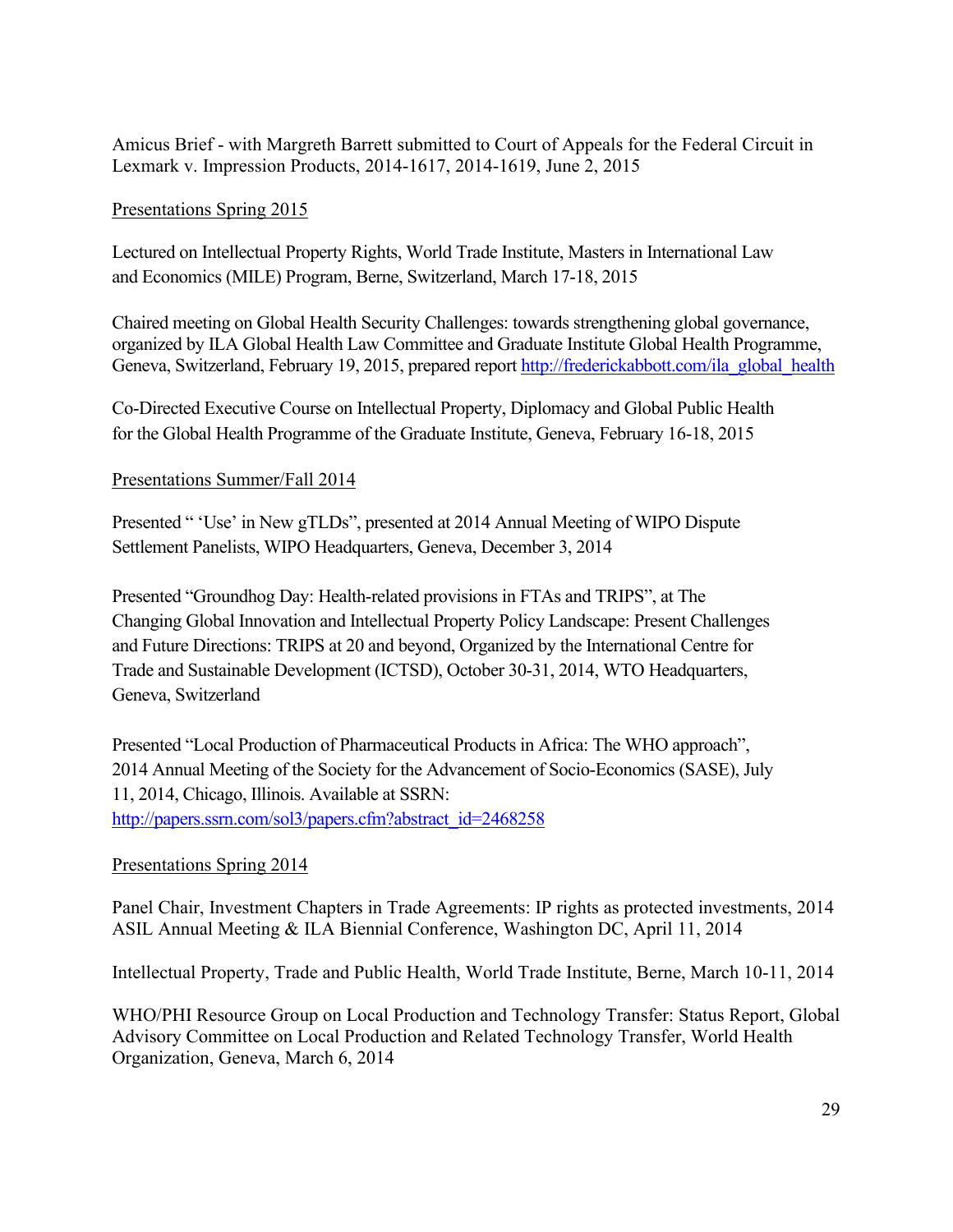Amicus Brief - with Margreth Barrett submitted to Court of Appeals for the Federal Circuit in Lexmark v. Impression Products, 2014-1617, 2014-1619, June 2, 2015

# Presentations Spring 2015

Lectured on Intellectual Property Rights, World Trade Institute, Masters in International Law and Economics (MILE) Program, Berne, Switzerland, March 17-18, 2015

Chaired meeting on Global Health Security Challenges: towards strengthening global governance, organized by ILA Global Health Law Committee and Graduate Institute Global Health Programme, Geneva, Switzerland, February 19, 2015, prepared report [http://frederickabbott.com/ila\\_global\\_health](http://frederickabbott.com/ila_global_health)

Co-Directed Executive Course on Intellectual Property, Diplomacy and Global Public Health for the Global Health Programme of the Graduate Institute, Geneva, February 16-18, 2015

# Presentations Summer/Fall 2014

Presented " 'Use' in New gTLDs", presented at 2014 Annual Meeting of WIPO Dispute Settlement Panelists, WIPO Headquarters, Geneva, December 3, 2014

Presented "Groundhog Day: Health-related provisions in FTAs and TRIPS", at The Changing Global Innovation and Intellectual Property Policy Landscape: Present Challenges and Future Directions: TRIPS at 20 and beyond, Organized by the International Centre for Trade and Sustainable Development (ICTSD), October 30-31, 2014, WTO Headquarters, Geneva, Switzerland

Presented "Local Production of Pharmaceutical Products in Africa: The WHO approach", 2014 Annual Meeting of the Society for the Advancement of Socio-Economics (SASE), July 11, 2014, Chicago, Illinois. Available at SSRN: [http://papers.ssrn.com/sol3/papers.cfm?abstract\\_id=2468258](http://papers.ssrn.com/sol3/papers.cfm?abstract_id=2468258)

# Presentations Spring 2014

Panel Chair, Investment Chapters in Trade Agreements: IP rights as protected investments, 2014 ASIL Annual Meeting & ILA Biennial Conference, Washington DC, April 11, 2014

Intellectual Property, Trade and Public Health, World Trade Institute, Berne, March 10-11, 2014

WHO/PHI Resource Group on Local Production and Technology Transfer: Status Report, Global Advisory Committee on Local Production and Related Technology Transfer, World Health Organization, Geneva, March 6, 2014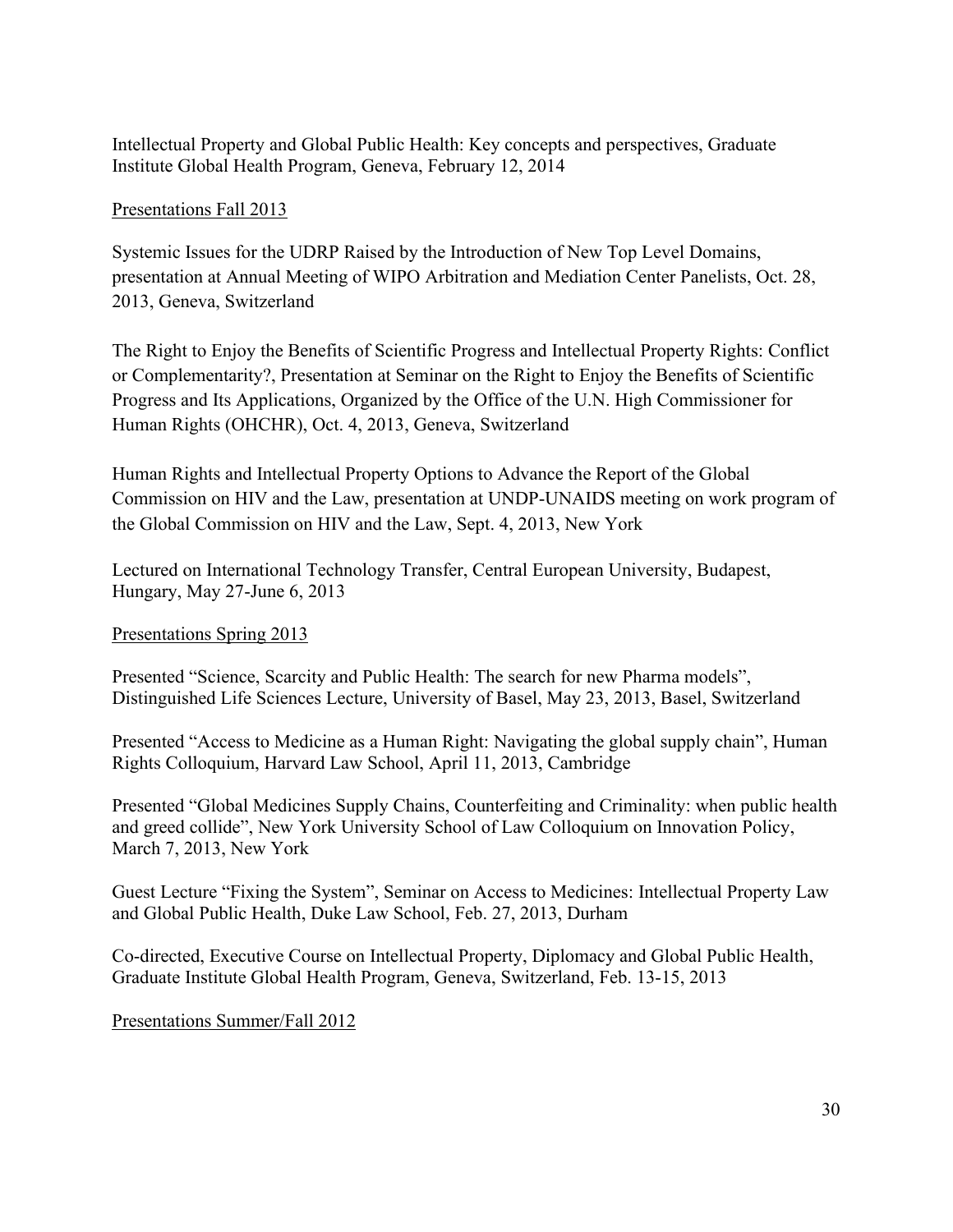Intellectual Property and Global Public Health: Key concepts and perspectives, Graduate Institute Global Health Program, Geneva, February 12, 2014

# Presentations Fall 2013

Systemic Issues for the UDRP Raised by the Introduction of New Top Level Domains, presentation at Annual Meeting of WIPO Arbitration and Mediation Center Panelists, Oct. 28, 2013, Geneva, Switzerland

The Right to Enjoy the Benefits of Scientific Progress and Intellectual Property Rights: Conflict or Complementarity?, Presentation at Seminar on the Right to Enjoy the Benefits of Scientific Progress and Its Applications, Organized by the Office of the U.N. High Commissioner for Human Rights (OHCHR), Oct. 4, 2013, Geneva, Switzerland

Human Rights and Intellectual Property Options to Advance the Report of the Global Commission on HIV and the Law, presentation at UNDP-UNAIDS meeting on work program of the Global Commission on HIV and the Law, Sept. 4, 2013, New York

Lectured on International Technology Transfer, Central European University, Budapest, Hungary, May 27-June 6, 2013

# Presentations Spring 2013

Presented "Science, Scarcity and Public Health: The search for new Pharma models", Distinguished Life Sciences Lecture, University of Basel, May 23, 2013, Basel, Switzerland

Presented "Access to Medicine as a Human Right: Navigating the global supply chain", Human Rights Colloquium, Harvard Law School, April 11, 2013, Cambridge

Presented "Global Medicines Supply Chains, Counterfeiting and Criminality: when public health and greed collide", New York University School of Law Colloquium on Innovation Policy, March 7, 2013, New York

Guest Lecture "Fixing the System", Seminar on Access to Medicines: Intellectual Property Law and Global Public Health, Duke Law School, Feb. 27, 2013, Durham

Co-directed, Executive Course on Intellectual Property, Diplomacy and Global Public Health, Graduate Institute Global Health Program, Geneva, Switzerland, Feb. 13-15, 2013

Presentations Summer/Fall 2012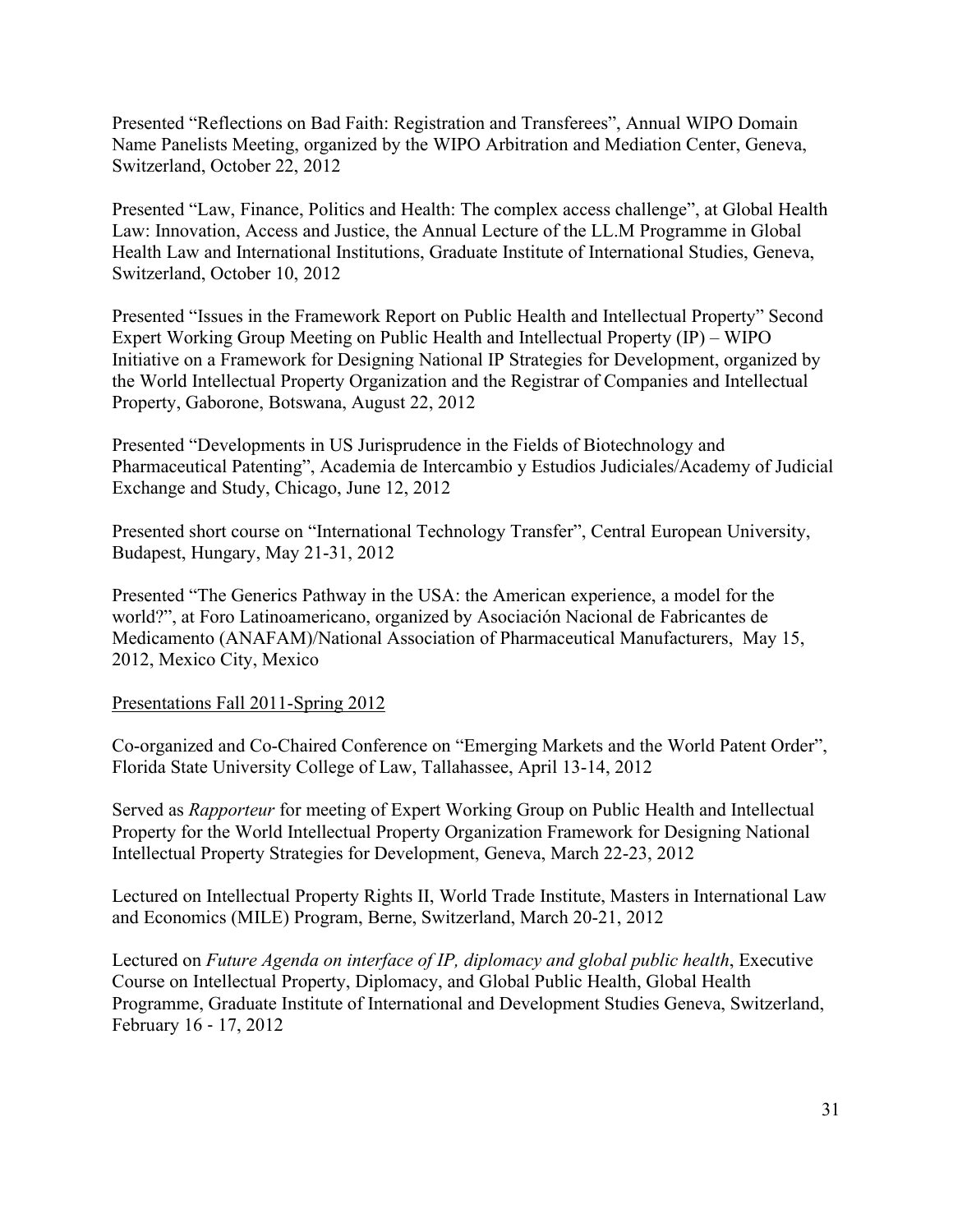Presented "Reflections on Bad Faith: Registration and Transferees", Annual WIPO Domain Name Panelists Meeting, organized by the WIPO Arbitration and Mediation Center, Geneva, Switzerland, October 22, 2012

Presented "Law, Finance, Politics and Health: The complex access challenge", at Global Health Law: Innovation, Access and Justice, the Annual Lecture of the LL.M Programme in Global Health Law and International Institutions, Graduate Institute of International Studies, Geneva, Switzerland, October 10, 2012

Presented "Issues in the Framework Report on Public Health and Intellectual Property" Second Expert Working Group Meeting on Public Health and Intellectual Property (IP) – WIPO Initiative on a Framework for Designing National IP Strategies for Development, organized by the World Intellectual Property Organization and the Registrar of Companies and Intellectual Property, Gaborone, Botswana, August 22, 2012

Presented "Developments in US Jurisprudence in the Fields of Biotechnology and Pharmaceutical Patenting", Academia de Intercambio y Estudios Judiciales/Academy of Judicial Exchange and Study, Chicago, June 12, 2012

Presented short course on "International Technology Transfer", Central European University, Budapest, Hungary, May 21-31, 2012

Presented "The Generics Pathway in the USA: the American experience, a model for the world?", at Foro Latinoamericano, organized by Asociación Nacional de Fabricantes de Medicamento (ANAFAM)/National Association of Pharmaceutical Manufacturers, May 15, 2012, Mexico City, Mexico

#### Presentations Fall 2011-Spring 2012

Co-organized and Co-Chaired Conference on "Emerging Markets and the World Patent Order", Florida State University College of Law, Tallahassee, April 13-14, 2012

Served as *Rapporteur* for meeting of Expert Working Group on Public Health and Intellectual Property for the World Intellectual Property Organization Framework for Designing National Intellectual Property Strategies for Development, Geneva, March 22-23, 2012

Lectured on Intellectual Property Rights II, World Trade Institute, Masters in International Law and Economics (MILE) Program, Berne, Switzerland, March 20-21, 2012

Lectured on *Future Agenda on interface of IP, diplomacy and global public health*, Executive Course on Intellectual Property, Diplomacy, and Global Public Health, Global Health Programme, Graduate Institute of International and Development Studies Geneva, Switzerland, February 16 ‐ 17, 2012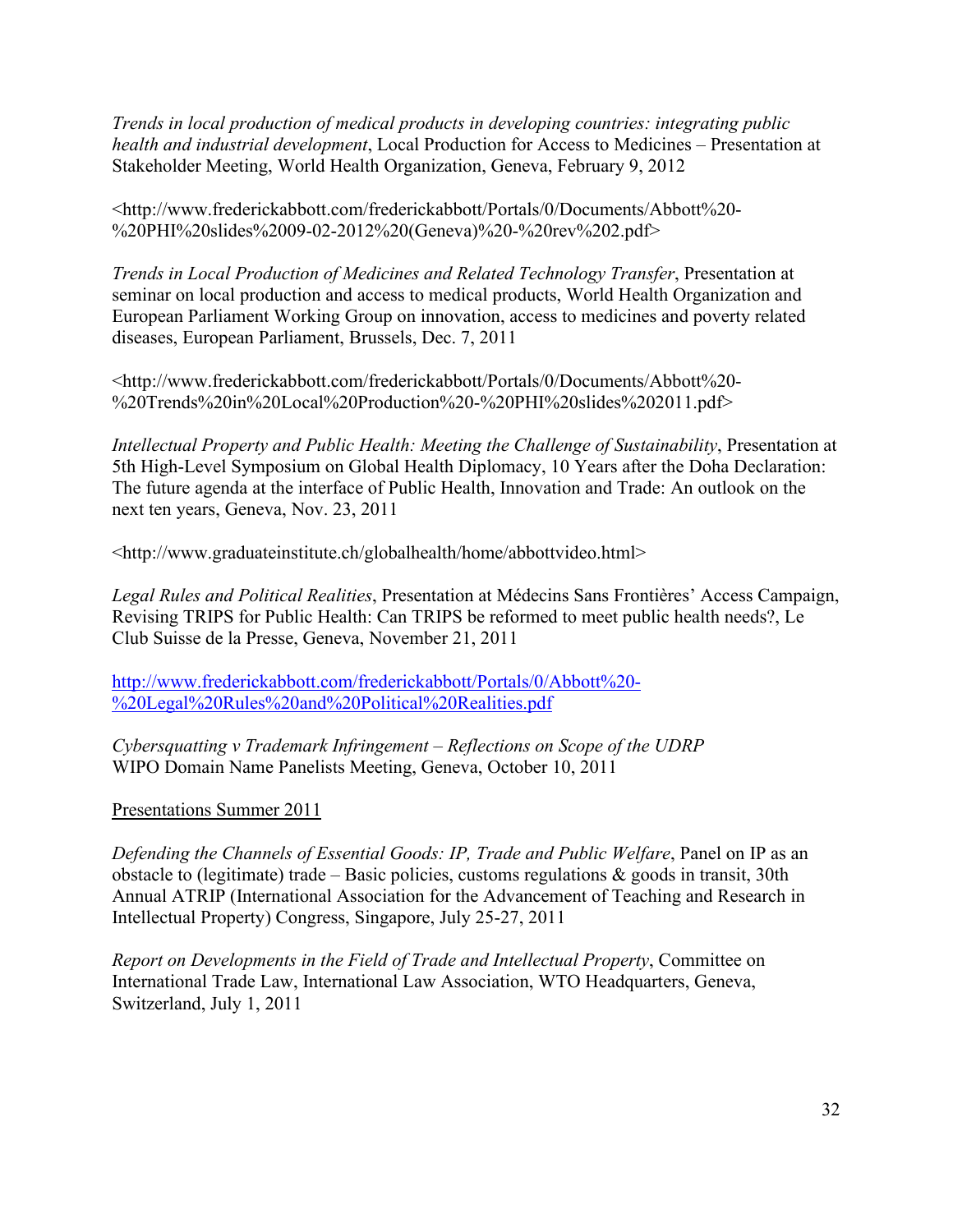*Trends in local production of medical products in developing countries: integrating public health and industrial development*, Local Production for Access to Medicines – Presentation at Stakeholder Meeting, World Health Organization, Geneva, February 9, 2012

<http://www.frederickabbott.com/frederickabbott/Portals/0/Documents/Abbott%20- %20PHI%20slides%2009-02-2012%20(Geneva)%20-%20rev%202.pdf>

*Trends in Local Production of Medicines and Related Technology Transfer*, Presentation at seminar on local production and access to medical products, World Health Organization and European Parliament Working Group on innovation, access to medicines and poverty related diseases, European Parliament, Brussels, Dec. 7, 2011

<http://www.frederickabbott.com/frederickabbott/Portals/0/Documents/Abbott%20- %20Trends%20in%20Local%20Production%20-%20PHI%20slides%202011.pdf>

*Intellectual Property and Public Health: Meeting the Challenge of Sustainability*, Presentation at 5th High-Level Symposium on Global Health Diplomacy, 10 Years after the Doha Declaration: The future agenda at the interface of Public Health, Innovation and Trade: An outlook on the next ten years, Geneva, Nov. 23, 2011

<http://www.graduateinstitute.ch/globalhealth/home/abbottvideo.html>

*Legal Rules and Political Realities*, Presentation at Médecins Sans Frontières' Access Campaign, Revising TRIPS for Public Health: Can TRIPS be reformed to meet public health needs?, Le Club Suisse de la Presse, Geneva, November 21, 2011

[http://www.frederickabbott.com/frederickabbott/Portals/0/Abbott%20-](http://www.frederickabbott.com/frederickabbott/Portals/0/Abbott%20-%20Legal%20Rules%20and%20Political%20Realities.pdf) [%20Legal%20Rules%20and%20Political%20Realities.pdf](http://www.frederickabbott.com/frederickabbott/Portals/0/Abbott%20-%20Legal%20Rules%20and%20Political%20Realities.pdf)

*Cybersquatting v Trademark Infringement – Reflections on Scope of the UDRP* WIPO Domain Name Panelists Meeting, Geneva, October 10, 2011

Presentations Summer 2011

*[Defending the Channels of Essential Goods: IP, Trade and Public Welfare](http://frederickabbott.com/uploads/Abbott_-_Defending_the_Channels.pdf)*, Panel on IP as an obstacle to (legitimate) trade – Basic policies, customs regulations & goods in transit, 30th Annual ATRIP (International Association for the Advancement of Teaching and Research in Intellectual Property) Congress, Singapore, July 25-27, 2011

*Report on Developments in the Field of Trade and Intellectual Property*, Committee on International Trade Law, International Law Association, WTO Headquarters, Geneva, Switzerland, July 1, 2011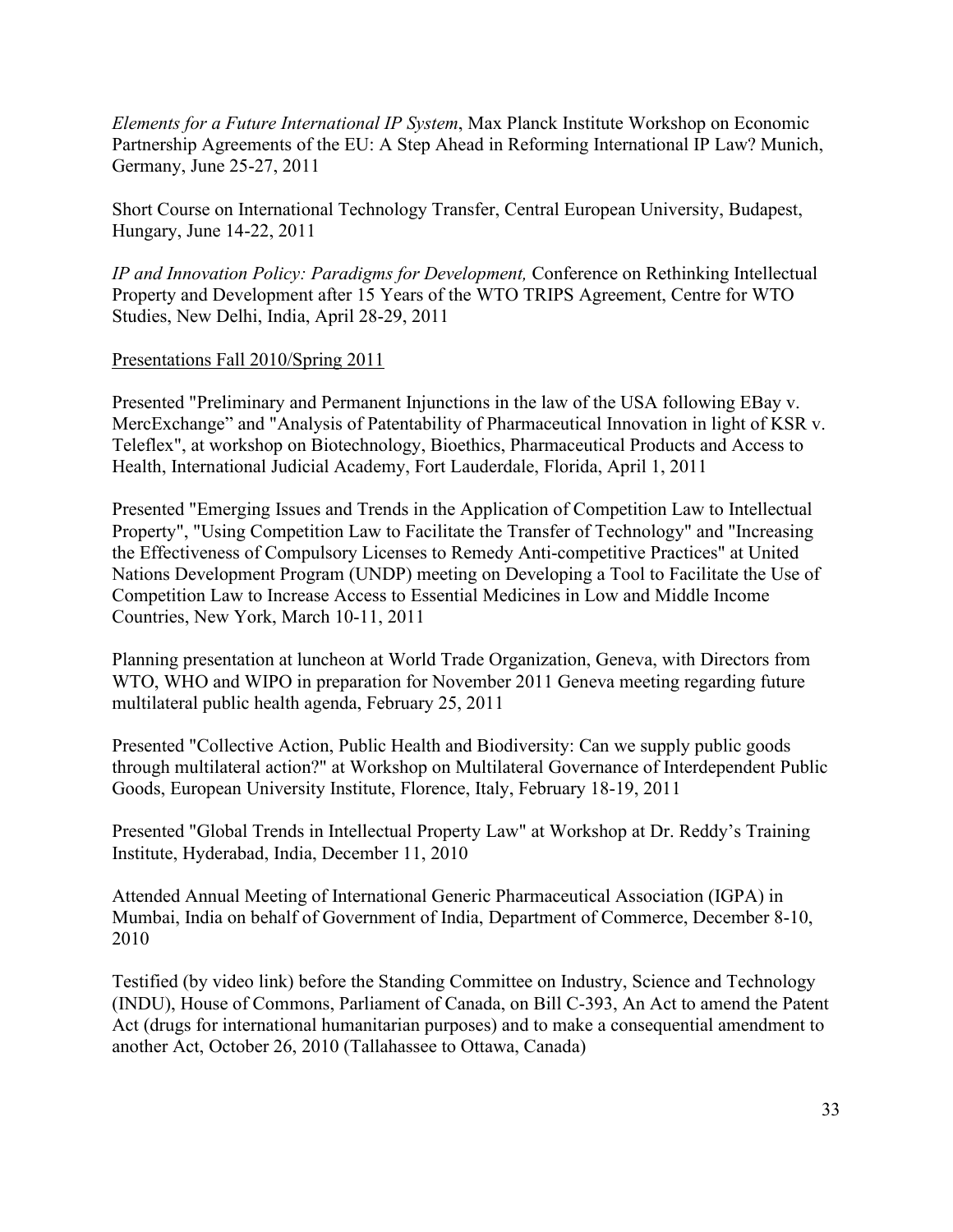*Elements for a Future International IP System*, Max Planck Institute Workshop on Economic Partnership Agreements of the EU: A Step Ahead in Reforming International IP Law? Munich, Germany, June 25-27, 2011

Short Course on International Technology Transfer, Central European University, Budapest, Hungary, June 14-22, 2011

*[IP and Innovation Policy: Paradigms for Development,](http://frederickabbott.com/uploads/abb-IP_and_Innovation_Policy.pdf)* Conference on Rethinking Intellectual Property and Development after 15 Years of the WTO TRIPS Agreement, Centre for WTO Studies, New Delhi, India, April 28-29, 2011

# Presentations Fall 2010/Spring 2011

Presented "Preliminary and Permanent Injunctions in the law of the USA following EBay v. MercExchange" and "Analysis of Patentability of Pharmaceutical Innovation in light of KSR v. Teleflex", at workshop on Biotechnology, Bioethics, Pharmaceutical Products and Access to Health, International Judicial Academy, Fort Lauderdale, Florida, April 1, 2011

Presented "Emerging Issues and Trends in the Application of Competition Law to Intellectual Property", "Using Competition Law to Facilitate the Transfer of Technology" and "Increasing the Effectiveness of Compulsory Licenses to Remedy Anti-competitive Practices" at United Nations Development Program (UNDP) meeting on Developing a Tool to Facilitate the Use of Competition Law to Increase Access to Essential Medicines in Low and Middle Income Countries, New York, March 10-11, 2011

Planning presentation at luncheon at World Trade Organization, Geneva, with Directors from WTO, WHO and WIPO in preparation for November 2011 Geneva meeting regarding future multilateral public health agenda, February 25, 2011

Presented "Collective Action, Public Health and Biodiversity: Can we supply public goods through multilateral action?" at Workshop on Multilateral Governance of Interdependent Public Goods, European University Institute, Florence, Italy, February 18-19, 2011

Presented "Global Trends in Intellectual Property Law" at Workshop at Dr. Reddy's Training Institute, Hyderabad, India, December 11, 2010

Attended Annual Meeting of International Generic Pharmaceutical Association (IGPA) in Mumbai, India on behalf of Government of India, Department of Commerce, December 8-10, 2010

Testified (by video link) before the Standing Committee on Industry, Science and Technology (INDU), House of Commons, Parliament of Canada, on Bill C-393, An Act to amend the Patent Act (drugs for international humanitarian purposes) and to make a consequential amendment to another Act, October 26, 2010 (Tallahassee to Ottawa, Canada)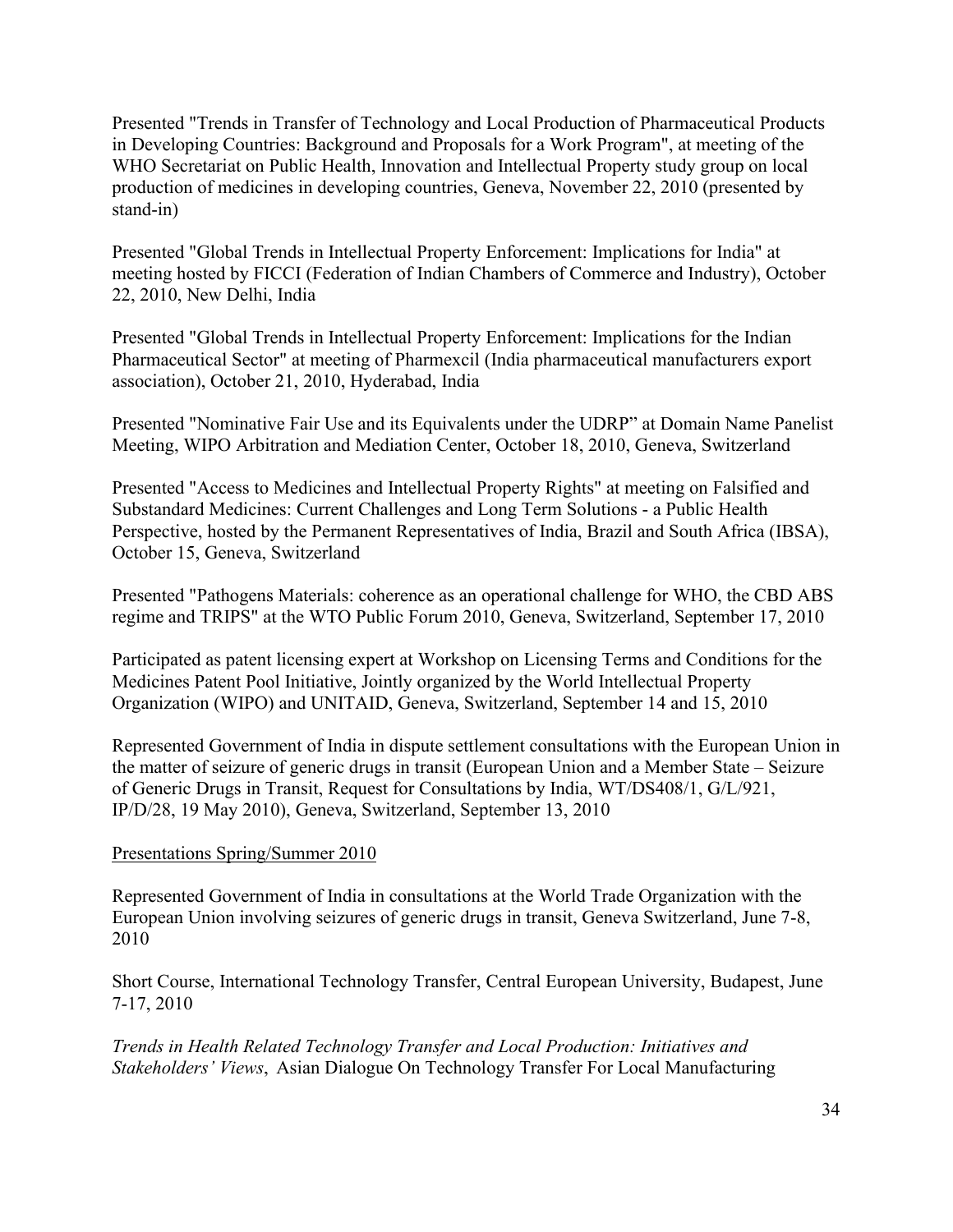Presented "Trends in Transfer of Technology and Local Production of Pharmaceutical Products in Developing Countries: Background and Proposals for a Work Program", at meeting of the WHO Secretariat on Public Health, Innovation and Intellectual Property study group on local production of medicines in developing countries, Geneva, November 22, 2010 (presented by stand-in)

Presented "Global Trends in Intellectual Property Enforcement: Implications for India" at meeting hosted by FICCI (Federation of Indian Chambers of Commerce and Industry), October 22, 2010, New Delhi, India

Presented "Global Trends in Intellectual Property Enforcement: Implications for the Indian Pharmaceutical Sector" at meeting of Pharmexcil (India pharmaceutical manufacturers export association), October 21, 2010, Hyderabad, India

Presented "Nominative Fair Use and its Equivalents under the UDRP" at Domain Name Panelist Meeting, WIPO Arbitration and Mediation Center, October 18, 2010, Geneva, Switzerland

Presented "Access to Medicines and Intellectual Property Rights" at meeting on Falsified and Substandard Medicines: Current Challenges and Long Term Solutions - a Public Health Perspective, hosted by the Permanent Representatives of India, Brazil and South Africa (IBSA), October 15, Geneva, Switzerland

Presented "Pathogens Materials: coherence as an operational challenge for WHO, the CBD ABS regime and TRIPS" at the WTO Public Forum 2010, Geneva, Switzerland, September 17, 2010

Participated as patent licensing expert at Workshop on Licensing Terms and Conditions for the Medicines Patent Pool Initiative, Jointly organized by the World Intellectual Property Organization (WIPO) and UNITAID, Geneva, Switzerland, September 14 and 15, 2010

Represented Government of India in dispute settlement consultations with the European Union in the matter of seizure of generic drugs in transit (European Union and a Member State – Seizure of Generic Drugs in Transit, Request for Consultations by India, WT/DS408/1, G/L/921, IP/D/28, 19 May 2010), Geneva, Switzerland, September 13, 2010

#### Presentations Spring/Summer 2010

Represented Government of India in consultations at the World Trade Organization with the European Union involving seizures of generic drugs in transit, Geneva Switzerland, June 7-8, 2010

Short Course, International Technology Transfer, Central European University, Budapest, June 7-17, 2010

*Trends in Health Related Technology Transfer and Local Production: Initiatives and Stakeholders' Views*, Asian Dialogue On Technology Transfer For Local Manufacturing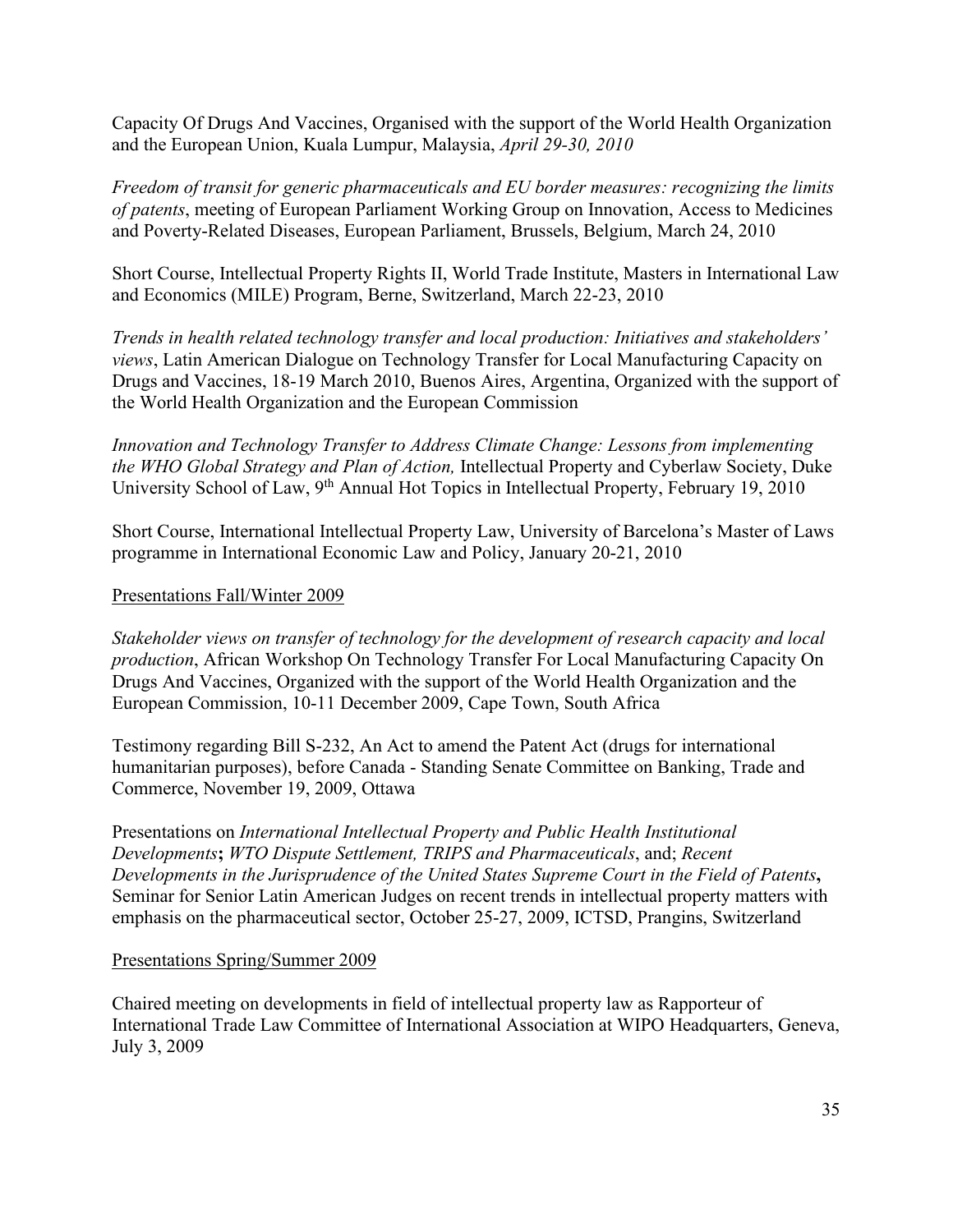Capacity Of Drugs And Vaccines, Organised with the support of the World Health Organization and the European Union, Kuala Lumpur, Malaysia, *April 29-30, 2010*

*Freedom of transit for generic pharmaceuticals and EU border measures: recognizing the limits of patents*, meeting of European Parliament Working Group on Innovation, Access to Medicines and Poverty-Related Diseases, European Parliament, Brussels, Belgium, March 24, 2010

Short Course, Intellectual Property Rights II, World Trade Institute, Masters in International Law and Economics (MILE) Program, Berne, Switzerland, March 22-23, 2010

*Trends in health related technology transfer and local production: Initiatives and stakeholders' views*, Latin American Dialogue on Technology Transfer for Local Manufacturing Capacity on Drugs and Vaccines, 18-19 March 2010, Buenos Aires, Argentina, Organized with the support of the World Health Organization and the European Commission

*Innovation and Technology Transfer to Address Climate Change: Lessons from implementing the WHO Global Strategy and Plan of Action,* Intellectual Property and Cyberlaw Society, Duke University School of Law, 9<sup>th</sup> Annual Hot Topics in Intellectual Property, February 19, 2010

Short Course, International Intellectual Property Law, University of Barcelona's Master of Laws programme in International Economic Law and Policy, January 20-21, 2010

# Presentations Fall/Winter 2009

*Stakeholder views on transfer of technology for the development of research capacity and local production*, African Workshop On Technology Transfer For Local Manufacturing Capacity On Drugs And Vaccines, Organized with the support of the World Health Organization and the European Commission, 10-11 December 2009, Cape Town, South Africa

Testimony regarding Bill S-232, An Act to amend the Patent Act (drugs for international humanitarian purposes), before Canada - Standing Senate Committee on Banking, Trade and Commerce, November 19, 2009, Ottawa

Presentations on *International Intellectual Property and Public Health Institutional Developments***;** *WTO Dispute Settlement, TRIPS and Pharmaceuticals*, and; *Recent Developments in the Jurisprudence of the United States Supreme Court in the Field of Patents***,** Seminar for Senior Latin American Judges on recent trends in intellectual property matters with emphasis on the pharmaceutical sector, October 25-27, 2009, ICTSD, Prangins, Switzerland

#### Presentations Spring/Summer 2009

Chaired meeting on developments in field of intellectual property law as Rapporteur of International Trade Law Committee of International Association at WIPO Headquarters, Geneva, July 3, 2009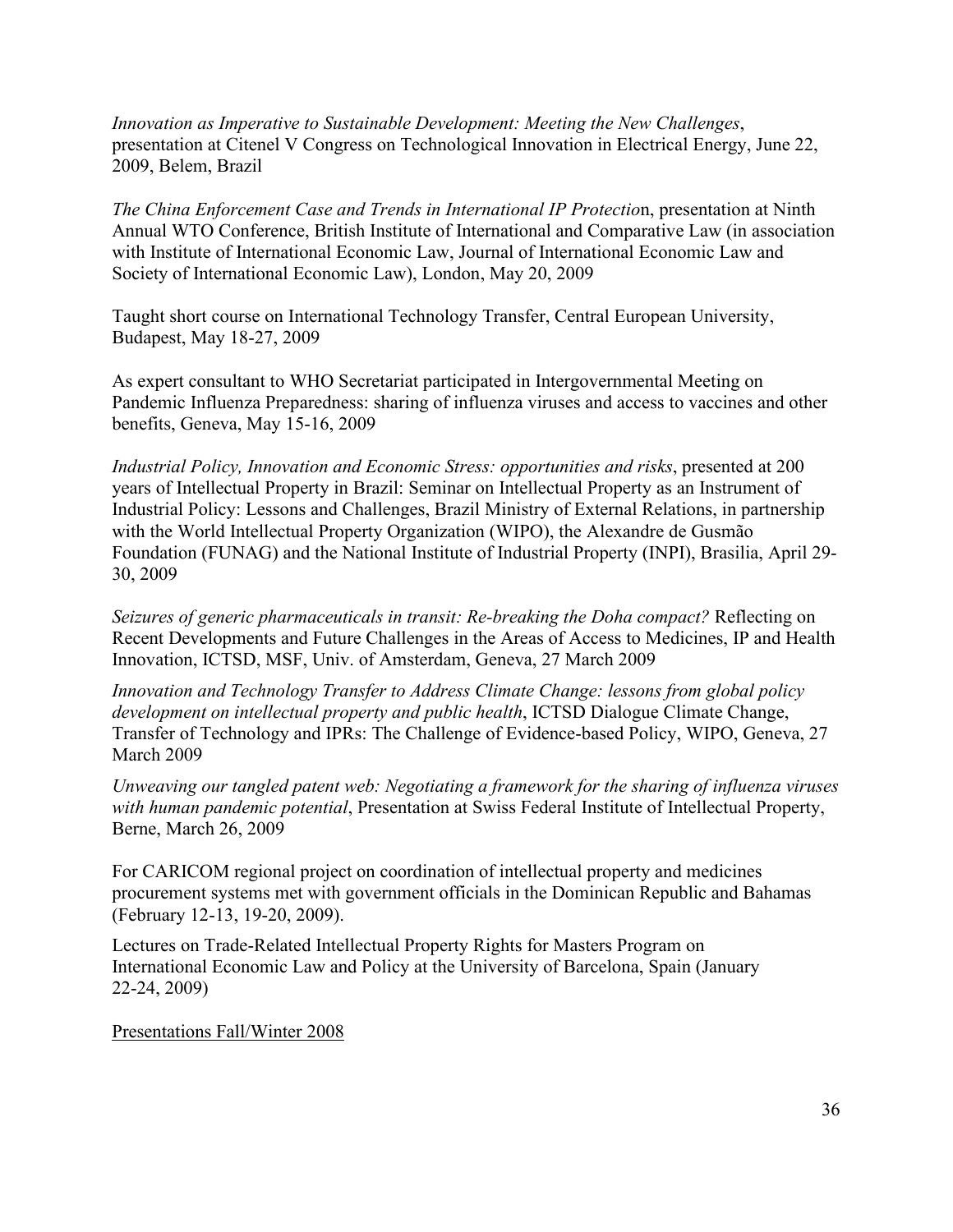*Innovation as Imperative to Sustainable Development: Meeting the New Challenges*, presentation at Citenel V Congress on Technological Innovation in Electrical Energy, June 22, 2009, Belem, Brazil

*The China Enforcement Case and Trends in International IP Protectio*n, presentation at Ninth Annual WTO Conference, British Institute of International and Comparative Law (in association with Institute of International Economic Law, Journal of International Economic Law and Society of International Economic Law), London, May 20, 2009

Taught short course on International Technology Transfer, Central European University, Budapest, May 18-27, 2009

As expert consultant to WHO Secretariat participated in [Intergovernmental Meeting on](http://www.who.int/gb/pip/)  [Pandemic Influenza Preparedness: sharing of influenza viruses and access to vaccines and other](http://www.who.int/gb/pip/)  [benefits,](http://www.who.int/gb/pip/) Geneva, May 15-16, 2009

*Industrial Policy, Innovation and Economic Stress: opportunities and risks*, presented at 200 years of Intellectual Property in Brazil: Seminar on Intellectual Property as an Instrument of Industrial Policy: Lessons and Challenges, Brazil Ministry of External Relations, in partnership with the World Intellectual Property Organization (WIPO), the Alexandre de Gusmão Foundation (FUNAG) and the National Institute of Industrial Property (INPI), Brasilia, April 29- 30, 2009

*Seizures of generic pharmaceuticals in transit: Re-breaking the Doha compact?* Reflecting on Recent Developments and Future Challenges in the Areas of Access to Medicines, IP and Health Innovation, ICTSD, MSF, Univ. of Amsterdam, Geneva, 27 March 2009

*Innovation and Technology Transfer to Address Climate Change: lessons from global policy development on intellectual property and public health*, ICTSD Dialogue Climate Change, Transfer of Technology and IPRs: The Challenge of Evidence-based Policy, WIPO, Geneva, 27 March 2009

*Unweaving our tangled patent web: Negotiating a framework for the sharing of influenza viruses with human pandemic potential*, Presentation at Swiss Federal Institute of Intellectual Property, Berne, March 26, 2009

For CARICOM regional project on coordination of intellectual property and medicines procurement systems met with government officials in the Dominican Republic and Bahamas (February 12-13, 19-20, 2009).

Lectures on Trade-Related Intellectual Property Rights for Masters Program on International Economic Law and Policy at the University of Barcelona, Spain (January 22-24, 2009)

Presentations Fall/Winter 2008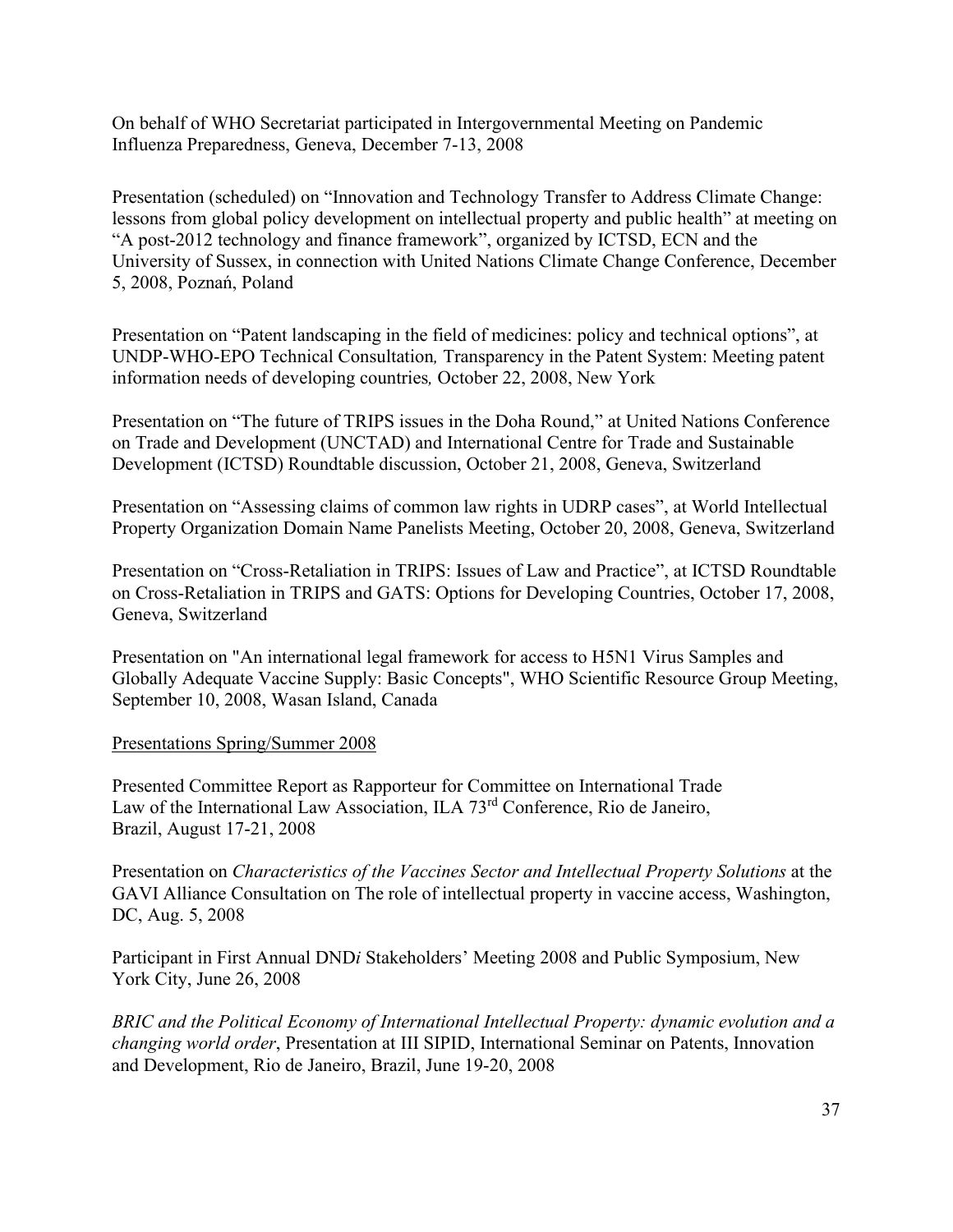On behalf of WHO Secretariat participated in Intergovernmental Meeting on Pandemic Influenza Preparedness, Geneva, December 7-13, 2008

Presentation (scheduled) on "Innovation and Technology Transfer to Address Climate Change: lessons from global policy development on intellectual property and public health" at meeting on "A post-2012 technology and finance framework", organized by ICTSD, ECN and the University of Sussex, in connection with United Nations Climate Change Conference, December 5, 2008, Poznań, Poland

Presentation on "Patent landscaping in the field of medicines: policy and technical options", at UNDP-WHO-EPO Technical Consultation*,* Transparency in the Patent System: Meeting patent information needs of developing countries*,* October 22, 2008, New York

Presentation on "The future of TRIPS issues in the Doha Round," at United Nations Conference on Trade and Development (UNCTAD) and International Centre for Trade and Sustainable Development (ICTSD) Roundtable discussion, October 21, 2008, Geneva, Switzerland

Presentation on "Assessing claims of common law rights in UDRP cases", at World Intellectual Property Organization Domain Name Panelists Meeting, October 20, 2008, Geneva, Switzerland

Presentation on "Cross-Retaliation in TRIPS: Issues of Law and Practice", at ICTSD Roundtable on Cross-Retaliation in TRIPS and GATS: Options for Developing Countries, October 17, 2008, Geneva, Switzerland

Presentation on "An international legal framework for access to H5N1 Virus Samples and Globally Adequate Vaccine Supply: Basic Concepts", WHO Scientific Resource Group Meeting, September 10, 2008, Wasan Island, Canada

#### Presentations Spring/Summer 2008

Presented Committee Report as Rapporteur for Committee on International Trade Law of the International Law Association, ILA  $73<sup>rd</sup>$  Conference, Rio de Janeiro, Brazil, August 17-21, 2008

Presentation on *Characteristics of the Vaccines Sector and Intellectual Property Solutions* at the GAVI Alliance Consultation on The role of intellectual property in vaccine access, Washington, DC, Aug. 5, 2008

Participant in First Annual DND*i* Stakeholders' Meeting 2008 and Public Symposium, New York City, June 26, 2008

*BRIC and the Political Economy of International Intellectual Property: dynamic evolution and a changing world order*, Presentation at III SIPID, International Seminar on Patents, Innovation and Development, Rio de Janeiro, Brazil, June 19-20, 2008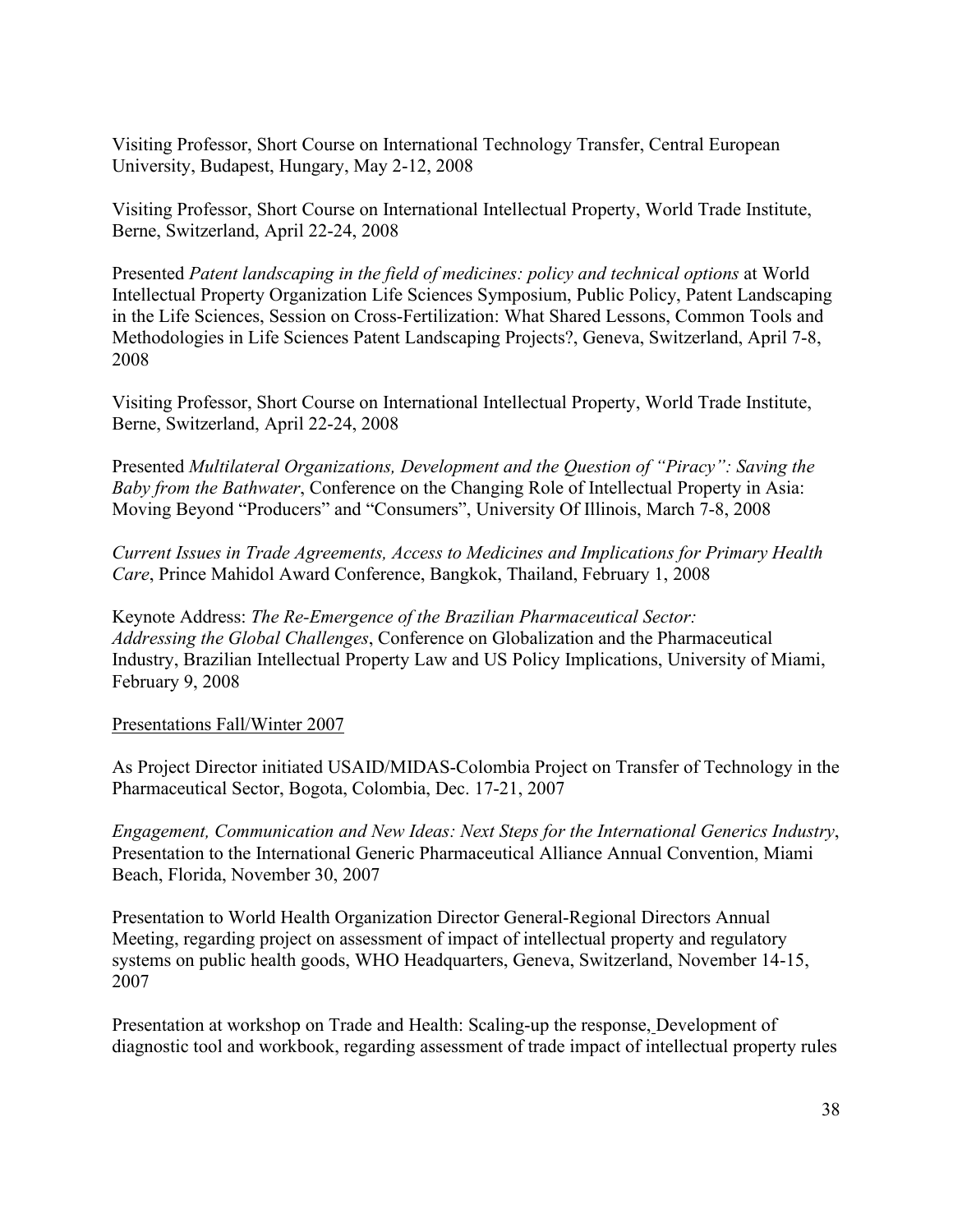Visiting Professor, Short Course on International Technology Transfer, Central European University, Budapest, Hungary, May 2-12, 2008

Visiting Professor, Short Course on International Intellectual Property, World Trade Institute, Berne, Switzerland, April 22-24, 2008

Presented *Patent landscaping in the field of medicines: policy and technical options* at World Intellectual Property Organization Life Sciences Symposium, Public Policy, Patent Landscaping in the Life Sciences, Session on Cross-Fertilization: What Shared Lessons, Common Tools and Methodologies in Life Sciences Patent Landscaping Projects?, Geneva, Switzerland, April 7-8, 2008

Visiting Professor, Short Course on International Intellectual Property, World Trade Institute, Berne, Switzerland, April 22-24, 2008

Presented *Multilateral Organizations, Development and the Question of "Piracy": Saving the Baby from the Bathwater*, Conference on the Changing Role of Intellectual Property in Asia: Moving Beyond "Producers" and "Consumers", University Of Illinois, March 7-8, 2008

*Current Issues in Trade Agreements, Access to Medicines and Implications for Primary Health Care*, Prince Mahidol Award Conference, Bangkok, Thailand, February 1, 2008

Keynote Address: *The Re-Emergence of the Brazilian Pharmaceutical Sector: Addressing the Global Challenges*, Conference on Globalization and the Pharmaceutical Industry, Brazilian Intellectual Property Law and US Policy Implications, University of Miami, February 9, 2008

#### Presentations Fall/Winter 2007

As Project Director initiated USAID/MIDAS-Colombia Project on Transfer of Technology in the Pharmaceutical Sector, Bogota, Colombia, Dec. 17-21, 2007

*Engagement, Communication and New Ideas: Next Steps for the International Generics Industry*, Presentation to the International Generic Pharmaceutical Alliance Annual Convention, Miami Beach, Florida, November 30, 2007

Presentation to World Health Organization Director General-Regional Directors Annual Meeting, regarding project on assessment of impact of intellectual property and regulatory systems on public health goods, WHO Headquarters, Geneva, Switzerland, November 14-15, 2007

Presentation at workshop on Trade and Health: Scaling-up the response, Development of diagnostic tool and workbook, regarding assessment of trade impact of intellectual property rules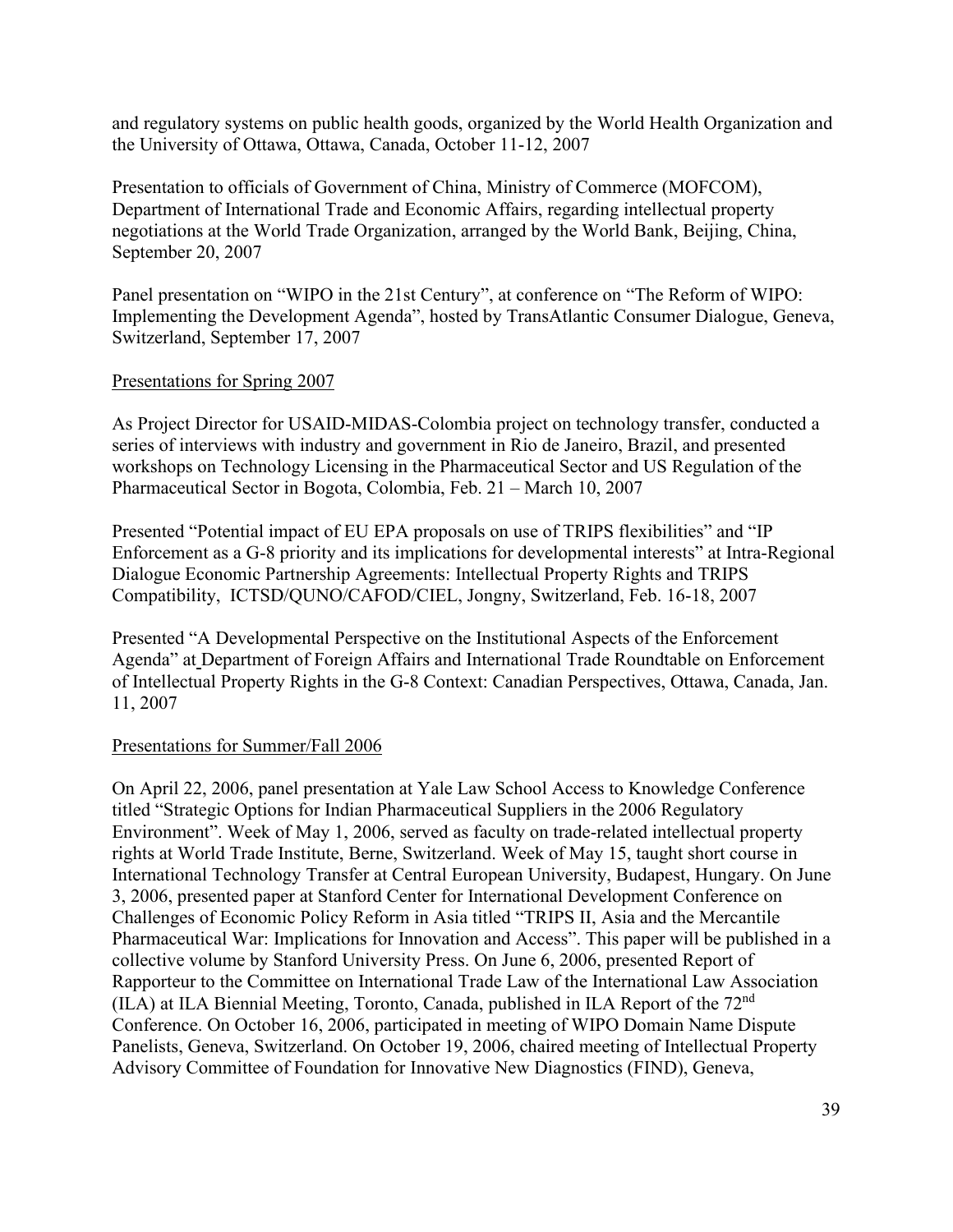and regulatory systems on public health goods, organized by the World Health Organization and the University of Ottawa, Ottawa, Canada, October 11-12, 2007

Presentation to officials of Government of China, Ministry of Commerce (MOFCOM), Department of International Trade and Economic Affairs, regarding intellectual property negotiations at the World Trade Organization, arranged by the World Bank, Beijing, China, September 20, 2007

Panel presentation on "WIPO in the 21st Century", at conference on "The Reform of WIPO: Implementing the Development Agenda", hosted by TransAtlantic Consumer Dialogue, Geneva, Switzerland, September 17, 2007

#### Presentations for Spring 2007

As Project Director for USAID-MIDAS-Colombia project on technology transfer, conducted a series of interviews with industry and government in Rio de Janeiro, Brazil, and presented workshops on Technology Licensing in the Pharmaceutical Sector and US Regulation of the Pharmaceutical Sector in Bogota, Colombia, Feb. 21 – March 10, 2007

Presented "Potential impact of EU EPA proposals on use of TRIPS flexibilities" and "IP Enforcement as a G-8 priority and its implications for developmental interests" at Intra-Regional Dialogue Economic Partnership Agreements: Intellectual Property Rights and TRIPS Compatibility, ICTSD/QUNO/CAFOD/CIEL, Jongny, Switzerland, Feb. 16-18, 2007

Presented "A Developmental Perspective on the Institutional Aspects of the Enforcement Agenda" at Department of Foreign Affairs and International Trade Roundtable on Enforcement of Intellectual Property Rights in the G-8 Context: Canadian Perspectives, Ottawa, Canada, Jan. 11, 2007

#### Presentations for Summer/Fall 2006

On April 22, 2006, panel presentation at Yale Law School Access to Knowledge Conference titled "Strategic Options for Indian Pharmaceutical Suppliers in the 2006 Regulatory Environment". Week of May 1, 2006, served as faculty on trade-related intellectual property rights at World Trade Institute, Berne, Switzerland. Week of May 15, taught short course in International Technology Transfer at Central European University, Budapest, Hungary. On June 3, 2006, presented paper at Stanford Center for International Development Conference on Challenges of Economic Policy Reform in Asia titled "TRIPS II, Asia and the Mercantile Pharmaceutical War: Implications for Innovation and Access". This paper will be published in a collective volume by Stanford University Press. On June 6, 2006, presented Report of Rapporteur to the Committee on International Trade Law of the International Law Association (ILA) at ILA Biennial Meeting, Toronto, Canada, published in ILA Report of the 72nd Conference. On October 16, 2006, participated in meeting of WIPO Domain Name Dispute Panelists, Geneva, Switzerland. On October 19, 2006, chaired meeting of Intellectual Property Advisory Committee of Foundation for Innovative New Diagnostics (FIND), Geneva,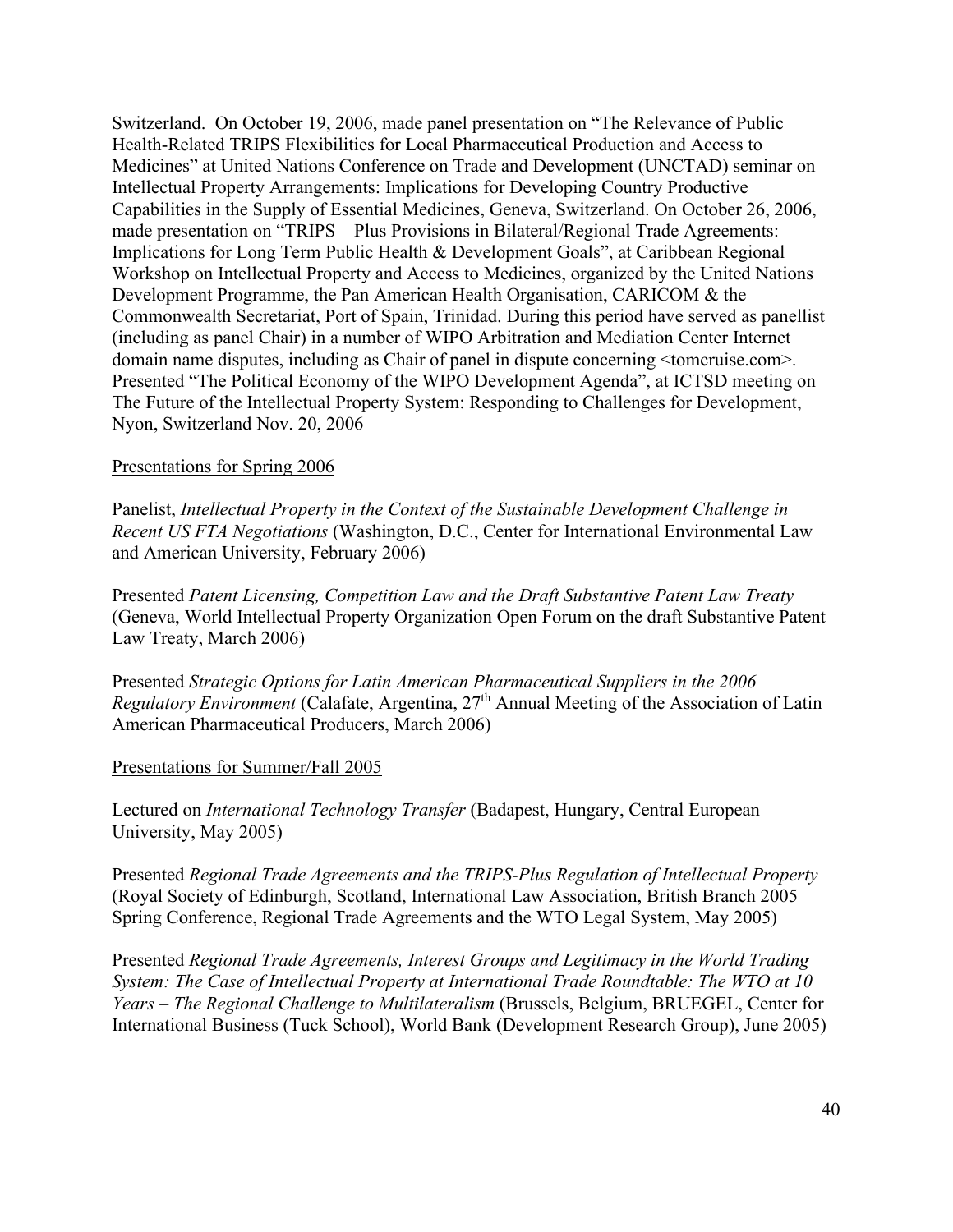Switzerland. On October 19, 2006, made panel presentation on "The Relevance of Public Health-Related TRIPS Flexibilities for Local Pharmaceutical Production and Access to Medicines" at United Nations Conference on Trade and Development (UNCTAD) seminar on Intellectual Property Arrangements: Implications for Developing Country Productive Capabilities in the Supply of Essential Medicines, Geneva, Switzerland. On October 26, 2006, made presentation on "TRIPS – Plus Provisions in Bilateral/Regional Trade Agreements: Implications for Long Term Public Health & Development Goals", at Caribbean Regional Workshop on Intellectual Property and Access to Medicines, organized by the United Nations Development Programme, the Pan American Health Organisation, CARICOM & the Commonwealth Secretariat, Port of Spain, Trinidad. During this period have served as panellist (including as panel Chair) in a number of WIPO Arbitration and Mediation Center Internet domain name disputes, including as Chair of panel in dispute concerning <tomcruise.com>. Presented "The Political Economy of the WIPO Development Agenda", at ICTSD meeting on The Future of the Intellectual Property System: Responding to Challenges for Development, Nyon, Switzerland Nov. 20, 2006

# Presentations for Spring 2006

Panelist, *Intellectual Property in the Context of the Sustainable Development Challenge in Recent US FTA Negotiations* (Washington, D.C., Center for International Environmental Law and American University, February 2006)

Presented *Patent Licensing, Competition Law and the Draft Substantive Patent Law Treaty* (Geneva, World Intellectual Property Organization Open Forum on the draft Substantive Patent Law Treaty, March 2006)

Presented *Strategic Options for Latin American Pharmaceutical Suppliers in the 2006 Regulatory Environment* (Calafate, Argentina, 27<sup>th</sup> Annual Meeting of the Association of Latin American Pharmaceutical Producers, March 2006)

#### Presentations for Summer/Fall 2005

Lectured on *International Technology Transfer* (Badapest, Hungary, Central European University, May 2005)

Presented *Regional Trade Agreements and the TRIPS-Plus Regulation of Intellectual Property* (Royal Society of Edinburgh, Scotland, International Law Association, British Branch 2005 Spring Conference, Regional Trade Agreements and the WTO Legal System, May 2005)

Presented *Regional Trade Agreements, Interest Groups and Legitimacy in the World Trading System: The Case of Intellectual Property at International Trade Roundtable: The WTO at 10 Years – The Regional Challenge to Multilateralism* (Brussels, Belgium, BRUEGEL, Center for International Business (Tuck School), World Bank (Development Research Group), June 2005)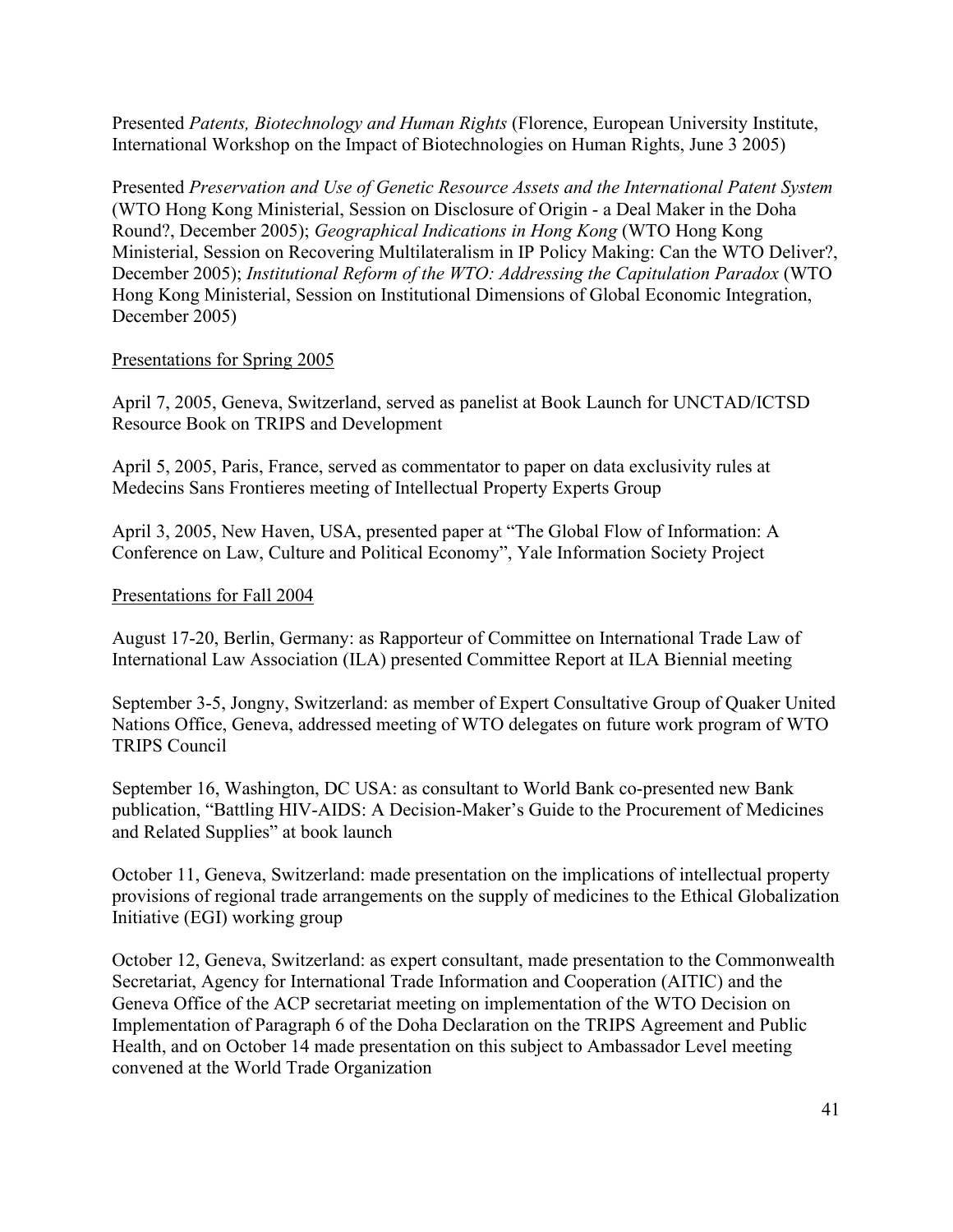Presented *Patents, Biotechnology and Human Rights* (Florence, European University Institute, International Workshop on the Impact of Biotechnologies on Human Rights, June 3 2005)

Presented *Preservation and Use of Genetic Resource Assets and the International Patent System* (WTO Hong Kong Ministerial, Session on Disclosure of Origin - a Deal Maker in the Doha Round?, December 2005); *Geographical Indications in Hong Kong* (WTO Hong Kong Ministerial, Session on Recovering Multilateralism in IP Policy Making: Can the WTO Deliver?, December 2005); *Institutional Reform of the WTO: Addressing the Capitulation Paradox* (WTO Hong Kong Ministerial, Session on Institutional Dimensions of Global Economic Integration, December 2005)

# Presentations for Spring 2005

April 7, 2005, Geneva, Switzerland, served as panelist at Book Launch for UNCTAD/ICTSD Resource Book on TRIPS and Development

April 5, 2005, Paris, France, served as commentator to paper on data exclusivity rules at Medecins Sans Frontieres meeting of Intellectual Property Experts Group

April 3, 2005, New Haven, USA, presented paper at "The Global Flow of Information: A Conference on Law, Culture and Political Economy", Yale Information Society Project

# Presentations for Fall 2004

August 17-20, Berlin, Germany: as Rapporteur of Committee on International Trade Law of International Law Association (ILA) presented Committee Report at ILA Biennial meeting

September 3-5, Jongny, Switzerland: as member of Expert Consultative Group of Quaker United Nations Office, Geneva, addressed meeting of WTO delegates on future work program of WTO TRIPS Council

September 16, Washington, DC USA: as consultant to World Bank co-presented new Bank publication, "Battling HIV-AIDS: A Decision-Maker's Guide to the Procurement of Medicines and Related Supplies" at book launch

October 11, Geneva, Switzerland: made presentation on the implications of intellectual property provisions of regional trade arrangements on the supply of medicines to the Ethical Globalization Initiative (EGI) working group

October 12, Geneva, Switzerland: as expert consultant, made presentation to the Commonwealth Secretariat, Agency for International Trade Information and Cooperation (AITIC) and the Geneva Office of the ACP secretariat meeting on implementation of the WTO Decision on Implementation of Paragraph 6 of the Doha Declaration on the TRIPS Agreement and Public Health, and on October 14 made presentation on this subject to Ambassador Level meeting convened at the World Trade Organization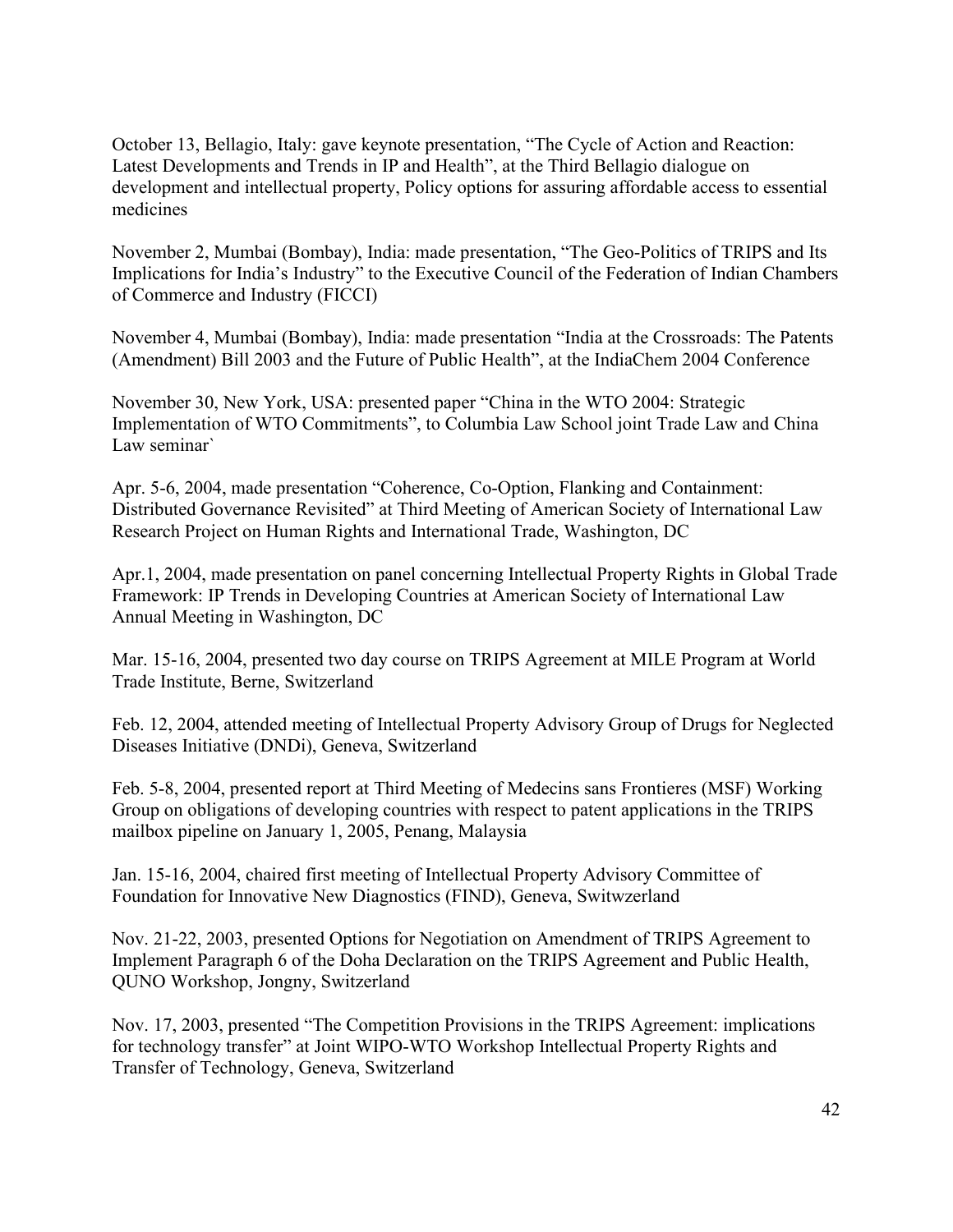October 13, Bellagio, Italy: gave keynote presentation, "The Cycle of Action and Reaction: Latest Developments and Trends in IP and Health", at the Third Bellagio dialogue on development and intellectual property, Policy options for assuring affordable access to essential medicines

November 2, Mumbai (Bombay), India: made presentation, "The Geo-Politics of TRIPS and Its Implications for India's Industry" to the Executive Council of the Federation of Indian Chambers of Commerce and Industry (FICCI)

November 4, Mumbai (Bombay), India: made presentation "India at the Crossroads: The Patents (Amendment) Bill 2003 and the Future of Public Health", at the IndiaChem 2004 Conference

November 30, New York, USA: presented paper "China in the WTO 2004: Strategic Implementation of WTO Commitments", to Columbia Law School joint Trade Law and China Law seminar`

Apr. 5-6, 2004, made presentation "Coherence, Co-Option, Flanking and Containment: Distributed Governance Revisited" at Third Meeting of American Society of International Law Research Project on Human Rights and International Trade, Washington, DC

Apr.1, 2004, made presentation on panel concerning Intellectual Property Rights in Global Trade Framework: IP Trends in Developing Countries at American Society of International Law Annual Meeting in Washington, DC

Mar. 15-16, 2004, presented two day course on TRIPS Agreement at MILE Program at World Trade Institute, Berne, Switzerland

Feb. 12, 2004, attended meeting of Intellectual Property Advisory Group of Drugs for Neglected Diseases Initiative (DNDi), Geneva, Switzerland

Feb. 5-8, 2004, presented report at Third Meeting of Medecins sans Frontieres (MSF) Working Group on obligations of developing countries with respect to patent applications in the TRIPS mailbox pipeline on January 1, 2005, Penang, Malaysia

Jan. 15-16, 2004, chaired first meeting of Intellectual Property Advisory Committee of Foundation for Innovative New Diagnostics (FIND), Geneva, Switwzerland

Nov. 21-22, 2003, presented Options for Negotiation on Amendment of TRIPS Agreement to Implement Paragraph 6 of the Doha Declaration on the TRIPS Agreement and Public Health, QUNO Workshop, Jongny, Switzerland

Nov. 17, 2003, presented "The Competition Provisions in the TRIPS Agreement: implications for technology transfer" at Joint WIPO-WTO Workshop Intellectual Property Rights and Transfer of Technology, Geneva, Switzerland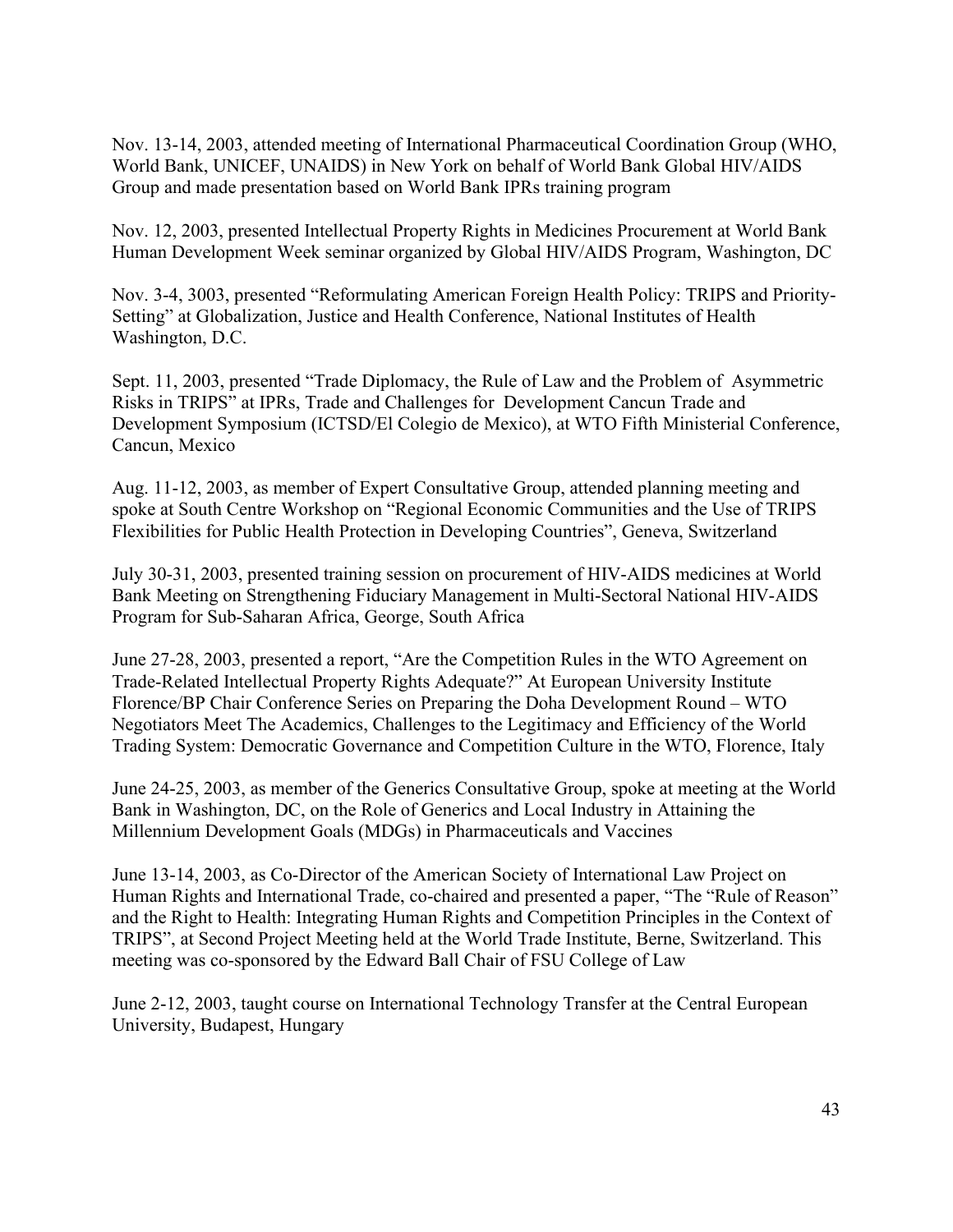Nov. 13-14, 2003, attended meeting of International Pharmaceutical Coordination Group (WHO, World Bank, UNICEF, UNAIDS) in New York on behalf of World Bank Global HIV/AIDS Group and made presentation based on World Bank IPRs training program

Nov. 12, 2003, presented Intellectual Property Rights in Medicines Procurement at World Bank Human Development Week seminar organized by Global HIV/AIDS Program, Washington, DC

Nov. 3-4, 3003, presented "Reformulating American Foreign Health Policy: TRIPS and Priority-Setting" at Globalization, Justice and Health Conference, National Institutes of Health Washington, D.C.

Sept. 11, 2003, presented "Trade Diplomacy, the Rule of Law and the Problem of Asymmetric Risks in TRIPS" at IPRs, Trade and Challenges for Development Cancun Trade and Development Symposium (ICTSD/El Colegio de Mexico), at WTO Fifth Ministerial Conference, Cancun, Mexico

Aug. 11-12, 2003, as member of Expert Consultative Group, attended planning meeting and spoke at South Centre Workshop on "Regional Economic Communities and the Use of TRIPS Flexibilities for Public Health Protection in Developing Countries", Geneva, Switzerland

July 30-31, 2003, presented training session on procurement of HIV-AIDS medicines at World Bank Meeting on Strengthening Fiduciary Management in Multi-Sectoral National HIV-AIDS Program for Sub-Saharan Africa, George, South Africa

June 27-28, 2003, presented a report, "Are the Competition Rules in the WTO Agreement on Trade-Related Intellectual Property Rights Adequate?" At European University Institute Florence/BP Chair Conference Series on Preparing the Doha Development Round – WTO Negotiators Meet The Academics, Challenges to the Legitimacy and Efficiency of the World Trading System: Democratic Governance and Competition Culture in the WTO, Florence, Italy

June 24-25, 2003, as member of the Generics Consultative Group, spoke at meeting at the World Bank in Washington, DC, on the Role of Generics and Local Industry in Attaining the Millennium Development Goals (MDGs) in Pharmaceuticals and Vaccines

June 13-14, 2003, as Co-Director of the American Society of International Law Project on Human Rights and International Trade, co-chaired and presented a paper, "The "Rule of Reason" and the Right to Health: Integrating Human Rights and Competition Principles in the Context of TRIPS", at Second Project Meeting held at the World Trade Institute, Berne, Switzerland. This meeting was co-sponsored by the Edward Ball Chair of FSU College of Law

June 2-12, 2003, taught course on International Technology Transfer at the Central European University, Budapest, Hungary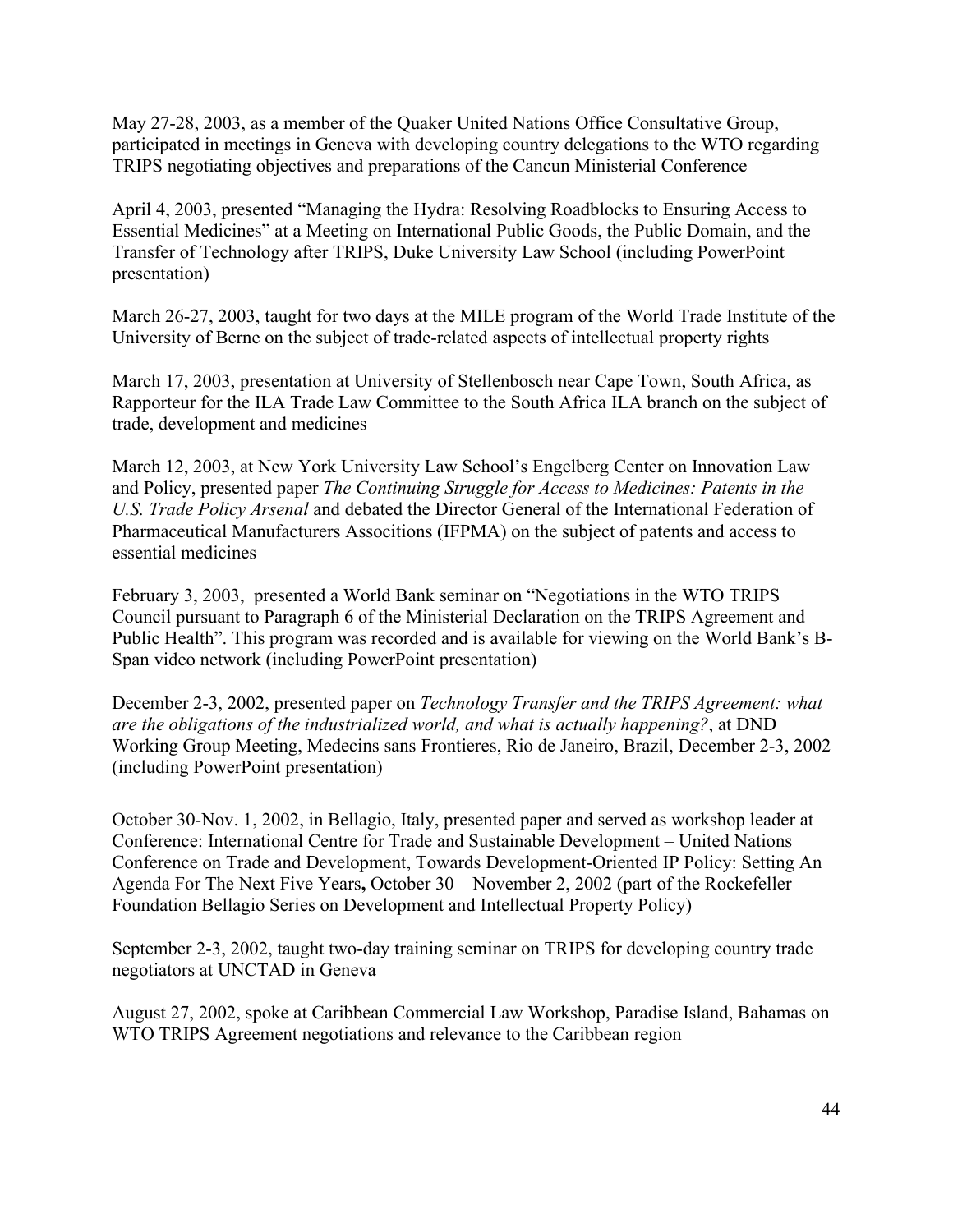May 27-28, 2003, as a member of the Quaker United Nations Office Consultative Group, participated in meetings in Geneva with developing country delegations to the WTO regarding TRIPS negotiating objectives and preparations of the Cancun Ministerial Conference

April 4, 2003, presented "Managing the Hydra: Resolving Roadblocks to Ensuring Access to Essential Medicines" at a Meeting on International Public Goods, the Public Domain, and the Transfer of Technology after TRIPS, Duke University Law School (including PowerPoint presentation)

March 26-27, 2003, taught for two days at the MILE program of the World Trade Institute of the University of Berne on the subject of trade-related aspects of intellectual property rights

March 17, 2003, presentation at University of Stellenbosch near Cape Town, South Africa, as Rapporteur for the ILA Trade Law Committee to the South Africa ILA branch on the subject of trade, development and medicines

March 12, 2003, at New York University Law School's Engelberg Center on Innovation Law and Policy, presented paper *The Continuing Struggle for Access to Medicines: Patents in the U.S. Trade Policy Arsenal* and debated the Director General of the International Federation of Pharmaceutical Manufacturers Associtions (IFPMA) on the subject of patents and access to essential medicines

February 3, 2003, presented a World Bank seminar on "Negotiations in the WTO TRIPS Council pursuant to Paragraph 6 of the Ministerial Declaration on the TRIPS Agreement and Public Health". This program was recorded and is available for viewing on the World Bank's B-Span video network (including PowerPoint presentation)

December 2-3, 2002, presented paper on *Technology Transfer and the TRIPS Agreement: what are the obligations of the industrialized world, and what is actually happening?*, at DND Working Group Meeting, Medecins sans Frontieres, Rio de Janeiro, Brazil, December 2-3, 2002 (including PowerPoint presentation)

October 30-Nov. 1, 2002, in Bellagio, Italy, presented paper and served as workshop leader at Conference: International Centre for Trade and Sustainable Development – United Nations Conference on Trade and Development, Towards Development-Oriented IP Policy: Setting An Agenda For The Next Five Years**,** October 30 – November 2, 2002 (part of the Rockefeller Foundation Bellagio Series on Development and Intellectual Property Policy)

September 2-3, 2002, taught two-day training seminar on TRIPS for developing country trade negotiators at UNCTAD in Geneva

August 27, 2002, spoke at Caribbean Commercial Law Workshop, Paradise Island, Bahamas on WTO TRIPS Agreement negotiations and relevance to the Caribbean region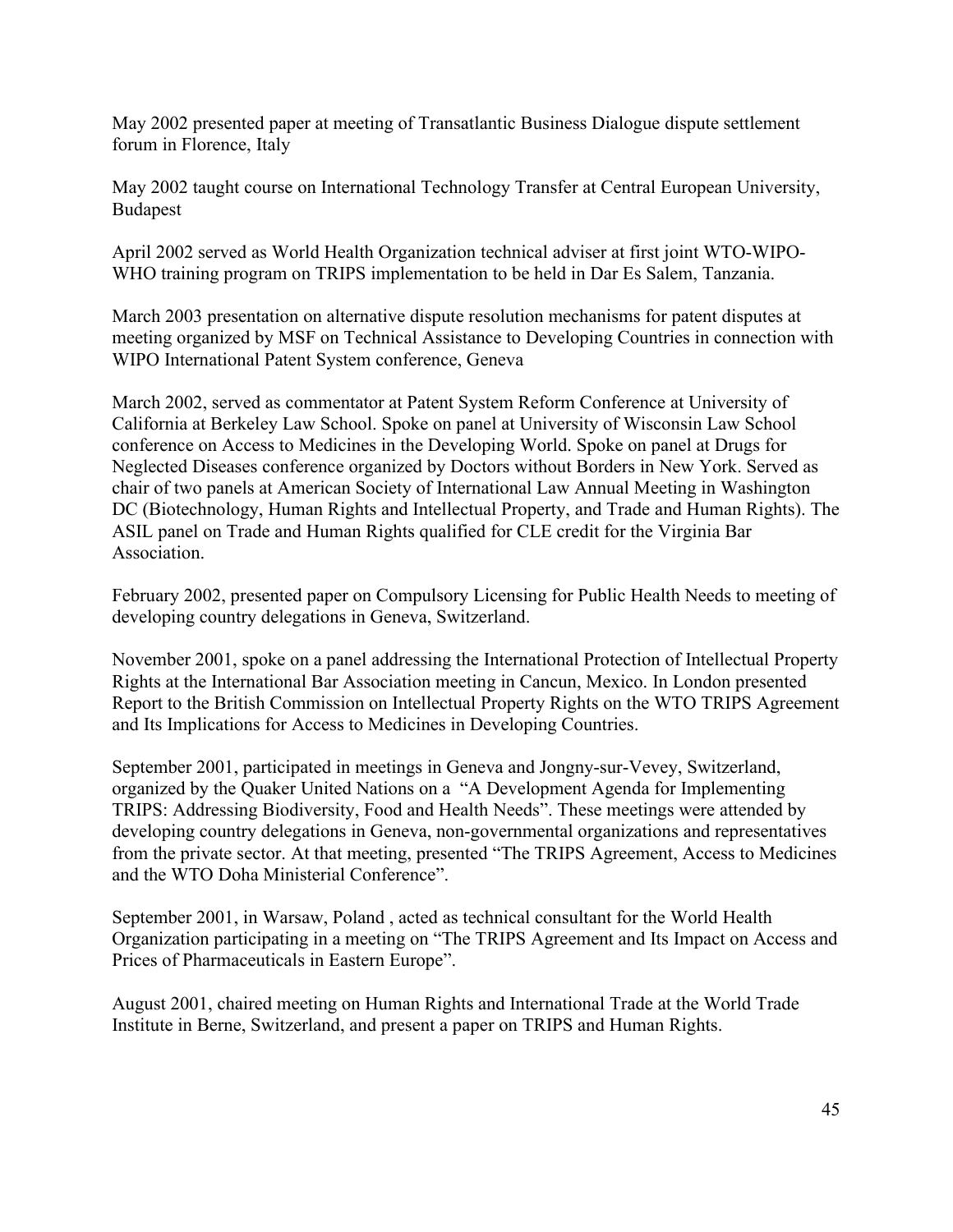May 2002 presented paper at meeting of Transatlantic Business Dialogue dispute settlement forum in Florence, Italy

May 2002 taught course on International Technology Transfer at Central European University, Budapest

April 2002 served as World Health Organization technical adviser at first joint WTO-WIPO-WHO training program on TRIPS implementation to be held in Dar Es Salem, Tanzania.

March 2003 presentation on alternative dispute resolution mechanisms for patent disputes at meeting organized by MSF on Technical Assistance to Developing Countries in connection with WIPO International Patent System conference, Geneva

March 2002, served as commentator at Patent System Reform Conference at University of California at Berkeley Law School. Spoke on panel at University of Wisconsin Law School conference on Access to Medicines in the Developing World. Spoke on panel at Drugs for Neglected Diseases conference organized by Doctors without Borders in New York. Served as chair of two panels at American Society of International Law Annual Meeting in Washington DC (Biotechnology, Human Rights and Intellectual Property, and Trade and Human Rights). The ASIL panel on Trade and Human Rights qualified for CLE credit for the Virginia Bar Association.

February 2002, presented paper on Compulsory Licensing for Public Health Needs to meeting of developing country delegations in Geneva, Switzerland.

November 2001, spoke on a panel addressing the International Protection of Intellectual Property Rights at the International Bar Association meeting in Cancun, Mexico. In London presented Report to the British Commission on Intellectual Property Rights on the WTO TRIPS Agreement and Its Implications for Access to Medicines in Developing Countries.

September 2001, participated in meetings in Geneva and Jongny-sur-Vevey, Switzerland, organized by the Quaker United Nations on a "A Development Agenda for Implementing TRIPS: Addressing Biodiversity, Food and Health Needs". These meetings were attended by developing country delegations in Geneva, non-governmental organizations and representatives from the private sector. At that meeting, presented "The TRIPS Agreement, Access to Medicines and the WTO Doha Ministerial Conference".

September 2001, in Warsaw, Poland , acted as technical consultant for the World Health Organization participating in a meeting on "The TRIPS Agreement and Its Impact on Access and Prices of Pharmaceuticals in Eastern Europe".

August 2001, chaired meeting on Human Rights and International Trade at the World Trade Institute in Berne, Switzerland, and present a paper on TRIPS and Human Rights.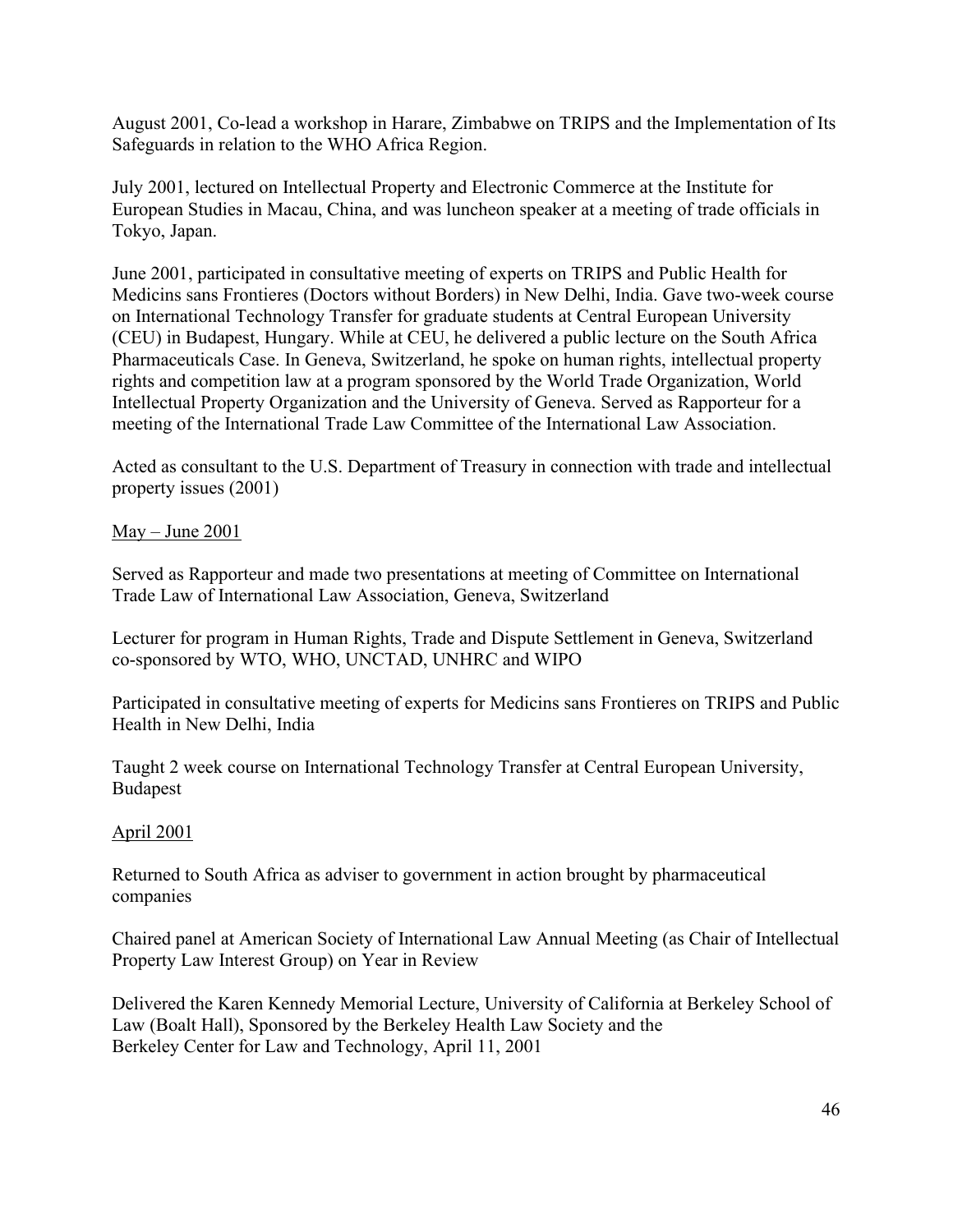August 2001, Co-lead a workshop in Harare, Zimbabwe on TRIPS and the Implementation of Its Safeguards in relation to the WHO Africa Region.

July 2001, lectured on Intellectual Property and Electronic Commerce at the Institute for European Studies in Macau, China, and was luncheon speaker at a meeting of trade officials in Tokyo, Japan.

June 2001, participated in consultative meeting of experts on TRIPS and Public Health for Medicins sans Frontieres (Doctors without Borders) in New Delhi, India. Gave two-week course on International Technology Transfer for graduate students at Central European University (CEU) in Budapest, Hungary. While at CEU, he delivered a public lecture on the South Africa Pharmaceuticals Case. In Geneva, Switzerland, he spoke on human rights, intellectual property rights and competition law at a program sponsored by the World Trade Organization, World Intellectual Property Organization and the University of Geneva. Served as Rapporteur for a meeting of the International Trade Law Committee of the International Law Association.

Acted as consultant to the U.S. Department of Treasury in connection with trade and intellectual property issues (2001)

May – June 2001

Served as Rapporteur and made two presentations at meeting of Committee on International Trade Law of International Law Association, Geneva, Switzerland

Lecturer for program in Human Rights, Trade and Dispute Settlement in Geneva, Switzerland co-sponsored by WTO, WHO, UNCTAD, UNHRC and WIPO

Participated in consultative meeting of experts for Medicins sans Frontieres on TRIPS and Public Health in New Delhi, India

Taught 2 week course on International Technology Transfer at Central European University, Budapest

# April 2001

Returned to South Africa as adviser to government in action brought by pharmaceutical companies

Chaired panel at American Society of International Law Annual Meeting (as Chair of Intellectual Property Law Interest Group) on Year in Review

Delivered the Karen Kennedy Memorial Lecture, University of California at Berkeley School of Law (Boalt Hall), Sponsored by the Berkeley Health Law Society and the Berkeley Center for Law and Technology, April 11, 2001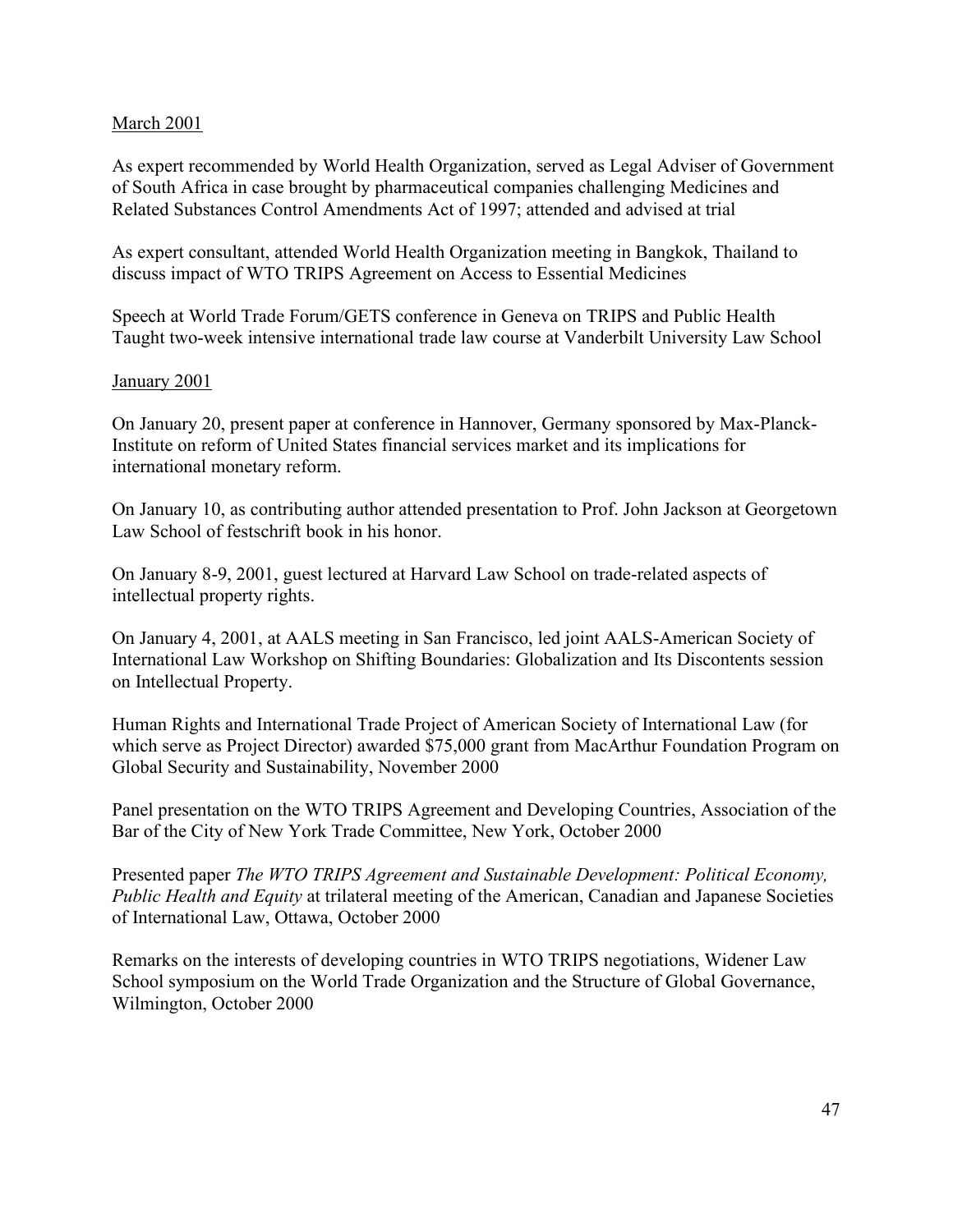#### March 2001

As expert recommended by World Health Organization, served as Legal Adviser of Government of South Africa in case brought by pharmaceutical companies challenging Medicines and Related Substances Control Amendments Act of 1997; attended and advised at trial

As expert consultant, attended World Health Organization meeting in Bangkok, Thailand to discuss impact of WTO TRIPS Agreement on Access to Essential Medicines

Speech at World Trade Forum/GETS conference in Geneva on TRIPS and Public Health Taught two-week intensive international trade law course at Vanderbilt University Law School

#### January 2001

On January 20, present paper at conference in Hannover, Germany sponsored by Max-Planck-Institute on reform of United States financial services market and its implications for international monetary reform.

On January 10, as contributing author attended presentation to Prof. John Jackson at Georgetown Law School of festschrift book in his honor.

On January 8-9, 2001, guest lectured at Harvard Law School on trade-related aspects of intellectual property rights.

On January 4, 2001, at AALS meeting in San Francisco, led joint AALS-American Society of International Law Workshop on Shifting Boundaries: Globalization and Its Discontents session on Intellectual Property.

Human Rights and International Trade Project of American Society of International Law (for which serve as Project Director) awarded \$75,000 grant from MacArthur Foundation Program on Global Security and Sustainability, November 2000

Panel presentation on the WTO TRIPS Agreement and Developing Countries, Association of the Bar of the City of New York Trade Committee, New York, October 2000

Presented paper *The WTO TRIPS Agreement and Sustainable Development: Political Economy, Public Health and Equity* at trilateral meeting of the American, Canadian and Japanese Societies of International Law, Ottawa, October 2000

Remarks on the interests of developing countries in WTO TRIPS negotiations, Widener Law School symposium on the World Trade Organization and the Structure of Global Governance, Wilmington, October 2000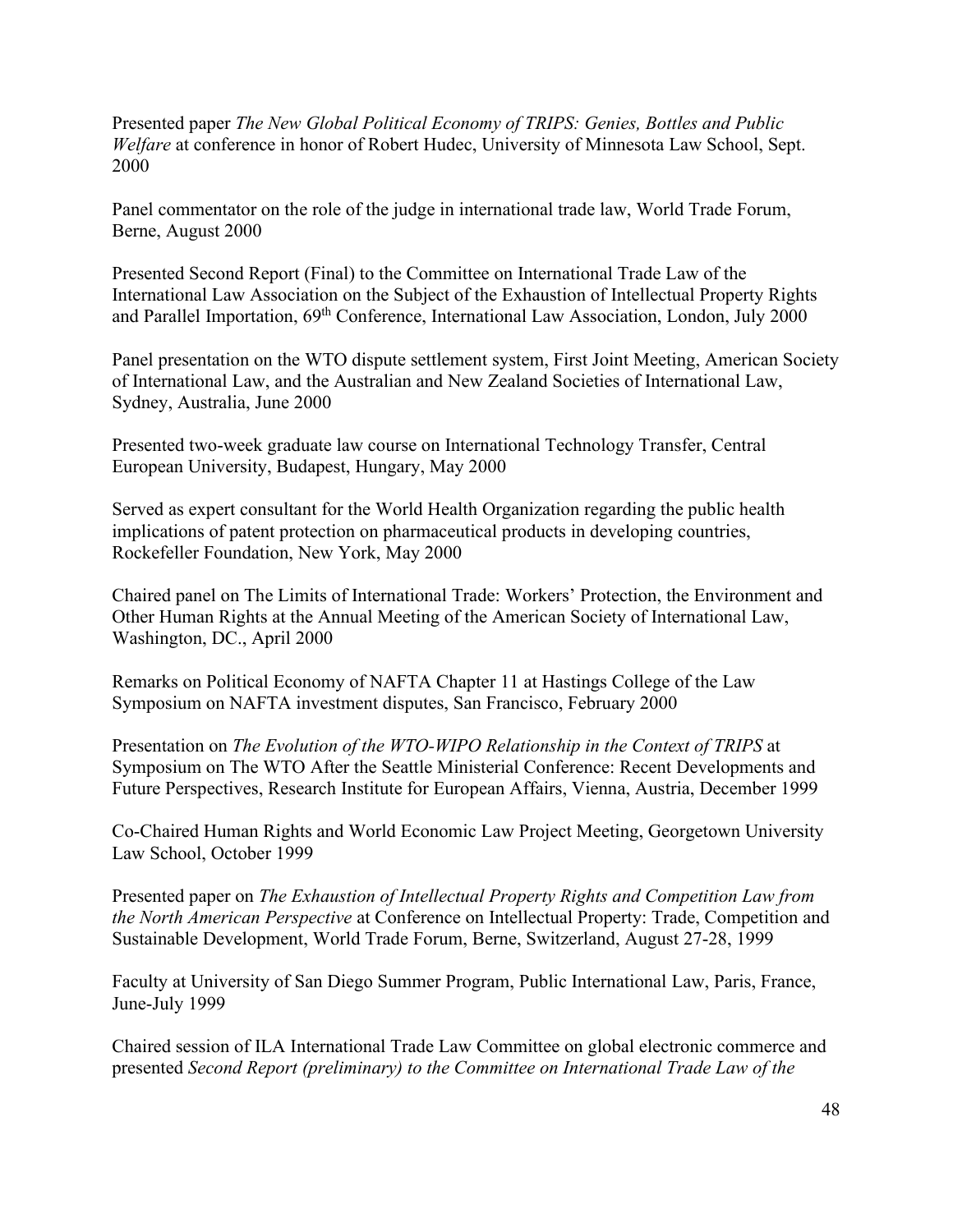Presented paper *The New Global Political Economy of TRIPS: Genies, Bottles and Public Welfare* at conference in honor of Robert Hudec, University of Minnesota Law School, Sept. 2000

Panel commentator on the role of the judge in international trade law, World Trade Forum, Berne, August 2000

Presented Second Report (Final) to the Committee on International Trade Law of the International Law Association on the Subject of the Exhaustion of Intellectual Property Rights and Parallel Importation,  $69^{th}$  Conference, International Law Association, London, July 2000

Panel presentation on the WTO dispute settlement system, First Joint Meeting, American Society of International Law, and the Australian and New Zealand Societies of International Law, Sydney, Australia, June 2000

Presented two-week graduate law course on International Technology Transfer, Central European University, Budapest, Hungary, May 2000

Served as expert consultant for the World Health Organization regarding the public health implications of patent protection on pharmaceutical products in developing countries, Rockefeller Foundation, New York, May 2000

Chaired panel on The Limits of International Trade: Workers' Protection, the Environment and Other Human Rights at the Annual Meeting of the American Society of International Law, Washington, DC., April 2000

Remarks on Political Economy of NAFTA Chapter 11 at Hastings College of the Law Symposium on NAFTA investment disputes, San Francisco, February 2000

Presentation on *The Evolution of the WTO-WIPO Relationship in the Context of TRIPS* at Symposium on The WTO After the Seattle Ministerial Conference: Recent Developments and Future Perspectives, Research Institute for European Affairs, Vienna, Austria, December 1999

Co-Chaired Human Rights and World Economic Law Project Meeting, Georgetown University Law School, October 1999

Presented paper on *The Exhaustion of Intellectual Property Rights and Competition Law from the North American Perspective* at Conference on Intellectual Property: Trade, Competition and Sustainable Development, World Trade Forum, Berne, Switzerland, August 27-28, 1999

Faculty at University of San Diego Summer Program, Public International Law, Paris, France, June-July 1999

Chaired session of ILA International Trade Law Committee on global electronic commerce and presented *Second Report (preliminary) to the Committee on International Trade Law of the*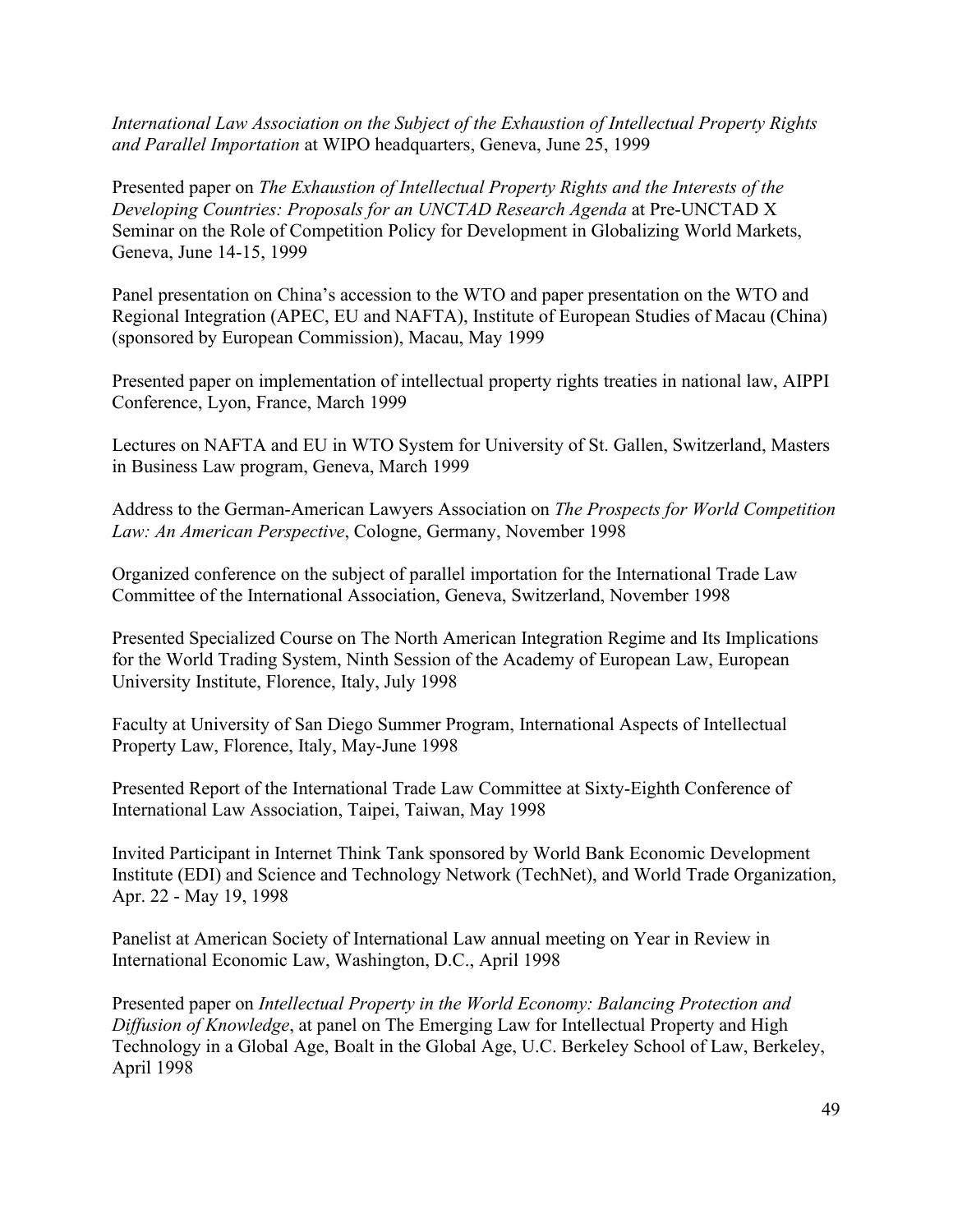*International Law Association on the Subject of the Exhaustion of Intellectual Property Rights and Parallel Importation* at WIPO headquarters, Geneva, June 25, 1999

Presented paper on *The Exhaustion of Intellectual Property Rights and the Interests of the Developing Countries: Proposals for an UNCTAD Research Agenda* at Pre-UNCTAD X Seminar on the Role of Competition Policy for Development in Globalizing World Markets, Geneva, June 14-15, 1999

Panel presentation on China's accession to the WTO and paper presentation on the WTO and Regional Integration (APEC, EU and NAFTA), Institute of European Studies of Macau (China) (sponsored by European Commission), Macau, May 1999

Presented paper on implementation of intellectual property rights treaties in national law, AIPPI Conference, Lyon, France, March 1999

Lectures on NAFTA and EU in WTO System for University of St. Gallen, Switzerland, Masters in Business Law program, Geneva, March 1999

Address to the German-American Lawyers Association on *The Prospects for World Competition Law: An American Perspective*, Cologne, Germany, November 1998

Organized conference on the subject of parallel importation for the International Trade Law Committee of the International Association, Geneva, Switzerland, November 1998

Presented Specialized Course on The North American Integration Regime and Its Implications for the World Trading System, Ninth Session of the Academy of European Law, European University Institute, Florence, Italy, July 1998

Faculty at University of San Diego Summer Program, International Aspects of Intellectual Property Law, Florence, Italy, May-June 1998

Presented Report of the International Trade Law Committee at Sixty-Eighth Conference of International Law Association, Taipei, Taiwan, May 1998

Invited Participant in Internet Think Tank sponsored by World Bank Economic Development Institute (EDI) and Science and Technology Network (TechNet), and World Trade Organization, Apr. 22 - May 19, 1998

Panelist at American Society of International Law annual meeting on Year in Review in International Economic Law, Washington, D.C., April 1998

Presented paper on *Intellectual Property in the World Economy: Balancing Protection and Diffusion of Knowledge*, at panel on The Emerging Law for Intellectual Property and High Technology in a Global Age, Boalt in the Global Age, U.C. Berkeley School of Law, Berkeley, April 1998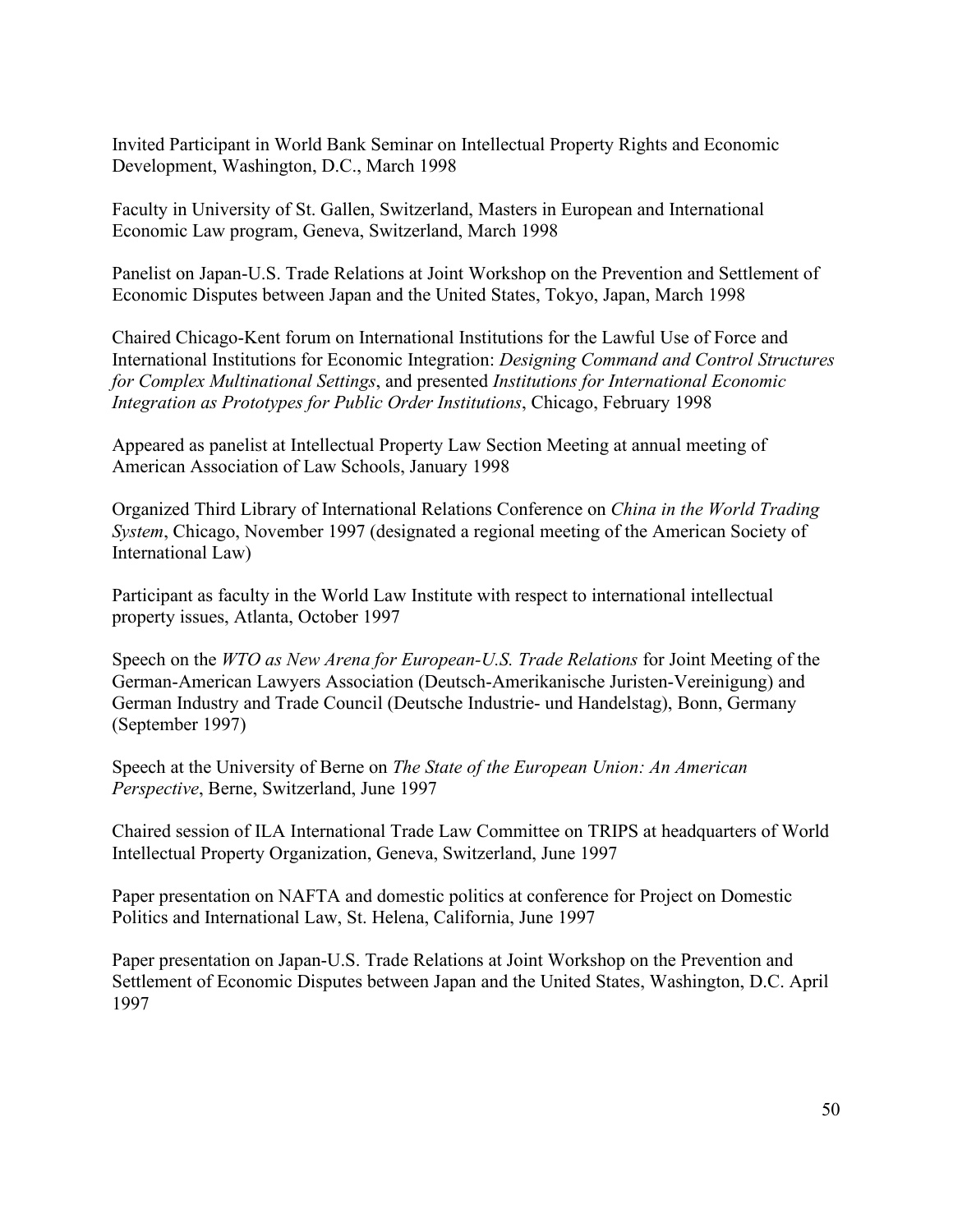Invited Participant in World Bank Seminar on Intellectual Property Rights and Economic Development, Washington, D.C., March 1998

Faculty in University of St. Gallen, Switzerland, Masters in European and International Economic Law program, Geneva, Switzerland, March 1998

Panelist on Japan-U.S. Trade Relations at Joint Workshop on the Prevention and Settlement of Economic Disputes between Japan and the United States, Tokyo, Japan, March 1998

Chaired Chicago-Kent forum on International Institutions for the Lawful Use of Force and International Institutions for Economic Integration: *Designing Command and Control Structures for Complex Multinational Settings*, and presented *Institutions for International Economic Integration as Prototypes for Public Order Institutions*, Chicago, February 1998

Appeared as panelist at Intellectual Property Law Section Meeting at annual meeting of American Association of Law Schools, January 1998

Organized Third Library of International Relations Conference on *China in the World Trading System*, Chicago, November 1997 (designated a regional meeting of the American Society of International Law)

Participant as faculty in the World Law Institute with respect to international intellectual property issues, Atlanta, October 1997

Speech on the *WTO as New Arena for European-U.S. Trade Relations* for Joint Meeting of the German-American Lawyers Association (Deutsch-Amerikanische Juristen-Vereinigung) and German Industry and Trade Council (Deutsche Industrie- und Handelstag), Bonn, Germany (September 1997)

Speech at the University of Berne on *The State of the European Union: An American Perspective*, Berne, Switzerland, June 1997

Chaired session of ILA International Trade Law Committee on TRIPS at headquarters of World Intellectual Property Organization, Geneva, Switzerland, June 1997

Paper presentation on NAFTA and domestic politics at conference for Project on Domestic Politics and International Law, St. Helena, California, June 1997

Paper presentation on Japan-U.S. Trade Relations at Joint Workshop on the Prevention and Settlement of Economic Disputes between Japan and the United States, Washington, D.C. April 1997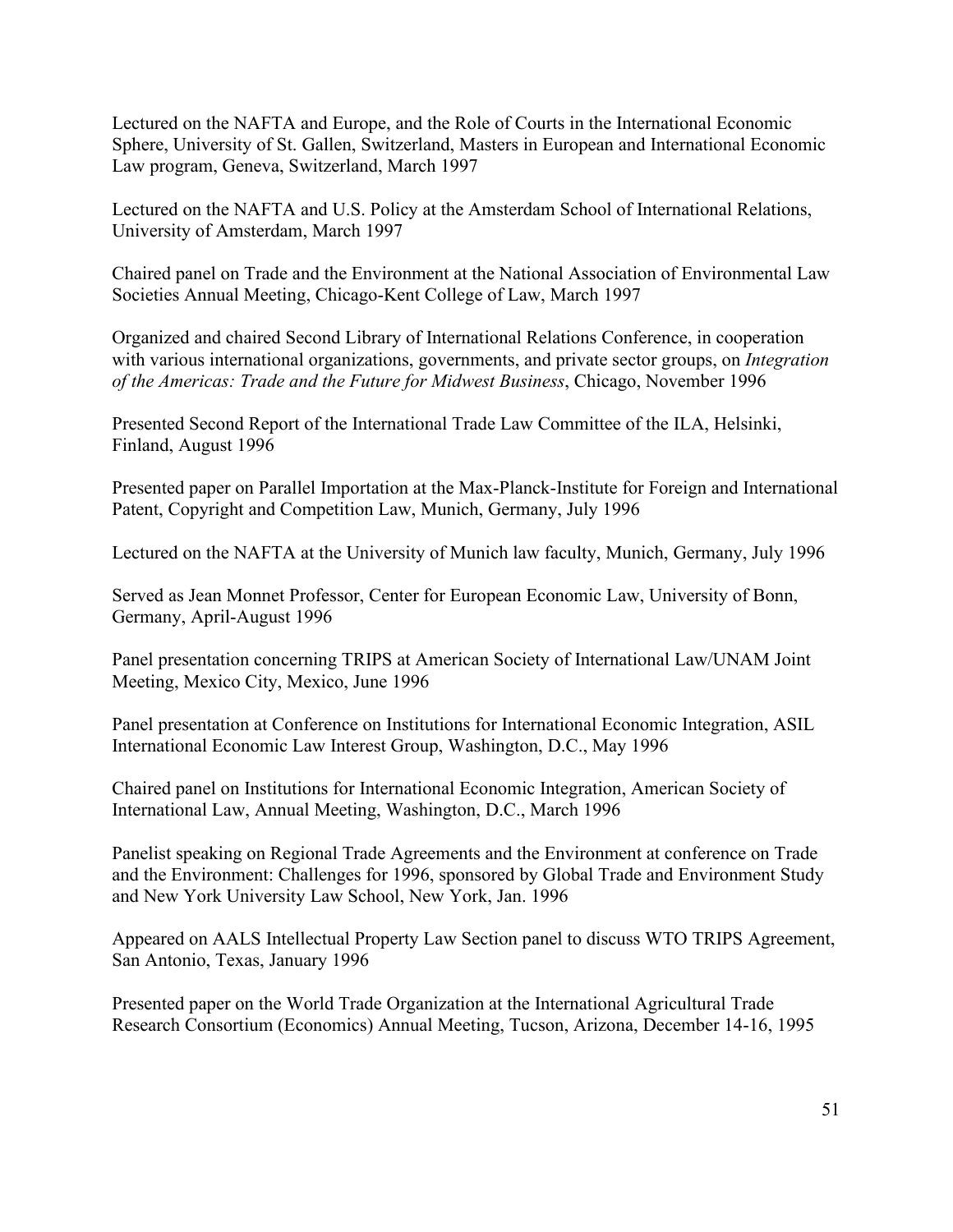Lectured on the NAFTA and Europe, and the Role of Courts in the International Economic Sphere, University of St. Gallen, Switzerland, Masters in European and International Economic Law program, Geneva, Switzerland, March 1997

Lectured on the NAFTA and U.S. Policy at the Amsterdam School of International Relations, University of Amsterdam, March 1997

Chaired panel on Trade and the Environment at the National Association of Environmental Law Societies Annual Meeting, Chicago-Kent College of Law, March 1997

Organized and chaired Second Library of International Relations Conference, in cooperation with various international organizations, governments, and private sector groups, on *Integration of the Americas: Trade and the Future for Midwest Business*, Chicago, November 1996

Presented Second Report of the International Trade Law Committee of the ILA, Helsinki, Finland, August 1996

Presented paper on Parallel Importation at the Max-Planck-Institute for Foreign and International Patent, Copyright and Competition Law, Munich, Germany, July 1996

Lectured on the NAFTA at the University of Munich law faculty, Munich, Germany, July 1996

Served as Jean Monnet Professor, Center for European Economic Law, University of Bonn, Germany, April-August 1996

Panel presentation concerning TRIPS at American Society of International Law/UNAM Joint Meeting, Mexico City, Mexico, June 1996

Panel presentation at Conference on Institutions for International Economic Integration, ASIL International Economic Law Interest Group, Washington, D.C., May 1996

Chaired panel on Institutions for International Economic Integration, American Society of International Law, Annual Meeting, Washington, D.C., March 1996

Panelist speaking on Regional Trade Agreements and the Environment at conference on Trade and the Environment: Challenges for 1996, sponsored by Global Trade and Environment Study and New York University Law School, New York, Jan. 1996

Appeared on AALS Intellectual Property Law Section panel to discuss WTO TRIPS Agreement, San Antonio, Texas, January 1996

Presented paper on the World Trade Organization at the International Agricultural Trade Research Consortium (Economics) Annual Meeting, Tucson, Arizona, December 14-16, 1995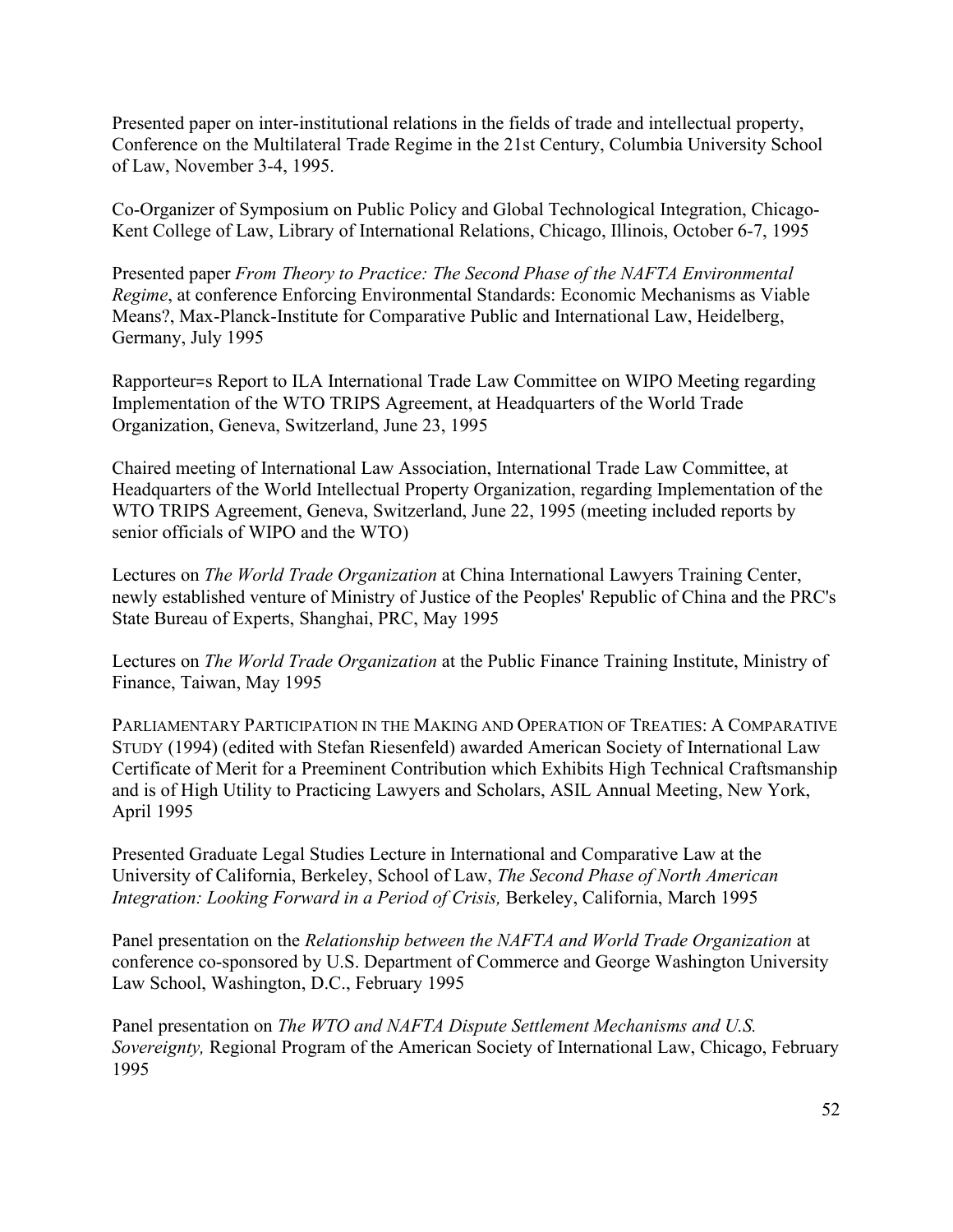Presented paper on inter-institutional relations in the fields of trade and intellectual property, Conference on the Multilateral Trade Regime in the 21st Century, Columbia University School of Law, November 3-4, 1995.

Co-Organizer of Symposium on Public Policy and Global Technological Integration, Chicago-Kent College of Law, Library of International Relations, Chicago, Illinois, October 6-7, 1995

Presented paper *From Theory to Practice: The Second Phase of the NAFTA Environmental Regime*, at conference Enforcing Environmental Standards: Economic Mechanisms as Viable Means?, Max-Planck-Institute for Comparative Public and International Law, Heidelberg, Germany, July 1995

Rapporteur=s Report to ILA International Trade Law Committee on WIPO Meeting regarding Implementation of the WTO TRIPS Agreement, at Headquarters of the World Trade Organization, Geneva, Switzerland, June 23, 1995

Chaired meeting of International Law Association, International Trade Law Committee, at Headquarters of the World Intellectual Property Organization, regarding Implementation of the WTO TRIPS Agreement, Geneva, Switzerland, June 22, 1995 (meeting included reports by senior officials of WIPO and the WTO)

Lectures on *The World Trade Organization* at China International Lawyers Training Center, newly established venture of Ministry of Justice of the Peoples' Republic of China and the PRC's State Bureau of Experts, Shanghai, PRC, May 1995

Lectures on *The World Trade Organization* at the Public Finance Training Institute, Ministry of Finance, Taiwan, May 1995

PARLIAMENTARY PARTICIPATION IN THE MAKING AND OPERATION OF TREATIES: A COMPARATIVE STUDY (1994) (edited with Stefan Riesenfeld) awarded American Society of International Law Certificate of Merit for a Preeminent Contribution which Exhibits High Technical Craftsmanship and is of High Utility to Practicing Lawyers and Scholars, ASIL Annual Meeting, New York, April 1995

Presented Graduate Legal Studies Lecture in International and Comparative Law at the University of California, Berkeley, School of Law, *The Second Phase of North American Integration: Looking Forward in a Period of Crisis,* Berkeley, California, March 1995

Panel presentation on the *Relationship between the NAFTA and World Trade Organization* at conference co-sponsored by U.S. Department of Commerce and George Washington University Law School, Washington, D.C., February 1995

Panel presentation on *The WTO and NAFTA Dispute Settlement Mechanisms and U.S. Sovereignty,* Regional Program of the American Society of International Law, Chicago, February 1995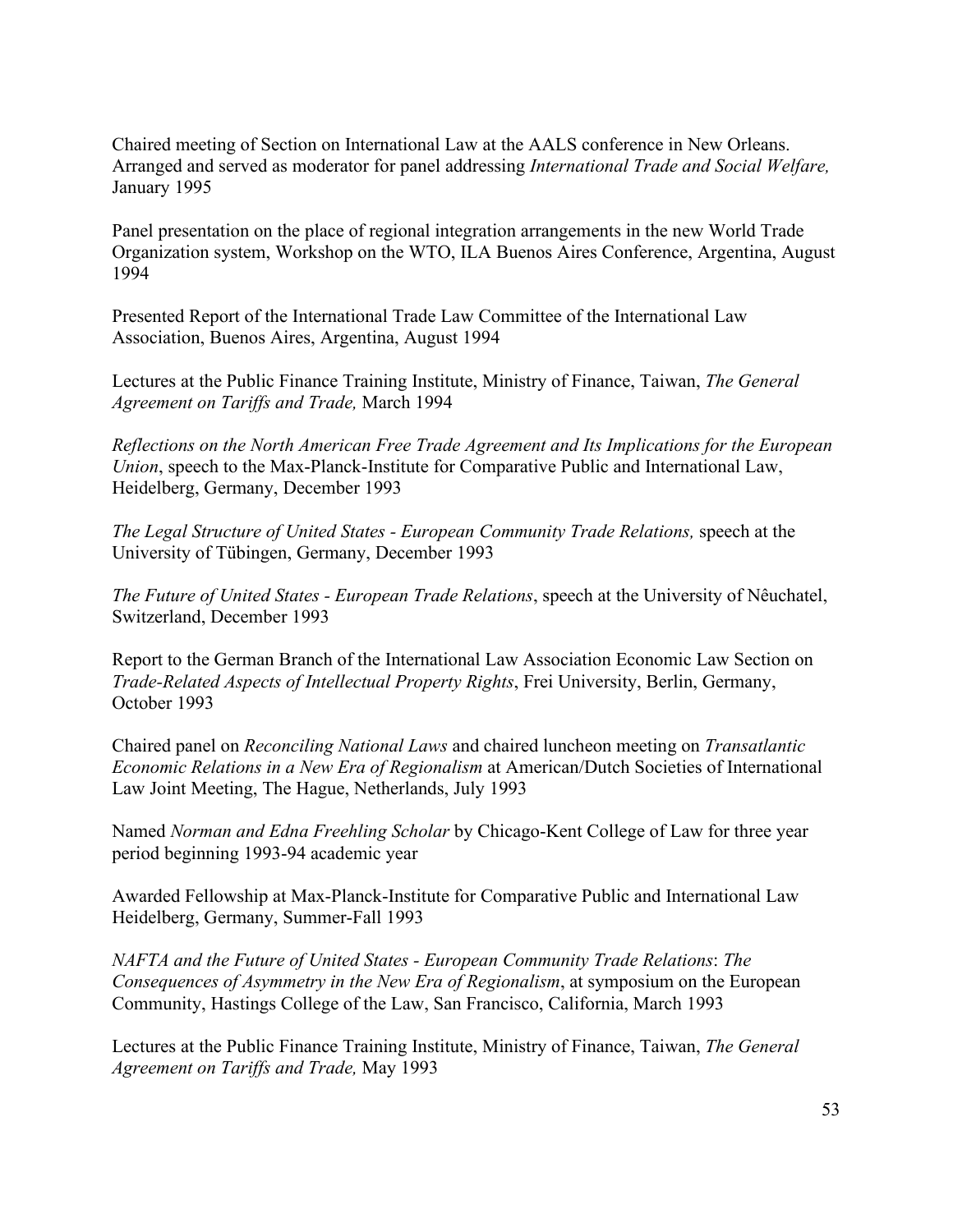Chaired meeting of Section on International Law at the AALS conference in New Orleans. Arranged and served as moderator for panel addressing *International Trade and Social Welfare,*  January 1995

Panel presentation on the place of regional integration arrangements in the new World Trade Organization system, Workshop on the WTO, ILA Buenos Aires Conference, Argentina, August 1994

Presented Report of the International Trade Law Committee of the International Law Association, Buenos Aires, Argentina, August 1994

Lectures at the Public Finance Training Institute, Ministry of Finance, Taiwan, *The General Agreement on Tariffs and Trade,* March 1994

*Reflections on the North American Free Trade Agreement and Its Implications for the European Union*, speech to the Max-Planck-Institute for Comparative Public and International Law, Heidelberg, Germany, December 1993

*The Legal Structure of United States - European Community Trade Relations,* speech at the University of Tübingen, Germany, December 1993

*The Future of United States - European Trade Relations*, speech at the University of Nêuchatel, Switzerland, December 1993

Report to the German Branch of the International Law Association Economic Law Section on *Trade-Related Aspects of Intellectual Property Rights*, Frei University, Berlin, Germany, October 1993

Chaired panel on *Reconciling National Laws* and chaired luncheon meeting on *Transatlantic Economic Relations in a New Era of Regionalism* at American/Dutch Societies of International Law Joint Meeting, The Hague, Netherlands, July 1993

Named *Norman and Edna Freehling Scholar* by Chicago-Kent College of Law for three year period beginning 1993-94 academic year

Awarded Fellowship at Max-Planck-Institute for Comparative Public and International Law Heidelberg, Germany, Summer-Fall 1993

*NAFTA and the Future of United States - European Community Trade Relations*: *The Consequences of Asymmetry in the New Era of Regionalism*, at symposium on the European Community, Hastings College of the Law, San Francisco, California, March 1993

Lectures at the Public Finance Training Institute, Ministry of Finance, Taiwan, *The General Agreement on Tariffs and Trade,* May 1993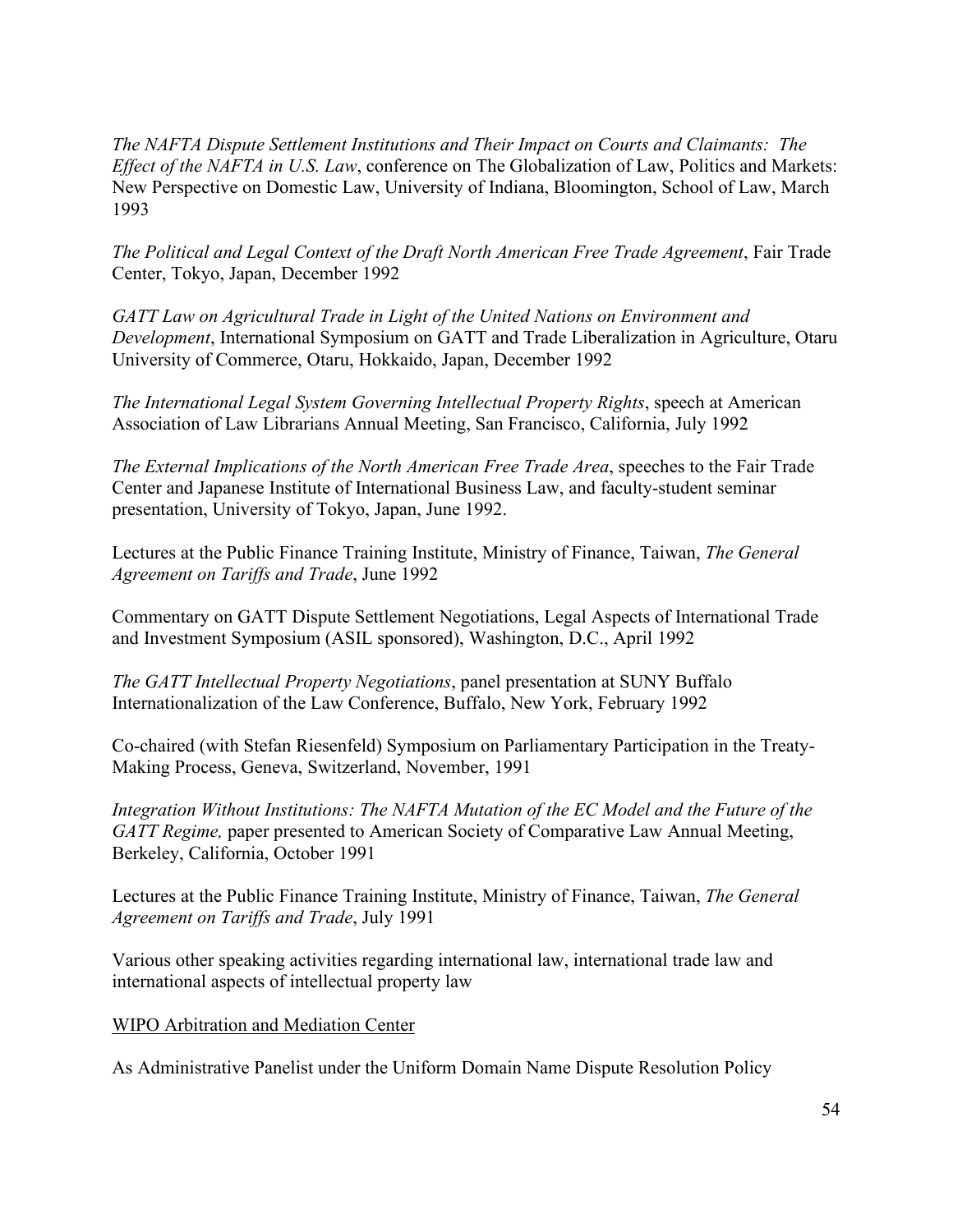*The NAFTA Dispute Settlement Institutions and Their Impact on Courts and Claimants: The Effect of the NAFTA in U.S. Law*, conference on The Globalization of Law, Politics and Markets: New Perspective on Domestic Law, University of Indiana, Bloomington, School of Law, March 1993

*The Political and Legal Context of the Draft North American Free Trade Agreement*, Fair Trade Center, Tokyo, Japan, December 1992

*GATT Law on Agricultural Trade in Light of the United Nations on Environment and Development*, International Symposium on GATT and Trade Liberalization in Agriculture, Otaru University of Commerce, Otaru, Hokkaido, Japan, December 1992

*The International Legal System Governing Intellectual Property Rights*, speech at American Association of Law Librarians Annual Meeting, San Francisco, California, July 1992

*The External Implications of the North American Free Trade Area*, speeches to the Fair Trade Center and Japanese Institute of International Business Law, and faculty-student seminar presentation, University of Tokyo, Japan, June 1992.

Lectures at the Public Finance Training Institute, Ministry of Finance, Taiwan, *The General Agreement on Tariffs and Trade*, June 1992

Commentary on GATT Dispute Settlement Negotiations, Legal Aspects of International Trade and Investment Symposium (ASIL sponsored), Washington, D.C., April 1992

*The GATT Intellectual Property Negotiations*, panel presentation at SUNY Buffalo Internationalization of the Law Conference, Buffalo, New York, February 1992

Co-chaired (with Stefan Riesenfeld) Symposium on Parliamentary Participation in the Treaty-Making Process, Geneva, Switzerland, November, 1991

*Integration Without Institutions: The NAFTA Mutation of the EC Model and the Future of the GATT Regime,* paper presented to American Society of Comparative Law Annual Meeting, Berkeley, California, October 1991

Lectures at the Public Finance Training Institute, Ministry of Finance, Taiwan, *The General Agreement on Tariffs and Trade*, July 1991

Various other speaking activities regarding international law, international trade law and international aspects of intellectual property law

WIPO Arbitration and Mediation Center

As Administrative Panelist under the Uniform Domain Name Dispute Resolution Policy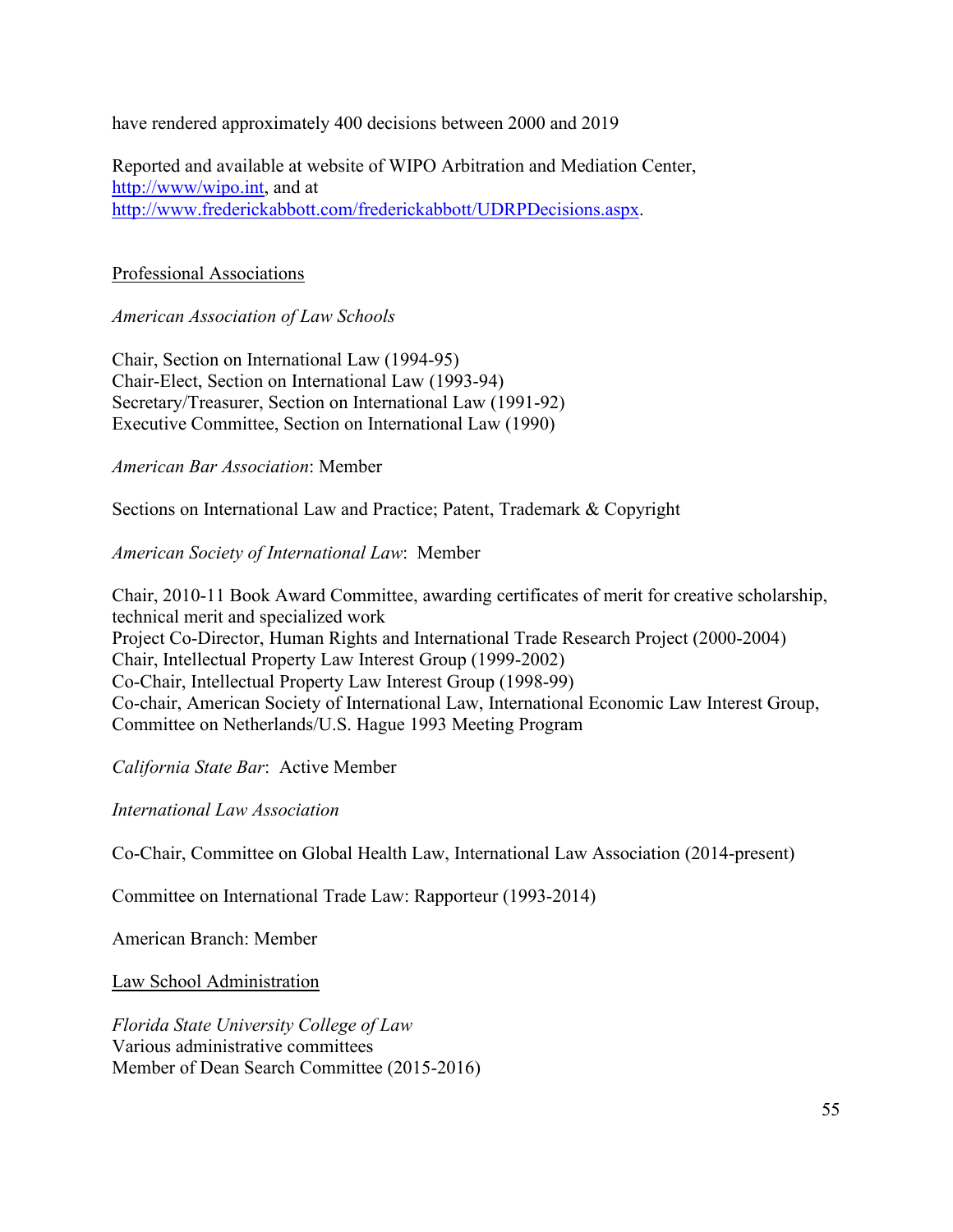have rendered approximately 400 decisions between 2000 and 2019

Reported and available at website of WIPO Arbitration and Mediation Center, [http://www/wipo.int,](http://www/wipo.int) and at [http://www.frederickabbott.com/frederickabbott/UDRPDecisions.aspx.](http://www.frederickabbott.com/frederickabbott/UDRPDecisions.aspx)

# Professional Associations

*American Association of Law Schools*

Chair, Section on International Law (1994-95) Chair-Elect, Section on International Law (1993-94) Secretary/Treasurer, Section on International Law (1991-92) Executive Committee, Section on International Law (1990)

*American Bar Association*: Member

Sections on International Law and Practice; Patent, Trademark & Copyright

# *American Society of International Law*: Member

Chair, 2010-11 Book Award Committee, awarding certificates of merit for creative scholarship, technical merit and specialized work Project Co-Director, Human Rights and International Trade Research Project (2000-2004) Chair, Intellectual Property Law Interest Group (1999-2002) Co-Chair, Intellectual Property Law Interest Group (1998-99) Co-chair, American Society of International Law, International Economic Law Interest Group, Committee on Netherlands/U.S. Hague 1993 Meeting Program

*California State Bar*: Active Member

*International Law Association*

Co-Chair, Committee on Global Health Law, International Law Association (2014-present)

Committee on International Trade Law: Rapporteur (1993-2014)

American Branch: Member

Law School Administration

*Florida State University College of Law* Various administrative committees Member of Dean Search Committee (2015-2016)